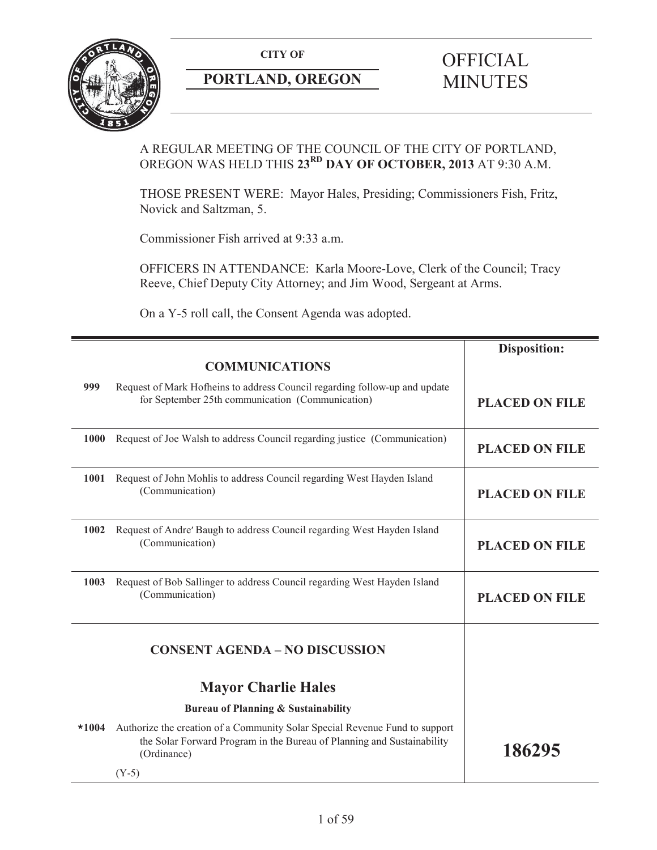

## **PORTLAND, OREGON MINUTES**

# **CITY OF** OFFICIAL

## A REGULAR MEETING OF THE COUNCIL OF THE CITY OF PORTLAND, OREGON WAS HELD THIS **23RD DAY OF OCTOBER, 2013** AT 9:30 A.M.

THOSE PRESENT WERE: Mayor Hales, Presiding; Commissioners Fish, Fritz, Novick and Saltzman, 5.

Commissioner Fish arrived at 9:33 a.m.

OFFICERS IN ATTENDANCE: Karla Moore-Love, Clerk of the Council; Tracy Reeve, Chief Deputy City Attorney; and Jim Wood, Sergeant at Arms.

On a Y-5 roll call, the Consent Agenda was adopted.

|         |                                                                                                                                                                      | <b>Disposition:</b>   |
|---------|----------------------------------------------------------------------------------------------------------------------------------------------------------------------|-----------------------|
|         | <b>COMMUNICATIONS</b>                                                                                                                                                |                       |
| 999     | Request of Mark Hofheins to address Council regarding follow-up and update<br>for September 25th communication (Communication)                                       | <b>PLACED ON FILE</b> |
| 1000    | Request of Joe Walsh to address Council regarding justice (Communication)                                                                                            | <b>PLACED ON FILE</b> |
| 1001    | Request of John Mohlis to address Council regarding West Hayden Island<br>(Communication)                                                                            | <b>PLACED ON FILE</b> |
| 1002    | Request of Andre' Baugh to address Council regarding West Hayden Island<br>(Communication)                                                                           | <b>PLACED ON FILE</b> |
| 1003    | Request of Bob Sallinger to address Council regarding West Hayden Island<br>(Communication)                                                                          | <b>PLACED ON FILE</b> |
|         | <b>CONSENT AGENDA - NO DISCUSSION</b>                                                                                                                                |                       |
|         | <b>Mayor Charlie Hales</b>                                                                                                                                           |                       |
|         | <b>Bureau of Planning &amp; Sustainability</b>                                                                                                                       |                       |
| $*1004$ | Authorize the creation of a Community Solar Special Revenue Fund to support<br>the Solar Forward Program in the Bureau of Planning and Sustainability<br>(Ordinance) | 186295                |
|         | $(Y-5)$                                                                                                                                                              |                       |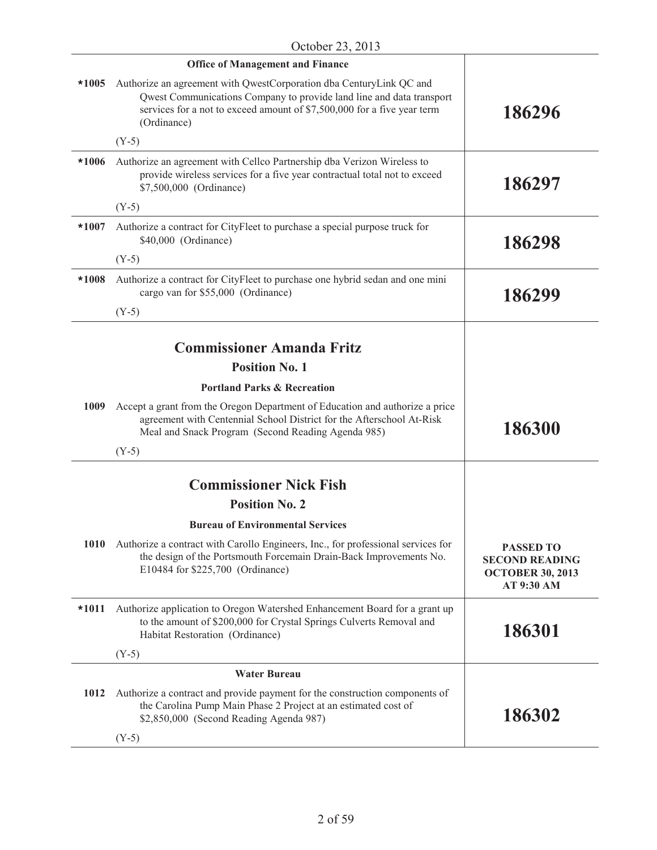|             | <b>Office of Management and Finance</b>                                                                                                                                                                                               |                                                                                    |
|-------------|---------------------------------------------------------------------------------------------------------------------------------------------------------------------------------------------------------------------------------------|------------------------------------------------------------------------------------|
| $*1005$     | Authorize an agreement with QwestCorporation dba CenturyLink QC and<br>Qwest Communications Company to provide land line and data transport<br>services for a not to exceed amount of \$7,500,000 for a five year term<br>(Ordinance) | 186296                                                                             |
|             | $(Y-5)$                                                                                                                                                                                                                               |                                                                                    |
| $*1006$     | Authorize an agreement with Cellco Partnership dba Verizon Wireless to<br>provide wireless services for a five year contractual total not to exceed<br>\$7,500,000 (Ordinance)                                                        | 186297                                                                             |
|             | $(Y-5)$                                                                                                                                                                                                                               |                                                                                    |
| $*1007$     | Authorize a contract for CityFleet to purchase a special purpose truck for<br>\$40,000 (Ordinance)                                                                                                                                    | 186298                                                                             |
|             | $(Y-5)$                                                                                                                                                                                                                               |                                                                                    |
| $*1008$     | Authorize a contract for CityFleet to purchase one hybrid sedan and one mini<br>cargo van for \$55,000 (Ordinance)                                                                                                                    | 186299                                                                             |
|             | $(Y-5)$                                                                                                                                                                                                                               |                                                                                    |
|             |                                                                                                                                                                                                                                       |                                                                                    |
|             | <b>Commissioner Amanda Fritz</b>                                                                                                                                                                                                      |                                                                                    |
|             | <b>Position No. 1</b>                                                                                                                                                                                                                 |                                                                                    |
|             | <b>Portland Parks &amp; Recreation</b>                                                                                                                                                                                                |                                                                                    |
| 1009        | Accept a grant from the Oregon Department of Education and authorize a price<br>agreement with Centennial School District for the Afterschool At-Risk<br>Meal and Snack Program (Second Reading Agenda 985)                           | 186300                                                                             |
|             | $(Y-5)$                                                                                                                                                                                                                               |                                                                                    |
|             |                                                                                                                                                                                                                                       |                                                                                    |
|             | <b>Commissioner Nick Fish</b>                                                                                                                                                                                                         |                                                                                    |
|             | <b>Position No. 2</b>                                                                                                                                                                                                                 |                                                                                    |
|             | <b>Bureau of Environmental Services</b>                                                                                                                                                                                               |                                                                                    |
| <b>1010</b> | Authorize a contract with Carollo Engineers, Inc., for professional services for<br>the design of the Portsmouth Forcemain Drain-Back Improvements No.<br>E10484 for \$225,700 (Ordinance)                                            | <b>PASSED TO</b><br><b>SECOND READING</b><br><b>OCTOBER 30, 2013</b><br>AT 9:30 AM |
| $*1011$     | Authorize application to Oregon Watershed Enhancement Board for a grant up<br>to the amount of \$200,000 for Crystal Springs Culverts Removal and<br>Habitat Restoration (Ordinance)                                                  | 186301                                                                             |
|             | $(Y-5)$                                                                                                                                                                                                                               |                                                                                    |
|             | <b>Water Bureau</b>                                                                                                                                                                                                                   |                                                                                    |
| 1012        | Authorize a contract and provide payment for the construction components of<br>the Carolina Pump Main Phase 2 Project at an estimated cost of<br>\$2,850,000 (Second Reading Agenda 987)                                              | 186302                                                                             |
|             | $(Y-5)$                                                                                                                                                                                                                               |                                                                                    |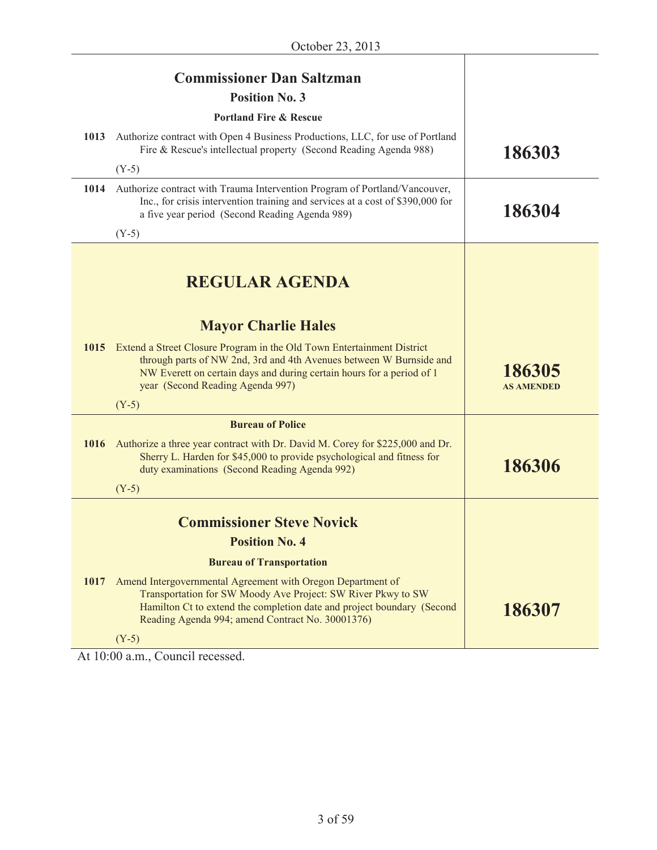|      | <b>Commissioner Dan Saltzman</b>                                                                                                                                                                                                                           |                             |
|------|------------------------------------------------------------------------------------------------------------------------------------------------------------------------------------------------------------------------------------------------------------|-----------------------------|
|      | <b>Position No. 3</b>                                                                                                                                                                                                                                      |                             |
|      | <b>Portland Fire &amp; Rescue</b>                                                                                                                                                                                                                          |                             |
| 1013 | Authorize contract with Open 4 Business Productions, LLC, for use of Portland<br>Fire & Rescue's intellectual property (Second Reading Agenda 988)                                                                                                         | 186303                      |
|      | $(Y-5)$                                                                                                                                                                                                                                                    |                             |
| 1014 | Authorize contract with Trauma Intervention Program of Portland/Vancouver,<br>Inc., for crisis intervention training and services at a cost of \$390,000 for<br>a five year period (Second Reading Agenda 989)                                             | 186304                      |
|      | $(Y-5)$                                                                                                                                                                                                                                                    |                             |
|      | <b>REGULAR AGENDA</b>                                                                                                                                                                                                                                      |                             |
|      | <b>Mayor Charlie Hales</b>                                                                                                                                                                                                                                 |                             |
| 1015 | Extend a Street Closure Program in the Old Town Entertainment District<br>through parts of NW 2nd, 3rd and 4th Avenues between W Burnside and<br>NW Everett on certain days and during certain hours for a period of 1<br>year (Second Reading Agenda 997) | 186305<br><b>AS AMENDED</b> |
|      | $(Y-5)$                                                                                                                                                                                                                                                    |                             |
|      | <b>Bureau of Police</b>                                                                                                                                                                                                                                    |                             |
| 1016 | Authorize a three year contract with Dr. David M. Corey for \$225,000 and Dr.<br>Sherry L. Harden for \$45,000 to provide psychological and fitness for<br>duty examinations (Second Reading Agenda 992)                                                   | 186306                      |
|      | $(Y-5)$                                                                                                                                                                                                                                                    |                             |
|      | <b>Commissioner Steve Novick</b>                                                                                                                                                                                                                           |                             |
|      | <b>Position No. 4</b>                                                                                                                                                                                                                                      |                             |
|      | <b>Bureau of Transportation</b>                                                                                                                                                                                                                            |                             |
| 1017 | Amend Intergovernmental Agreement with Oregon Department of<br>Transportation for SW Moody Ave Project: SW River Pkwy to SW<br>Hamilton Ct to extend the completion date and project boundary (Second<br>Reading Agenda 994; amend Contract No. 30001376)  | 186307                      |
|      | $(Y-5)$                                                                                                                                                                                                                                                    |                             |

At 10:00 a.m., Council recessed.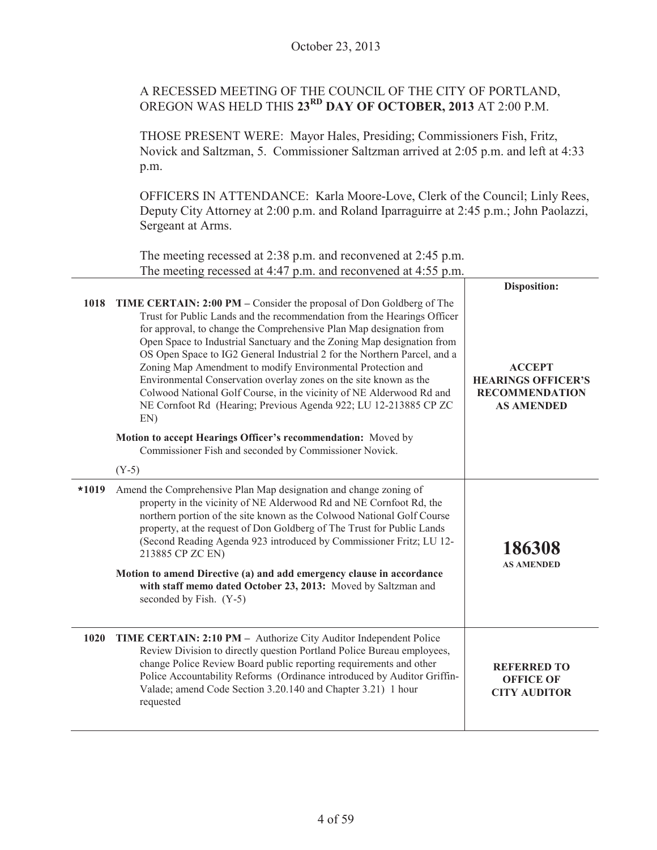## A RECESSED MEETING OF THE COUNCIL OF THE CITY OF PORTLAND, OREGON WAS HELD THIS **23RD DAY OF OCTOBER, 2013** AT 2:00 P.M.

THOSE PRESENT WERE: Mayor Hales, Presiding; Commissioners Fish, Fritz, Novick and Saltzman, 5. Commissioner Saltzman arrived at 2:05 p.m. and left at 4:33 p.m.

OFFICERS IN ATTENDANCE: Karla Moore-Love, Clerk of the Council; Linly Rees, Deputy City Attorney at 2:00 p.m. and Roland Iparraguirre at 2:45 p.m.; John Paolazzi, Sergeant at Arms.

The meeting recessed at 2:38 p.m. and reconvened at 2:45 p.m. The meeting recessed at 4:47 p.m. and reconvened at 4:55 p.m.

|         |                                                                                                                                                                                                                                                                                                                                                                                                                                                                                                                                                                                                                                                                                                                                                                                               | Disposition:                                                                             |
|---------|-----------------------------------------------------------------------------------------------------------------------------------------------------------------------------------------------------------------------------------------------------------------------------------------------------------------------------------------------------------------------------------------------------------------------------------------------------------------------------------------------------------------------------------------------------------------------------------------------------------------------------------------------------------------------------------------------------------------------------------------------------------------------------------------------|------------------------------------------------------------------------------------------|
| 1018    | TIME CERTAIN: 2:00 PM – Consider the proposal of Don Goldberg of The<br>Trust for Public Lands and the recommendation from the Hearings Officer<br>for approval, to change the Comprehensive Plan Map designation from<br>Open Space to Industrial Sanctuary and the Zoning Map designation from<br>OS Open Space to IG2 General Industrial 2 for the Northern Parcel, and a<br>Zoning Map Amendment to modify Environmental Protection and<br>Environmental Conservation overlay zones on the site known as the<br>Colwood National Golf Course, in the vicinity of NE Alderwood Rd and<br>NE Cornfoot Rd (Hearing; Previous Agenda 922; LU 12-213885 CP ZC<br>EN)<br>Motion to accept Hearings Officer's recommendation: Moved by<br>Commissioner Fish and seconded by Commissioner Novick. | <b>ACCEPT</b><br><b>HEARINGS OFFICER'S</b><br><b>RECOMMENDATION</b><br><b>AS AMENDED</b> |
|         | $(Y-5)$                                                                                                                                                                                                                                                                                                                                                                                                                                                                                                                                                                                                                                                                                                                                                                                       |                                                                                          |
| $*1019$ | Amend the Comprehensive Plan Map designation and change zoning of<br>property in the vicinity of NE Alderwood Rd and NE Cornfoot Rd, the<br>northern portion of the site known as the Colwood National Golf Course<br>property, at the request of Don Goldberg of The Trust for Public Lands<br>(Second Reading Agenda 923 introduced by Commissioner Fritz; LU 12-<br>213885 CP ZC EN)<br>Motion to amend Directive (a) and add emergency clause in accordance<br>with staff memo dated October 23, 2013: Moved by Saltzman and<br>seconded by Fish. (Y-5)                                                                                                                                                                                                                                   | 186308<br><b>AS AMENDED</b>                                                              |
| 1020    | TIME CERTAIN: 2:10 PM - Authorize City Auditor Independent Police<br>Review Division to directly question Portland Police Bureau employees,<br>change Police Review Board public reporting requirements and other<br>Police Accountability Reforms (Ordinance introduced by Auditor Griffin-<br>Valade; amend Code Section 3.20.140 and Chapter 3.21) 1 hour<br>requested                                                                                                                                                                                                                                                                                                                                                                                                                     | <b>REFERRED TO</b><br><b>OFFICE OF</b><br><b>CITY AUDITOR</b>                            |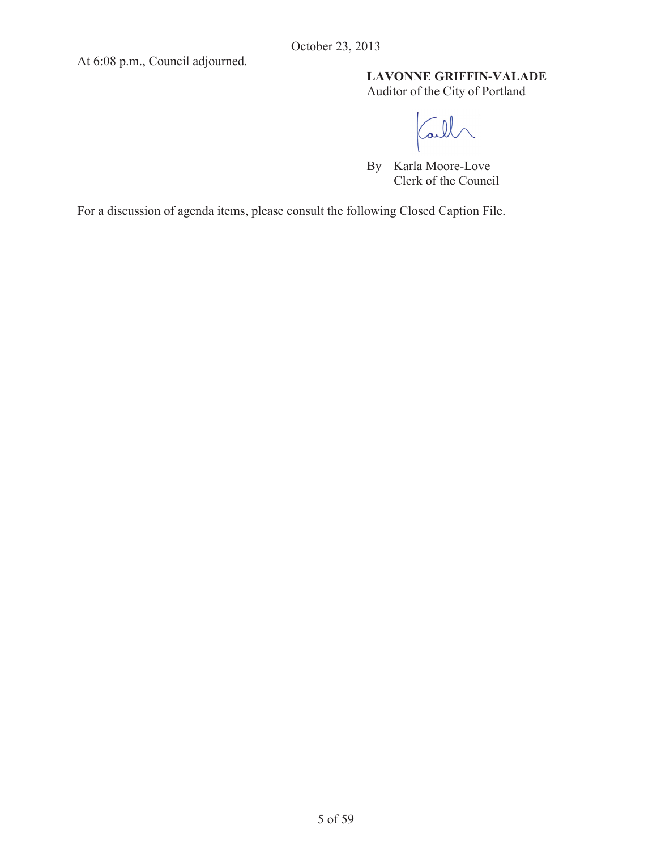At 6:08 p.m., Council adjourned.

## **LAVONNE GRIFFIN-VALADE**

Auditor of the City of Portland

Call

By Karla Moore-Love Clerk of the Council

For a discussion of agenda items, please consult the following Closed Caption File.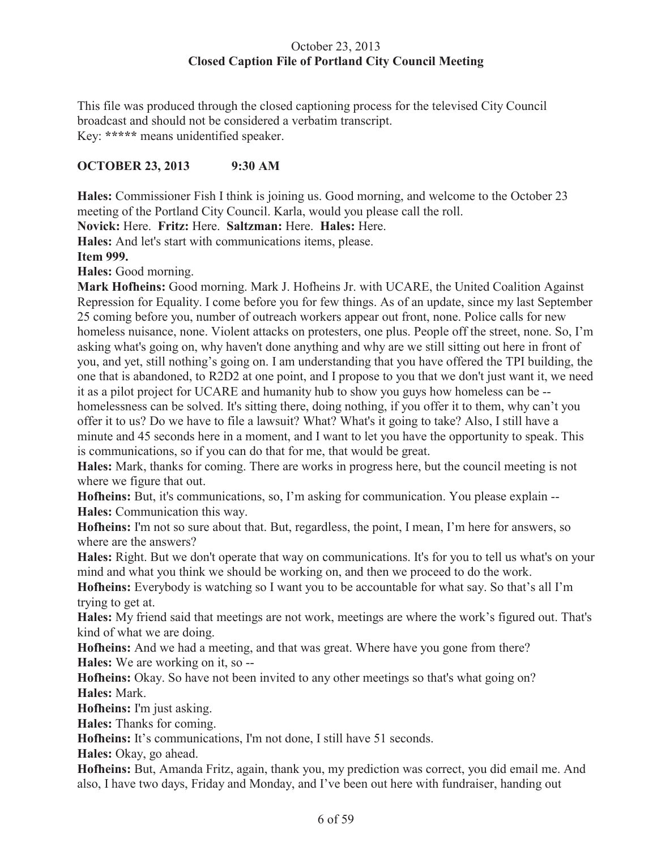## October 23, 2013 **Closed Caption File of Portland City Council Meeting**

This file was produced through the closed captioning process for the televised City Council broadcast and should not be considered a verbatim transcript. Key: **\*\*\*\*\*** means unidentified speaker.

## **OCTOBER 23, 2013 9:30 AM**

**Hales:** Commissioner Fish I think is joining us. Good morning, and welcome to the October 23 meeting of the Portland City Council. Karla, would you please call the roll.

**Novick:** Here. **Fritz:** Here. **Saltzman:** Here. **Hales:** Here.

**Hales:** And let's start with communications items, please.

**Item 999.** 

**Hales:** Good morning.

**Mark Hofheins:** Good morning. Mark J. Hofheins Jr. with UCARE, the United Coalition Against Repression for Equality. I come before you for few things. As of an update, since my last September 25 coming before you, number of outreach workers appear out front, none. Police calls for new homeless nuisance, none. Violent attacks on protesters, one plus. People off the street, none. So, I'm asking what's going on, why haven't done anything and why are we still sitting out here in front of you, and yet, still nothing's going on. I am understanding that you have offered the TPI building, the one that is abandoned, to R2D2 at one point, and I propose to you that we don't just want it, we need it as a pilot project for UCARE and humanity hub to show you guys how homeless can be - homelessness can be solved. It's sitting there, doing nothing, if you offer it to them, why can't you offer it to us? Do we have to file a lawsuit? What? What's it going to take? Also, I still have a minute and 45 seconds here in a moment, and I want to let you have the opportunity to speak. This is communications, so if you can do that for me, that would be great.

**Hales:** Mark, thanks for coming. There are works in progress here, but the council meeting is not where we figure that out.

**Hofheins:** But, it's communications, so, I'm asking for communication. You please explain -- **Hales:** Communication this way.

**Hofheins:** I'm not so sure about that. But, regardless, the point, I mean, I'm here for answers, so where are the answers?

**Hales:** Right. But we don't operate that way on communications. It's for you to tell us what's on your mind and what you think we should be working on, and then we proceed to do the work.

**Hofheins:** Everybody is watching so I want you to be accountable for what say. So that's all I'm trying to get at.

**Hales:** My friend said that meetings are not work, meetings are where the work's figured out. That's kind of what we are doing.

**Hofheins:** And we had a meeting, and that was great. Where have you gone from there? **Hales:** We are working on it, so --

**Hofheins:** Okay. So have not been invited to any other meetings so that's what going on? **Hales:** Mark.

**Hofheins:** I'm just asking.

**Hales:** Thanks for coming.

**Hofheins:** It's communications, I'm not done, I still have 51 seconds.

**Hales:** Okay, go ahead.

**Hofheins:** But, Amanda Fritz, again, thank you, my prediction was correct, you did email me. And also, I have two days, Friday and Monday, and I've been out here with fundraiser, handing out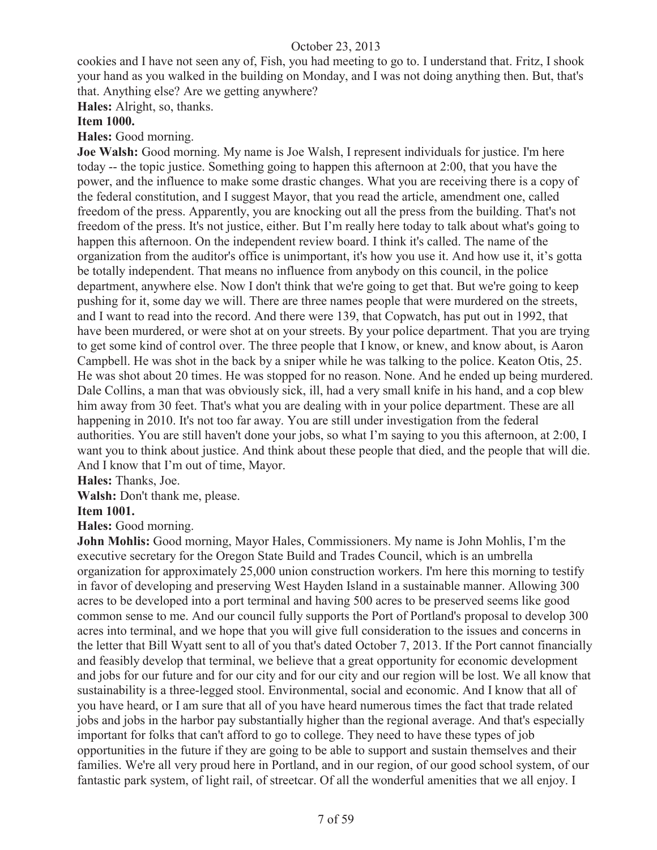cookies and I have not seen any of, Fish, you had meeting to go to. I understand that. Fritz, I shook your hand as you walked in the building on Monday, and I was not doing anything then. But, that's that. Anything else? Are we getting anywhere?

**Hales:** Alright, so, thanks.

#### **Item 1000.**

#### **Hales:** Good morning.

**Joe Walsh:** Good morning. My name is Joe Walsh, I represent individuals for justice. I'm here today -- the topic justice. Something going to happen this afternoon at 2:00, that you have the power, and the influence to make some drastic changes. What you are receiving there is a copy of the federal constitution, and I suggest Mayor, that you read the article, amendment one, called freedom of the press. Apparently, you are knocking out all the press from the building. That's not freedom of the press. It's not justice, either. But I'm really here today to talk about what's going to happen this afternoon. On the independent review board. I think it's called. The name of the organization from the auditor's office is unimportant, it's how you use it. And how use it, it's gotta be totally independent. That means no influence from anybody on this council, in the police department, anywhere else. Now I don't think that we're going to get that. But we're going to keep pushing for it, some day we will. There are three names people that were murdered on the streets, and I want to read into the record. And there were 139, that Copwatch, has put out in 1992, that have been murdered, or were shot at on your streets. By your police department. That you are trying to get some kind of control over. The three people that I know, or knew, and know about, is Aaron Campbell. He was shot in the back by a sniper while he was talking to the police. Keaton Otis, 25. He was shot about 20 times. He was stopped for no reason. None. And he ended up being murdered. Dale Collins, a man that was obviously sick, ill, had a very small knife in his hand, and a cop blew him away from 30 feet. That's what you are dealing with in your police department. These are all happening in 2010. It's not too far away. You are still under investigation from the federal authorities. You are still haven't done your jobs, so what I'm saying to you this afternoon, at 2:00, I want you to think about justice. And think about these people that died, and the people that will die. And I know that I'm out of time, Mayor.

**Hales:** Thanks, Joe.

Walsh: Don't thank me, please.

#### **Item 1001.**

**Hales:** Good morning.

**John Mohlis:** Good morning, Mayor Hales, Commissioners. My name is John Mohlis, I'm the executive secretary for the Oregon State Build and Trades Council, which is an umbrella organization for approximately 25,000 union construction workers. I'm here this morning to testify in favor of developing and preserving West Hayden Island in a sustainable manner. Allowing 300 acres to be developed into a port terminal and having 500 acres to be preserved seems like good common sense to me. And our council fully supports the Port of Portland's proposal to develop 300 acres into terminal, and we hope that you will give full consideration to the issues and concerns in the letter that Bill Wyatt sent to all of you that's dated October 7, 2013. If the Port cannot financially and feasibly develop that terminal, we believe that a great opportunity for economic development and jobs for our future and for our city and for our city and our region will be lost. We all know that sustainability is a three-legged stool. Environmental, social and economic. And I know that all of you have heard, or I am sure that all of you have heard numerous times the fact that trade related jobs and jobs in the harbor pay substantially higher than the regional average. And that's especially important for folks that can't afford to go to college. They need to have these types of job opportunities in the future if they are going to be able to support and sustain themselves and their families. We're all very proud here in Portland, and in our region, of our good school system, of our fantastic park system, of light rail, of streetcar. Of all the wonderful amenities that we all enjoy. I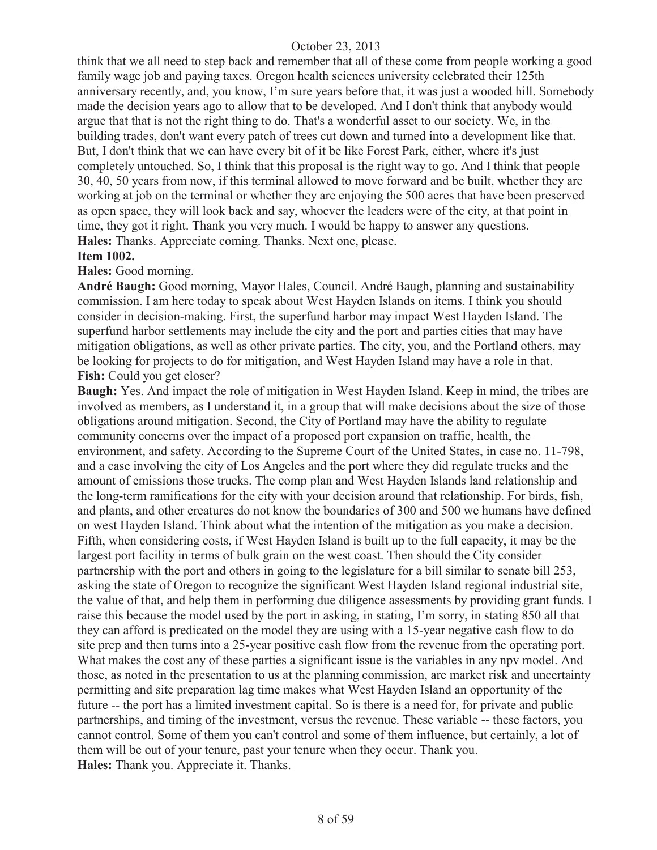think that we all need to step back and remember that all of these come from people working a good family wage job and paying taxes. Oregon health sciences university celebrated their 125th anniversary recently, and, you know, I'm sure years before that, it was just a wooded hill. Somebody made the decision years ago to allow that to be developed. And I don't think that anybody would argue that that is not the right thing to do. That's a wonderful asset to our society. We, in the building trades, don't want every patch of trees cut down and turned into a development like that. But, I don't think that we can have every bit of it be like Forest Park, either, where it's just completely untouched. So, I think that this proposal is the right way to go. And I think that people 30, 40, 50 years from now, if this terminal allowed to move forward and be built, whether they are working at job on the terminal or whether they are enjoying the 500 acres that have been preserved as open space, they will look back and say, whoever the leaders were of the city, at that point in time, they got it right. Thank you very much. I would be happy to answer any questions. **Hales:** Thanks. Appreciate coming. Thanks. Next one, please.

#### **Item 1002.**

#### **Hales:** Good morning.

**André Baugh:** Good morning, Mayor Hales, Council. André Baugh, planning and sustainability commission. I am here today to speak about West Hayden Islands on items. I think you should consider in decision-making. First, the superfund harbor may impact West Hayden Island. The superfund harbor settlements may include the city and the port and parties cities that may have mitigation obligations, as well as other private parties. The city, you, and the Portland others, may be looking for projects to do for mitigation, and West Hayden Island may have a role in that. **Fish:** Could you get closer?

**Baugh:** Yes. And impact the role of mitigation in West Hayden Island. Keep in mind, the tribes are involved as members, as I understand it, in a group that will make decisions about the size of those obligations around mitigation. Second, the City of Portland may have the ability to regulate community concerns over the impact of a proposed port expansion on traffic, health, the environment, and safety. According to the Supreme Court of the United States, in case no. 11-798, and a case involving the city of Los Angeles and the port where they did regulate trucks and the amount of emissions those trucks. The comp plan and West Hayden Islands land relationship and the long-term ramifications for the city with your decision around that relationship. For birds, fish, and plants, and other creatures do not know the boundaries of 300 and 500 we humans have defined on west Hayden Island. Think about what the intention of the mitigation as you make a decision. Fifth, when considering costs, if West Hayden Island is built up to the full capacity, it may be the largest port facility in terms of bulk grain on the west coast. Then should the City consider partnership with the port and others in going to the legislature for a bill similar to senate bill 253, asking the state of Oregon to recognize the significant West Hayden Island regional industrial site, the value of that, and help them in performing due diligence assessments by providing grant funds. I raise this because the model used by the port in asking, in stating, I'm sorry, in stating 850 all that they can afford is predicated on the model they are using with a 15-year negative cash flow to do site prep and then turns into a 25-year positive cash flow from the revenue from the operating port. What makes the cost any of these parties a significant issue is the variables in any npv model. And those, as noted in the presentation to us at the planning commission, are market risk and uncertainty permitting and site preparation lag time makes what West Hayden Island an opportunity of the future -- the port has a limited investment capital. So is there is a need for, for private and public partnerships, and timing of the investment, versus the revenue. These variable -- these factors, you cannot control. Some of them you can't control and some of them influence, but certainly, a lot of them will be out of your tenure, past your tenure when they occur. Thank you. **Hales:** Thank you. Appreciate it. Thanks.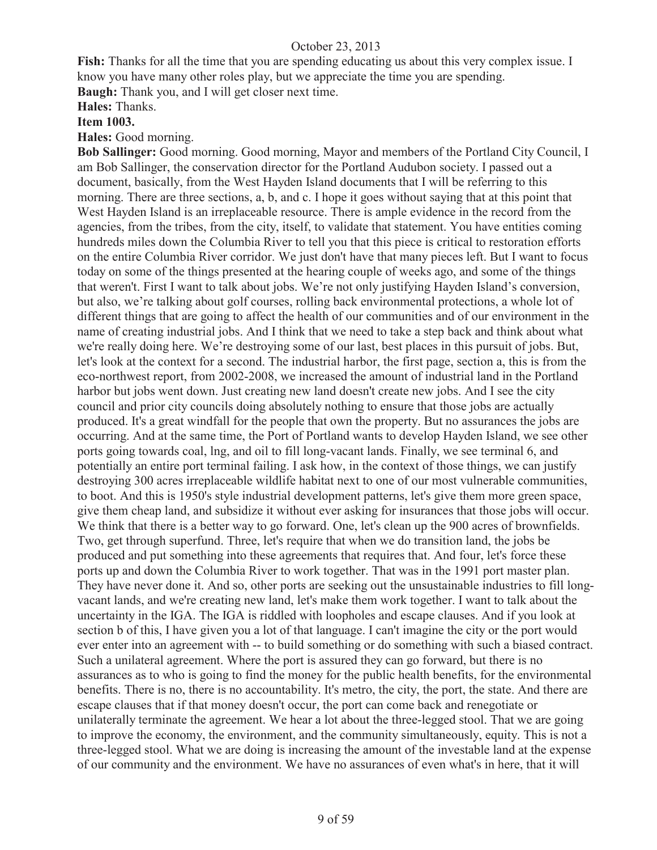**Fish:** Thanks for all the time that you are spending educating us about this very complex issue. I know you have many other roles play, but we appreciate the time you are spending. **Baugh:** Thank you, and I will get closer next time.

**Hales:** Thanks.

## **Item 1003.**

**Hales:** Good morning.

**Bob Sallinger:** Good morning. Good morning, Mayor and members of the Portland City Council, I am Bob Sallinger, the conservation director for the Portland Audubon society. I passed out a document, basically, from the West Hayden Island documents that I will be referring to this morning. There are three sections, a, b, and c. I hope it goes without saying that at this point that West Hayden Island is an irreplaceable resource. There is ample evidence in the record from the agencies, from the tribes, from the city, itself, to validate that statement. You have entities coming hundreds miles down the Columbia River to tell you that this piece is critical to restoration efforts on the entire Columbia River corridor. We just don't have that many pieces left. But I want to focus today on some of the things presented at the hearing couple of weeks ago, and some of the things that weren't. First I want to talk about jobs. We're not only justifying Hayden Island's conversion, but also, we're talking about golf courses, rolling back environmental protections, a whole lot of different things that are going to affect the health of our communities and of our environment in the name of creating industrial jobs. And I think that we need to take a step back and think about what we're really doing here. We're destroying some of our last, best places in this pursuit of jobs. But, let's look at the context for a second. The industrial harbor, the first page, section a, this is from the eco-northwest report, from 2002-2008, we increased the amount of industrial land in the Portland harbor but jobs went down. Just creating new land doesn't create new jobs. And I see the city council and prior city councils doing absolutely nothing to ensure that those jobs are actually produced. It's a great windfall for the people that own the property. But no assurances the jobs are occurring. And at the same time, the Port of Portland wants to develop Hayden Island, we see other ports going towards coal, lng, and oil to fill long-vacant lands. Finally, we see terminal 6, and potentially an entire port terminal failing. I ask how, in the context of those things, we can justify destroying 300 acres irreplaceable wildlife habitat next to one of our most vulnerable communities, to boot. And this is 1950's style industrial development patterns, let's give them more green space, give them cheap land, and subsidize it without ever asking for insurances that those jobs will occur. We think that there is a better way to go forward. One, let's clean up the 900 acres of brownfields. Two, get through superfund. Three, let's require that when we do transition land, the jobs be produced and put something into these agreements that requires that. And four, let's force these ports up and down the Columbia River to work together. That was in the 1991 port master plan. They have never done it. And so, other ports are seeking out the unsustainable industries to fill longvacant lands, and we're creating new land, let's make them work together. I want to talk about the uncertainty in the IGA. The IGA is riddled with loopholes and escape clauses. And if you look at section b of this, I have given you a lot of that language. I can't imagine the city or the port would ever enter into an agreement with -- to build something or do something with such a biased contract. Such a unilateral agreement. Where the port is assured they can go forward, but there is no assurances as to who is going to find the money for the public health benefits, for the environmental benefits. There is no, there is no accountability. It's metro, the city, the port, the state. And there are escape clauses that if that money doesn't occur, the port can come back and renegotiate or unilaterally terminate the agreement. We hear a lot about the three-legged stool. That we are going to improve the economy, the environment, and the community simultaneously, equity. This is not a three-legged stool. What we are doing is increasing the amount of the investable land at the expense of our community and the environment. We have no assurances of even what's in here, that it will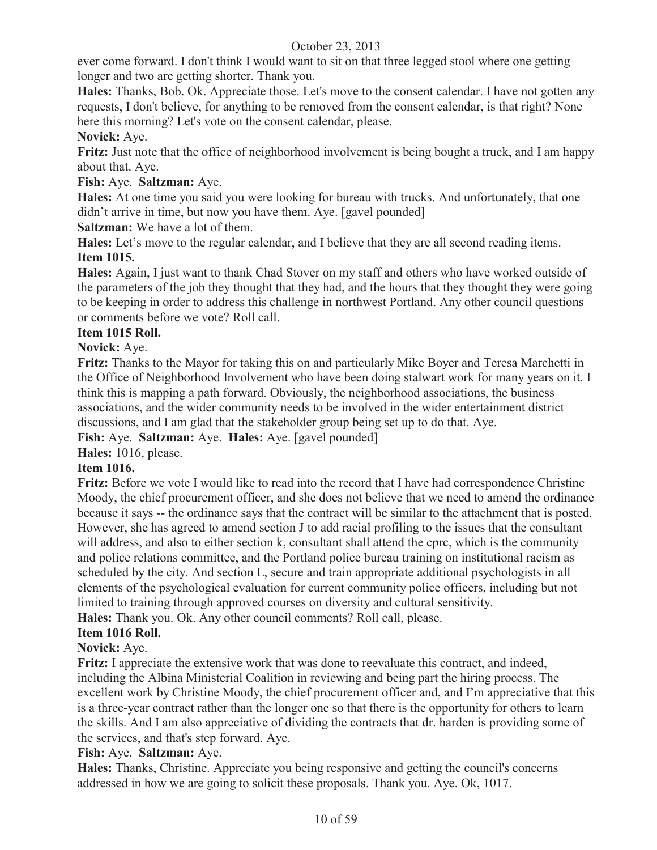ever come forward. I don't think I would want to sit on that three legged stool where one getting longer and two are getting shorter. Thank you.

**Hales:** Thanks, Bob. Ok. Appreciate those. Let's move to the consent calendar. I have not gotten any requests, I don't believe, for anything to be removed from the consent calendar, is that right? None here this morning? Let's vote on the consent calendar, please.

## **Novick:** Aye.

**Fritz:** Just note that the office of neighborhood involvement is being bought a truck, and I am happy about that. Aye.

## **Fish:** Aye. **Saltzman:** Aye.

**Hales:** At one time you said you were looking for bureau with trucks. And unfortunately, that one didn't arrive in time, but now you have them. Aye. [gavel pounded]

**Saltzman:** We have a lot of them.

**Hales:** Let's move to the regular calendar, and I believe that they are all second reading items. **Item 1015.**

**Hales:** Again, I just want to thank Chad Stover on my staff and others who have worked outside of the parameters of the job they thought that they had, and the hours that they thought they were going to be keeping in order to address this challenge in northwest Portland. Any other council questions or comments before we vote? Roll call.

## **Item 1015 Roll.**

## **Novick:** Aye.

**Fritz:** Thanks to the Mayor for taking this on and particularly Mike Boyer and Teresa Marchetti in the Office of Neighborhood Involvement who have been doing stalwart work for many years on it. I think this is mapping a path forward. Obviously, the neighborhood associations, the business associations, and the wider community needs to be involved in the wider entertainment district discussions, and I am glad that the stakeholder group being set up to do that. Aye.

**Fish:** Aye. **Saltzman:** Aye. **Hales:** Aye. [gavel pounded]

**Hales:** 1016, please.

## **Item 1016.**

**Fritz:** Before we vote I would like to read into the record that I have had correspondence Christine Moody, the chief procurement officer, and she does not believe that we need to amend the ordinance because it says -- the ordinance says that the contract will be similar to the attachment that is posted. However, she has agreed to amend section J to add racial profiling to the issues that the consultant will address, and also to either section k, consultant shall attend the cprc, which is the community and police relations committee, and the Portland police bureau training on institutional racism as scheduled by the city. And section L, secure and train appropriate additional psychologists in all elements of the psychological evaluation for current community police officers, including but not limited to training through approved courses on diversity and cultural sensitivity.

**Hales:** Thank you. Ok. Any other council comments? Roll call, please.

## **Item 1016 Roll.**

## **Novick:** Aye.

**Fritz:** I appreciate the extensive work that was done to reevaluate this contract, and indeed, including the Albina Ministerial Coalition in reviewing and being part the hiring process. The excellent work by Christine Moody, the chief procurement officer and, and I'm appreciative that this is a three-year contract rather than the longer one so that there is the opportunity for others to learn the skills. And I am also appreciative of dividing the contracts that dr. harden is providing some of the services, and that's step forward. Aye.

## **Fish:** Aye. **Saltzman:** Aye.

**Hales:** Thanks, Christine. Appreciate you being responsive and getting the council's concerns addressed in how we are going to solicit these proposals. Thank you. Aye. Ok, 1017.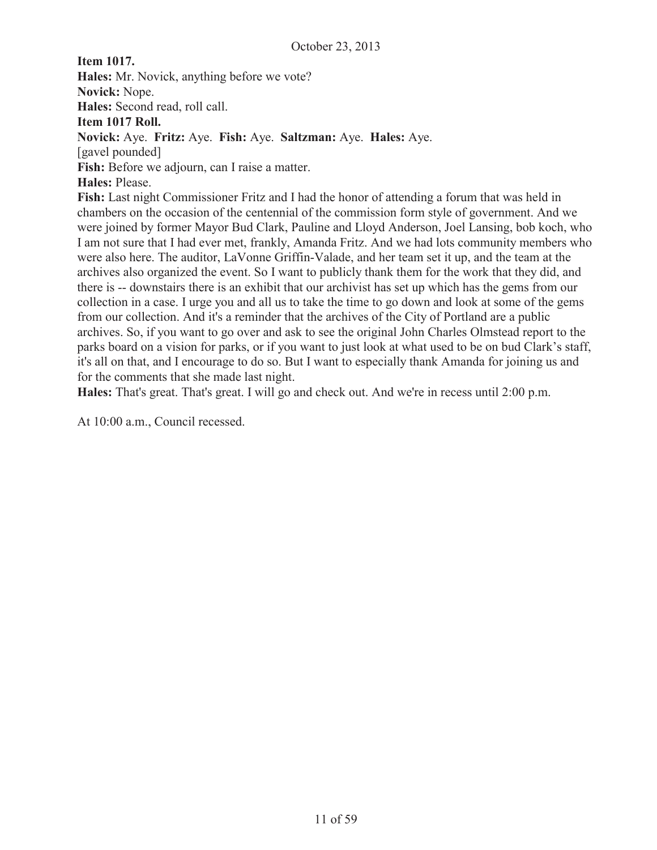**Item 1017. Hales:** Mr. Novick, anything before we vote? **Novick:** Nope. **Hales:** Second read, roll call. **Item 1017 Roll. Novick:** Aye. **Fritz:** Aye. **Fish:** Aye. **Saltzman:** Aye. **Hales:** Aye. [gavel pounded] **Fish:** Before we adjourn, can I raise a matter. **Hales:** Please. **Fish:** Last night Commissioner Fritz and I had the honor of attending a forum that was held in chambers on the occasion of the centennial of the commission form style of government. And we were joined by former Mayor Bud Clark, Pauline and Lloyd Anderson, Joel Lansing, bob koch, who I am not sure that I had ever met, frankly, Amanda Fritz. And we had lots community members who were also here. The auditor, LaVonne Griffin-Valade, and her team set it up, and the team at the archives also organized the event. So I want to publicly thank them for the work that they did, and there is -- downstairs there is an exhibit that our archivist has set up which has the gems from our collection in a case. I urge you and all us to take the time to go down and look at some of the gems from our collection. And it's a reminder that the archives of the City of Portland are a public archives. So, if you want to go over and ask to see the original John Charles Olmstead report to the

parks board on a vision for parks, or if you want to just look at what used to be on bud Clark's staff, it's all on that, and I encourage to do so. But I want to especially thank Amanda for joining us and for the comments that she made last night.

**Hales:** That's great. That's great. I will go and check out. And we're in recess until 2:00 p.m.

At 10:00 a.m., Council recessed.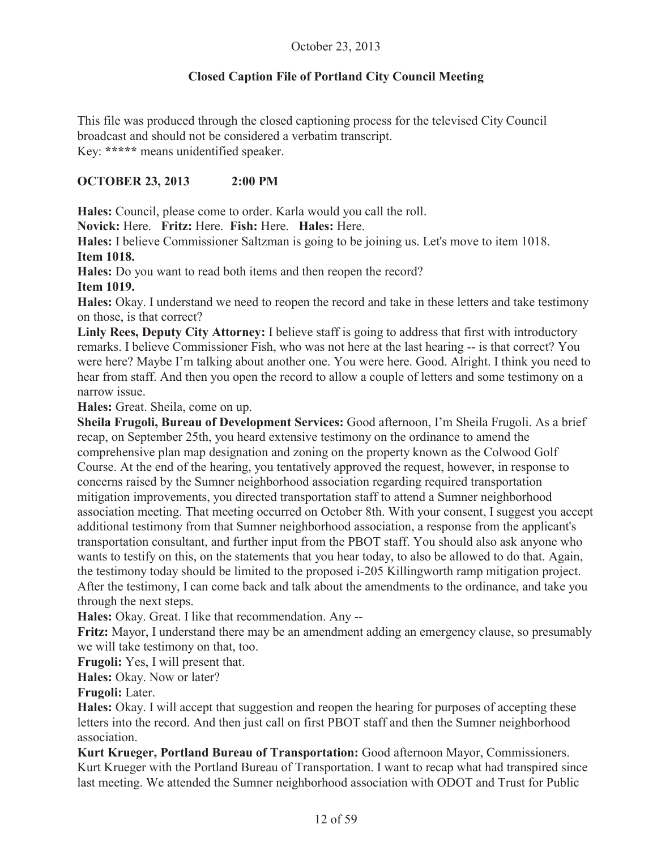## **Closed Caption File of Portland City Council Meeting**

This file was produced through the closed captioning process for the televised City Council broadcast and should not be considered a verbatim transcript. Key: **\*\*\*\*\*** means unidentified speaker.

## **OCTOBER 23, 2013 2:00 PM**

**Hales:** Council, please come to order. Karla would you call the roll.

**Novick:** Here. **Fritz:** Here. **Fish:** Here. **Hales:** Here.

**Hales:** I believe Commissioner Saltzman is going to be joining us. Let's move to item 1018. **Item 1018.**

**Hales:** Do you want to read both items and then reopen the record?

**Item 1019.** 

**Hales:** Okay. I understand we need to reopen the record and take in these letters and take testimony on those, is that correct?

**Linly Rees, Deputy City Attorney:** I believe staff is going to address that first with introductory remarks. I believe Commissioner Fish, who was not here at the last hearing -- is that correct? You were here? Maybe I'm talking about another one. You were here. Good. Alright. I think you need to hear from staff. And then you open the record to allow a couple of letters and some testimony on a narrow issue.

**Hales:** Great. Sheila, come on up.

**Sheila Frugoli, Bureau of Development Services:** Good afternoon, I'm Sheila Frugoli. As a brief recap, on September 25th, you heard extensive testimony on the ordinance to amend the comprehensive plan map designation and zoning on the property known as the Colwood Golf Course. At the end of the hearing, you tentatively approved the request, however, in response to concerns raised by the Sumner neighborhood association regarding required transportation mitigation improvements, you directed transportation staff to attend a Sumner neighborhood association meeting. That meeting occurred on October 8th. With your consent, I suggest you accept additional testimony from that Sumner neighborhood association, a response from the applicant's transportation consultant, and further input from the PBOT staff. You should also ask anyone who wants to testify on this, on the statements that you hear today, to also be allowed to do that. Again, the testimony today should be limited to the proposed i-205 Killingworth ramp mitigation project. After the testimony, I can come back and talk about the amendments to the ordinance, and take you through the next steps.

**Hales:** Okay. Great. I like that recommendation. Any --

**Fritz:** Mayor, I understand there may be an amendment adding an emergency clause, so presumably we will take testimony on that, too.

**Frugoli:** Yes, I will present that.

**Hales:** Okay. Now or later?

**Frugoli:** Later.

**Hales:** Okay. I will accept that suggestion and reopen the hearing for purposes of accepting these letters into the record. And then just call on first PBOT staff and then the Sumner neighborhood association.

**Kurt Krueger, Portland Bureau of Transportation:** Good afternoon Mayor, Commissioners. Kurt Krueger with the Portland Bureau of Transportation. I want to recap what had transpired since last meeting. We attended the Sumner neighborhood association with ODOT and Trust for Public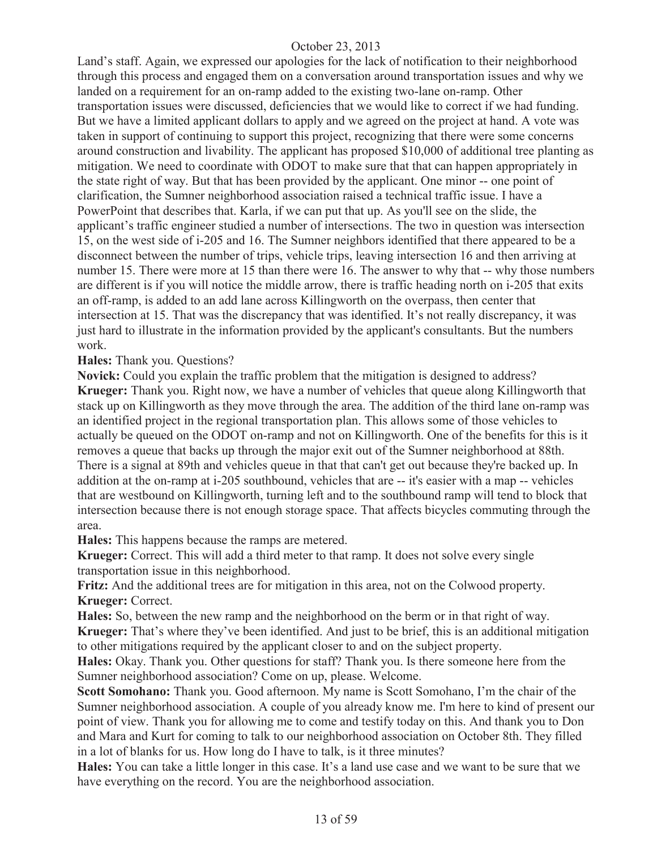Land's staff. Again, we expressed our apologies for the lack of notification to their neighborhood through this process and engaged them on a conversation around transportation issues and why we landed on a requirement for an on-ramp added to the existing two-lane on-ramp. Other transportation issues were discussed, deficiencies that we would like to correct if we had funding. But we have a limited applicant dollars to apply and we agreed on the project at hand. A vote was taken in support of continuing to support this project, recognizing that there were some concerns around construction and livability. The applicant has proposed \$10,000 of additional tree planting as mitigation. We need to coordinate with ODOT to make sure that that can happen appropriately in the state right of way. But that has been provided by the applicant. One minor -- one point of clarification, the Sumner neighborhood association raised a technical traffic issue. I have a PowerPoint that describes that. Karla, if we can put that up. As you'll see on the slide, the applicant's traffic engineer studied a number of intersections. The two in question was intersection 15, on the west side of i-205 and 16. The Sumner neighbors identified that there appeared to be a disconnect between the number of trips, vehicle trips, leaving intersection 16 and then arriving at number 15. There were more at 15 than there were 16. The answer to why that -- why those numbers are different is if you will notice the middle arrow, there is traffic heading north on i-205 that exits an off-ramp, is added to an add lane across Killingworth on the overpass, then center that intersection at 15. That was the discrepancy that was identified. It's not really discrepancy, it was just hard to illustrate in the information provided by the applicant's consultants. But the numbers work.

**Hales:** Thank you. Questions?

**Novick:** Could you explain the traffic problem that the mitigation is designed to address? **Krueger:** Thank you. Right now, we have a number of vehicles that queue along Killingworth that stack up on Killingworth as they move through the area. The addition of the third lane on-ramp was an identified project in the regional transportation plan. This allows some of those vehicles to actually be queued on the ODOT on-ramp and not on Killingworth. One of the benefits for this is it removes a queue that backs up through the major exit out of the Sumner neighborhood at 88th. There is a signal at 89th and vehicles queue in that that can't get out because they're backed up. In addition at the on-ramp at i-205 southbound, vehicles that are -- it's easier with a map -- vehicles that are westbound on Killingworth, turning left and to the southbound ramp will tend to block that intersection because there is not enough storage space. That affects bicycles commuting through the area.

**Hales:** This happens because the ramps are metered.

**Krueger:** Correct. This will add a third meter to that ramp. It does not solve every single transportation issue in this neighborhood.

**Fritz:** And the additional trees are for mitigation in this area, not on the Colwood property. **Krueger:** Correct.

**Hales:** So, between the new ramp and the neighborhood on the berm or in that right of way. **Krueger:** That's where they've been identified. And just to be brief, this is an additional mitigation to other mitigations required by the applicant closer to and on the subject property.

**Hales:** Okay. Thank you. Other questions for staff? Thank you. Is there someone here from the Sumner neighborhood association? Come on up, please. Welcome.

**Scott Somohano:** Thank you. Good afternoon. My name is Scott Somohano, I'm the chair of the Sumner neighborhood association. A couple of you already know me. I'm here to kind of present our point of view. Thank you for allowing me to come and testify today on this. And thank you to Don and Mara and Kurt for coming to talk to our neighborhood association on October 8th. They filled in a lot of blanks for us. How long do I have to talk, is it three minutes?

**Hales:** You can take a little longer in this case. It's a land use case and we want to be sure that we have everything on the record. You are the neighborhood association.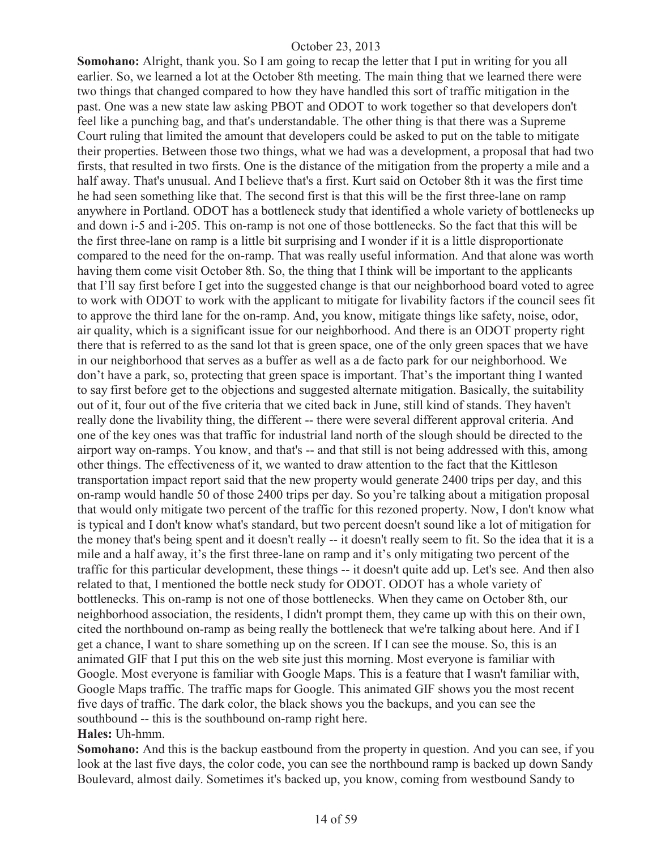**Somohano:** Alright, thank you. So I am going to recap the letter that I put in writing for you all earlier. So, we learned a lot at the October 8th meeting. The main thing that we learned there were two things that changed compared to how they have handled this sort of traffic mitigation in the past. One was a new state law asking PBOT and ODOT to work together so that developers don't feel like a punching bag, and that's understandable. The other thing is that there was a Supreme Court ruling that limited the amount that developers could be asked to put on the table to mitigate their properties. Between those two things, what we had was a development, a proposal that had two firsts, that resulted in two firsts. One is the distance of the mitigation from the property a mile and a half away. That's unusual. And I believe that's a first. Kurt said on October 8th it was the first time he had seen something like that. The second first is that this will be the first three-lane on ramp anywhere in Portland. ODOT has a bottleneck study that identified a whole variety of bottlenecks up and down i-5 and i-205. This on-ramp is not one of those bottlenecks. So the fact that this will be the first three-lane on ramp is a little bit surprising and I wonder if it is a little disproportionate compared to the need for the on-ramp. That was really useful information. And that alone was worth having them come visit October 8th. So, the thing that I think will be important to the applicants that I'll say first before I get into the suggested change is that our neighborhood board voted to agree to work with ODOT to work with the applicant to mitigate for livability factors if the council sees fit to approve the third lane for the on-ramp. And, you know, mitigate things like safety, noise, odor, air quality, which is a significant issue for our neighborhood. And there is an ODOT property right there that is referred to as the sand lot that is green space, one of the only green spaces that we have in our neighborhood that serves as a buffer as well as a de facto park for our neighborhood. We don't have a park, so, protecting that green space is important. That's the important thing I wanted to say first before get to the objections and suggested alternate mitigation. Basically, the suitability out of it, four out of the five criteria that we cited back in June, still kind of stands. They haven't really done the livability thing, the different -- there were several different approval criteria. And one of the key ones was that traffic for industrial land north of the slough should be directed to the airport way on-ramps. You know, and that's -- and that still is not being addressed with this, among other things. The effectiveness of it, we wanted to draw attention to the fact that the Kittleson transportation impact report said that the new property would generate 2400 trips per day, and this on-ramp would handle 50 of those 2400 trips per day. So you're talking about a mitigation proposal that would only mitigate two percent of the traffic for this rezoned property. Now, I don't know what is typical and I don't know what's standard, but two percent doesn't sound like a lot of mitigation for the money that's being spent and it doesn't really -- it doesn't really seem to fit. So the idea that it is a mile and a half away, it's the first three-lane on ramp and it's only mitigating two percent of the traffic for this particular development, these things -- it doesn't quite add up. Let's see. And then also related to that, I mentioned the bottle neck study for ODOT. ODOT has a whole variety of bottlenecks. This on-ramp is not one of those bottlenecks. When they came on October 8th, our neighborhood association, the residents, I didn't prompt them, they came up with this on their own, cited the northbound on-ramp as being really the bottleneck that we're talking about here. And if I get a chance, I want to share something up on the screen. If I can see the mouse. So, this is an animated GIF that I put this on the web site just this morning. Most everyone is familiar with Google. Most everyone is familiar with Google Maps. This is a feature that I wasn't familiar with, Google Maps traffic. The traffic maps for Google. This animated GIF shows you the most recent five days of traffic. The dark color, the black shows you the backups, and you can see the southbound -- this is the southbound on-ramp right here. **Hales:** Uh-hmm.

**Somohano:** And this is the backup eastbound from the property in question. And you can see, if you look at the last five days, the color code, you can see the northbound ramp is backed up down Sandy Boulevard, almost daily. Sometimes it's backed up, you know, coming from westbound Sandy to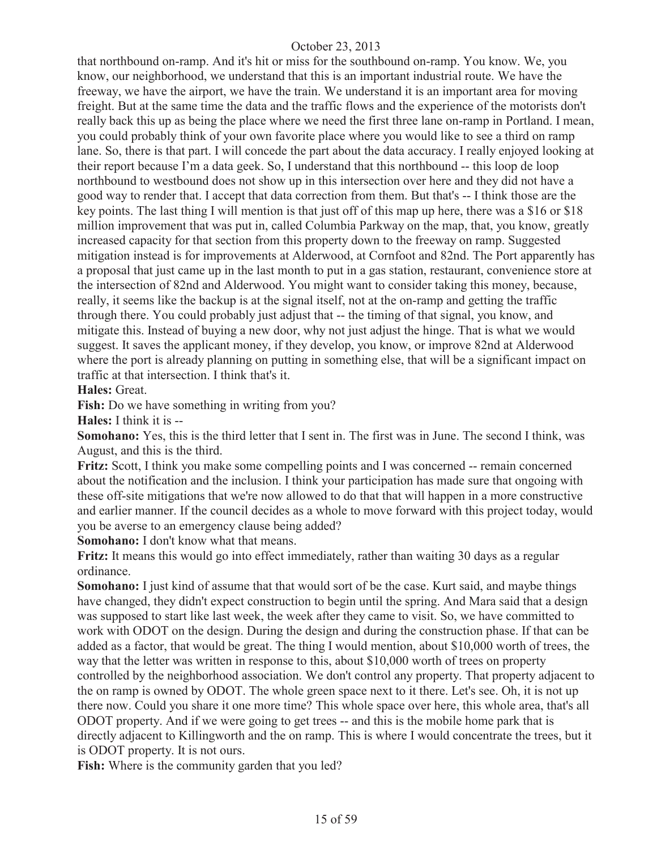that northbound on-ramp. And it's hit or miss for the southbound on-ramp. You know. We, you know, our neighborhood, we understand that this is an important industrial route. We have the freeway, we have the airport, we have the train. We understand it is an important area for moving freight. But at the same time the data and the traffic flows and the experience of the motorists don't really back this up as being the place where we need the first three lane on-ramp in Portland. I mean, you could probably think of your own favorite place where you would like to see a third on ramp lane. So, there is that part. I will concede the part about the data accuracy. I really enjoyed looking at their report because I'm a data geek. So, I understand that this northbound -- this loop de loop northbound to westbound does not show up in this intersection over here and they did not have a good way to render that. I accept that data correction from them. But that's -- I think those are the key points. The last thing I will mention is that just off of this map up here, there was a \$16 or \$18 million improvement that was put in, called Columbia Parkway on the map, that, you know, greatly increased capacity for that section from this property down to the freeway on ramp. Suggested mitigation instead is for improvements at Alderwood, at Cornfoot and 82nd. The Port apparently has a proposal that just came up in the last month to put in a gas station, restaurant, convenience store at the intersection of 82nd and Alderwood. You might want to consider taking this money, because, really, it seems like the backup is at the signal itself, not at the on-ramp and getting the traffic through there. You could probably just adjust that -- the timing of that signal, you know, and mitigate this. Instead of buying a new door, why not just adjust the hinge. That is what we would suggest. It saves the applicant money, if they develop, you know, or improve 82nd at Alderwood where the port is already planning on putting in something else, that will be a significant impact on traffic at that intersection. I think that's it.

**Hales:** Great.

**Fish:** Do we have something in writing from you?

**Hales:** I think it is --

**Somohano:** Yes, this is the third letter that I sent in. The first was in June. The second I think, was August, and this is the third.

**Fritz:** Scott, I think you make some compelling points and I was concerned -- remain concerned about the notification and the inclusion. I think your participation has made sure that ongoing with these off-site mitigations that we're now allowed to do that that will happen in a more constructive and earlier manner. If the council decides as a whole to move forward with this project today, would you be averse to an emergency clause being added?

**Somohano:** I don't know what that means.

**Fritz:** It means this would go into effect immediately, rather than waiting 30 days as a regular ordinance.

**Somohano:** I just kind of assume that that would sort of be the case. Kurt said, and maybe things have changed, they didn't expect construction to begin until the spring. And Mara said that a design was supposed to start like last week, the week after they came to visit. So, we have committed to work with ODOT on the design. During the design and during the construction phase. If that can be added as a factor, that would be great. The thing I would mention, about \$10,000 worth of trees, the way that the letter was written in response to this, about \$10,000 worth of trees on property controlled by the neighborhood association. We don't control any property. That property adjacent to the on ramp is owned by ODOT. The whole green space next to it there. Let's see. Oh, it is not up there now. Could you share it one more time? This whole space over here, this whole area, that's all ODOT property. And if we were going to get trees -- and this is the mobile home park that is directly adjacent to Killingworth and the on ramp. This is where I would concentrate the trees, but it is ODOT property. It is not ours.

Fish: Where is the community garden that you led?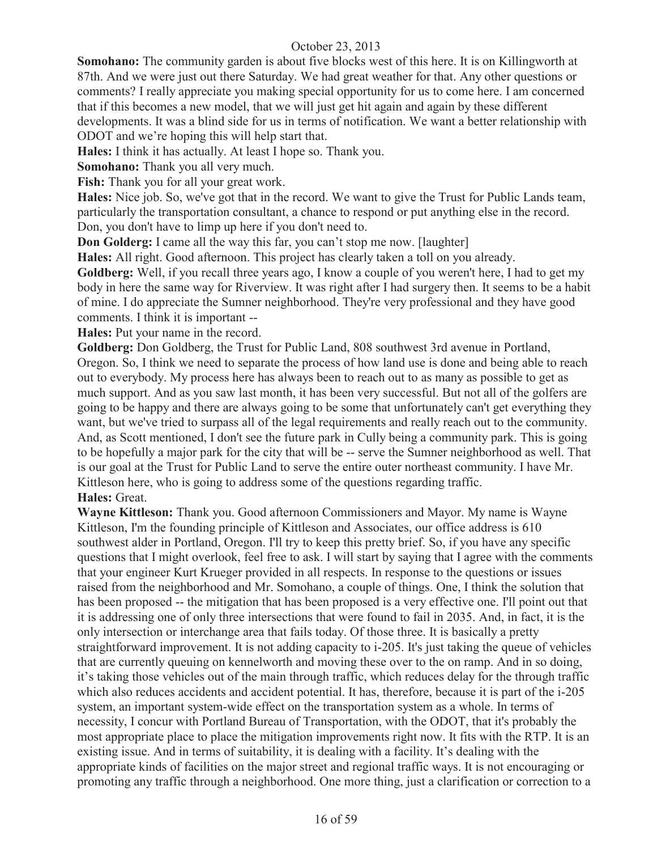**Somohano:** The community garden is about five blocks west of this here. It is on Killingworth at 87th. And we were just out there Saturday. We had great weather for that. Any other questions or comments? I really appreciate you making special opportunity for us to come here. I am concerned that if this becomes a new model, that we will just get hit again and again by these different developments. It was a blind side for us in terms of notification. We want a better relationship with ODOT and we're hoping this will help start that.

**Hales:** I think it has actually. At least I hope so. Thank you.

**Somohano:** Thank you all very much.

**Fish:** Thank you for all your great work.

**Hales:** Nice job. So, we've got that in the record. We want to give the Trust for Public Lands team, particularly the transportation consultant, a chance to respond or put anything else in the record. Don, you don't have to limp up here if you don't need to.

**Don Golderg:** I came all the way this far, you can't stop me now. [laughter]

**Hales:** All right. Good afternoon. This project has clearly taken a toll on you already.

**Goldberg:** Well, if you recall three years ago, I know a couple of you weren't here, I had to get my body in here the same way for Riverview. It was right after I had surgery then. It seems to be a habit of mine. I do appreciate the Sumner neighborhood. They're very professional and they have good comments. I think it is important --

**Hales:** Put your name in the record.

**Goldberg:** Don Goldberg, the Trust for Public Land, 808 southwest 3rd avenue in Portland, Oregon. So, I think we need to separate the process of how land use is done and being able to reach out to everybody. My process here has always been to reach out to as many as possible to get as much support. And as you saw last month, it has been very successful. But not all of the golfers are going to be happy and there are always going to be some that unfortunately can't get everything they want, but we've tried to surpass all of the legal requirements and really reach out to the community. And, as Scott mentioned, I don't see the future park in Cully being a community park. This is going to be hopefully a major park for the city that will be -- serve the Sumner neighborhood as well. That is our goal at the Trust for Public Land to serve the entire outer northeast community. I have Mr. Kittleson here, who is going to address some of the questions regarding traffic. **Hales:** Great.

**Wayne Kittleson:** Thank you. Good afternoon Commissioners and Mayor. My name is Wayne Kittleson, I'm the founding principle of Kittleson and Associates, our office address is 610 southwest alder in Portland, Oregon. I'll try to keep this pretty brief. So, if you have any specific questions that I might overlook, feel free to ask. I will start by saying that I agree with the comments that your engineer Kurt Krueger provided in all respects. In response to the questions or issues raised from the neighborhood and Mr. Somohano, a couple of things. One, I think the solution that has been proposed -- the mitigation that has been proposed is a very effective one. I'll point out that it is addressing one of only three intersections that were found to fail in 2035. And, in fact, it is the only intersection or interchange area that fails today. Of those three. It is basically a pretty straightforward improvement. It is not adding capacity to i-205. It's just taking the queue of vehicles that are currently queuing on kennelworth and moving these over to the on ramp. And in so doing, it's taking those vehicles out of the main through traffic, which reduces delay for the through traffic which also reduces accidents and accident potential. It has, therefore, because it is part of the i-205 system, an important system-wide effect on the transportation system as a whole. In terms of necessity, I concur with Portland Bureau of Transportation, with the ODOT, that it's probably the most appropriate place to place the mitigation improvements right now. It fits with the RTP. It is an existing issue. And in terms of suitability, it is dealing with a facility. It's dealing with the appropriate kinds of facilities on the major street and regional traffic ways. It is not encouraging or promoting any traffic through a neighborhood. One more thing, just a clarification or correction to a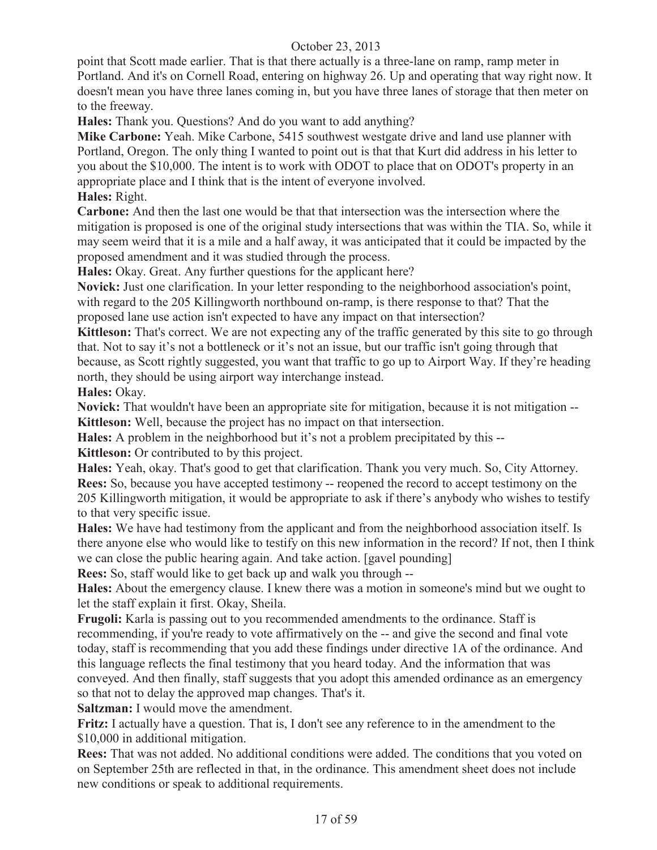point that Scott made earlier. That is that there actually is a three-lane on ramp, ramp meter in Portland. And it's on Cornell Road, entering on highway 26. Up and operating that way right now. It doesn't mean you have three lanes coming in, but you have three lanes of storage that then meter on to the freeway.

**Hales:** Thank you. Questions? And do you want to add anything?

**Mike Carbone:** Yeah. Mike Carbone, 5415 southwest westgate drive and land use planner with Portland, Oregon. The only thing I wanted to point out is that that Kurt did address in his letter to you about the \$10,000. The intent is to work with ODOT to place that on ODOT's property in an appropriate place and I think that is the intent of everyone involved. **Hales:** Right.

**Carbone:** And then the last one would be that that intersection was the intersection where the mitigation is proposed is one of the original study intersections that was within the TIA. So, while it may seem weird that it is a mile and a half away, it was anticipated that it could be impacted by the proposed amendment and it was studied through the process.

**Hales:** Okay. Great. Any further questions for the applicant here?

**Novick:** Just one clarification. In your letter responding to the neighborhood association's point, with regard to the 205 Killingworth northbound on-ramp, is there response to that? That the proposed lane use action isn't expected to have any impact on that intersection?

**Kittleson:** That's correct. We are not expecting any of the traffic generated by this site to go through that. Not to say it's not a bottleneck or it's not an issue, but our traffic isn't going through that because, as Scott rightly suggested, you want that traffic to go up to Airport Way. If they're heading north, they should be using airport way interchange instead.

**Hales:** Okay.

**Novick:** That wouldn't have been an appropriate site for mitigation, because it is not mitigation -- **Kittleson:** Well, because the project has no impact on that intersection.

**Hales:** A problem in the neighborhood but it's not a problem precipitated by this --

**Kittleson:** Or contributed to by this project.

**Hales:** Yeah, okay. That's good to get that clarification. Thank you very much. So, City Attorney. **Rees:** So, because you have accepted testimony -- reopened the record to accept testimony on the 205 Killingworth mitigation, it would be appropriate to ask if there's anybody who wishes to testify to that very specific issue.

**Hales:** We have had testimony from the applicant and from the neighborhood association itself. Is there anyone else who would like to testify on this new information in the record? If not, then I think we can close the public hearing again. And take action. [gavel pounding]

**Rees:** So, staff would like to get back up and walk you through --

**Hales:** About the emergency clause. I knew there was a motion in someone's mind but we ought to let the staff explain it first. Okay, Sheila.

**Frugoli:** Karla is passing out to you recommended amendments to the ordinance. Staff is recommending, if you're ready to vote affirmatively on the -- and give the second and final vote today, staff is recommending that you add these findings under directive 1A of the ordinance. And this language reflects the final testimony that you heard today. And the information that was conveyed. And then finally, staff suggests that you adopt this amended ordinance as an emergency so that not to delay the approved map changes. That's it.

**Saltzman:** I would move the amendment.

**Fritz:** I actually have a question. That is, I don't see any reference to in the amendment to the \$10,000 in additional mitigation.

**Rees:** That was not added. No additional conditions were added. The conditions that you voted on on September 25th are reflected in that, in the ordinance. This amendment sheet does not include new conditions or speak to additional requirements.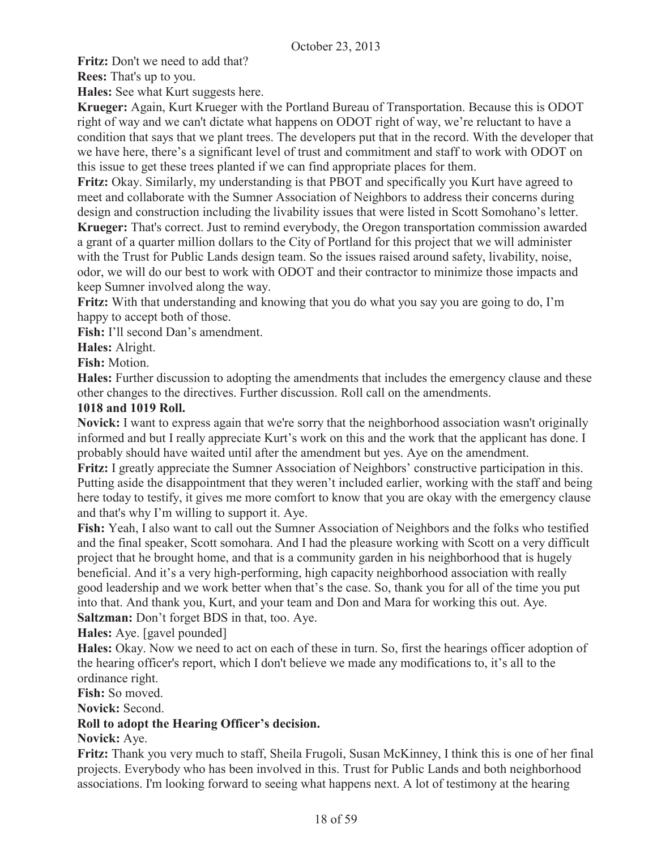**Fritz:** Don't we need to add that?

**Rees:** That's up to you.

**Hales:** See what Kurt suggests here.

**Krueger:** Again, Kurt Krueger with the Portland Bureau of Transportation. Because this is ODOT right of way and we can't dictate what happens on ODOT right of way, we're reluctant to have a condition that says that we plant trees. The developers put that in the record. With the developer that we have here, there's a significant level of trust and commitment and staff to work with ODOT on this issue to get these trees planted if we can find appropriate places for them.

**Fritz:** Okay. Similarly, my understanding is that PBOT and specifically you Kurt have agreed to meet and collaborate with the Sumner Association of Neighbors to address their concerns during design and construction including the livability issues that were listed in Scott Somohano's letter.

**Krueger:** That's correct. Just to remind everybody, the Oregon transportation commission awarded a grant of a quarter million dollars to the City of Portland for this project that we will administer with the Trust for Public Lands design team. So the issues raised around safety, livability, noise, odor, we will do our best to work with ODOT and their contractor to minimize those impacts and keep Sumner involved along the way.

**Fritz:** With that understanding and knowing that you do what you say you are going to do, I'm happy to accept both of those.

**Fish:** I'll second Dan's amendment.

**Hales:** Alright.

**Fish:** Motion.

**Hales:** Further discussion to adopting the amendments that includes the emergency clause and these other changes to the directives. Further discussion. Roll call on the amendments.

#### **1018 and 1019 Roll.**

**Novick:** I want to express again that we're sorry that the neighborhood association wasn't originally informed and but I really appreciate Kurt's work on this and the work that the applicant has done. I probably should have waited until after the amendment but yes. Aye on the amendment.

**Fritz:** I greatly appreciate the Sumner Association of Neighbors' constructive participation in this. Putting aside the disappointment that they weren't included earlier, working with the staff and being here today to testify, it gives me more comfort to know that you are okay with the emergency clause and that's why I'm willing to support it. Aye.

**Fish:** Yeah, I also want to call out the Sumner Association of Neighbors and the folks who testified and the final speaker, Scott somohara. And I had the pleasure working with Scott on a very difficult project that he brought home, and that is a community garden in his neighborhood that is hugely beneficial. And it's a very high-performing, high capacity neighborhood association with really good leadership and we work better when that's the case. So, thank you for all of the time you put into that. And thank you, Kurt, and your team and Don and Mara for working this out. Aye. **Saltzman:** Don't forget BDS in that, too. Aye.

**Hales:** Aye. [gavel pounded]

**Hales:** Okay. Now we need to act on each of these in turn. So, first the hearings officer adoption of the hearing officer's report, which I don't believe we made any modifications to, it's all to the ordinance right.

**Fish:** So moved.

**Novick:** Second.

## **Roll to adopt the Hearing Officer's decision.**

## **Novick:** Aye.

**Fritz:** Thank you very much to staff, Sheila Frugoli, Susan McKinney, I think this is one of her final projects. Everybody who has been involved in this. Trust for Public Lands and both neighborhood associations. I'm looking forward to seeing what happens next. A lot of testimony at the hearing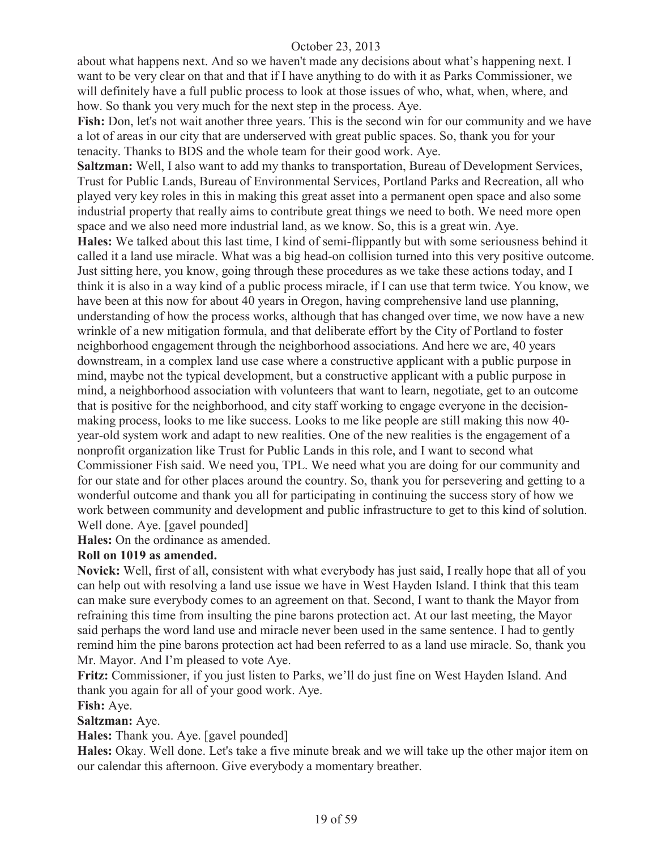about what happens next. And so we haven't made any decisions about what's happening next. I want to be very clear on that and that if I have anything to do with it as Parks Commissioner, we will definitely have a full public process to look at those issues of who, what, when, where, and how. So thank you very much for the next step in the process. Aye.

**Fish:** Don, let's not wait another three years. This is the second win for our community and we have a lot of areas in our city that are underserved with great public spaces. So, thank you for your tenacity. Thanks to BDS and the whole team for their good work. Aye.

**Saltzman:** Well, I also want to add my thanks to transportation, Bureau of Development Services, Trust for Public Lands, Bureau of Environmental Services, Portland Parks and Recreation, all who played very key roles in this in making this great asset into a permanent open space and also some industrial property that really aims to contribute great things we need to both. We need more open space and we also need more industrial land, as we know. So, this is a great win. Aye.

**Hales:** We talked about this last time, I kind of semi-flippantly but with some seriousness behind it called it a land use miracle. What was a big head-on collision turned into this very positive outcome. Just sitting here, you know, going through these procedures as we take these actions today, and I think it is also in a way kind of a public process miracle, if I can use that term twice. You know, we have been at this now for about 40 years in Oregon, having comprehensive land use planning, understanding of how the process works, although that has changed over time, we now have a new wrinkle of a new mitigation formula, and that deliberate effort by the City of Portland to foster neighborhood engagement through the neighborhood associations. And here we are, 40 years downstream, in a complex land use case where a constructive applicant with a public purpose in mind, maybe not the typical development, but a constructive applicant with a public purpose in mind, a neighborhood association with volunteers that want to learn, negotiate, get to an outcome that is positive for the neighborhood, and city staff working to engage everyone in the decisionmaking process, looks to me like success. Looks to me like people are still making this now 40 year-old system work and adapt to new realities. One of the new realities is the engagement of a nonprofit organization like Trust for Public Lands in this role, and I want to second what Commissioner Fish said. We need you, TPL. We need what you are doing for our community and for our state and for other places around the country. So, thank you for persevering and getting to a wonderful outcome and thank you all for participating in continuing the success story of how we work between community and development and public infrastructure to get to this kind of solution. Well done. Aye. [gavel pounded]

**Hales:** On the ordinance as amended.

#### **Roll on 1019 as amended.**

**Novick:** Well, first of all, consistent with what everybody has just said, I really hope that all of you can help out with resolving a land use issue we have in West Hayden Island. I think that this team can make sure everybody comes to an agreement on that. Second, I want to thank the Mayor from refraining this time from insulting the pine barons protection act. At our last meeting, the Mayor said perhaps the word land use and miracle never been used in the same sentence. I had to gently remind him the pine barons protection act had been referred to as a land use miracle. So, thank you Mr. Mayor. And I'm pleased to vote Aye.

**Fritz:** Commissioner, if you just listen to Parks, we'll do just fine on West Hayden Island. And thank you again for all of your good work. Aye.

**Fish:** Aye.

**Saltzman:** Aye.

**Hales:** Thank you. Aye. [gavel pounded]

**Hales:** Okay. Well done. Let's take a five minute break and we will take up the other major item on our calendar this afternoon. Give everybody a momentary breather.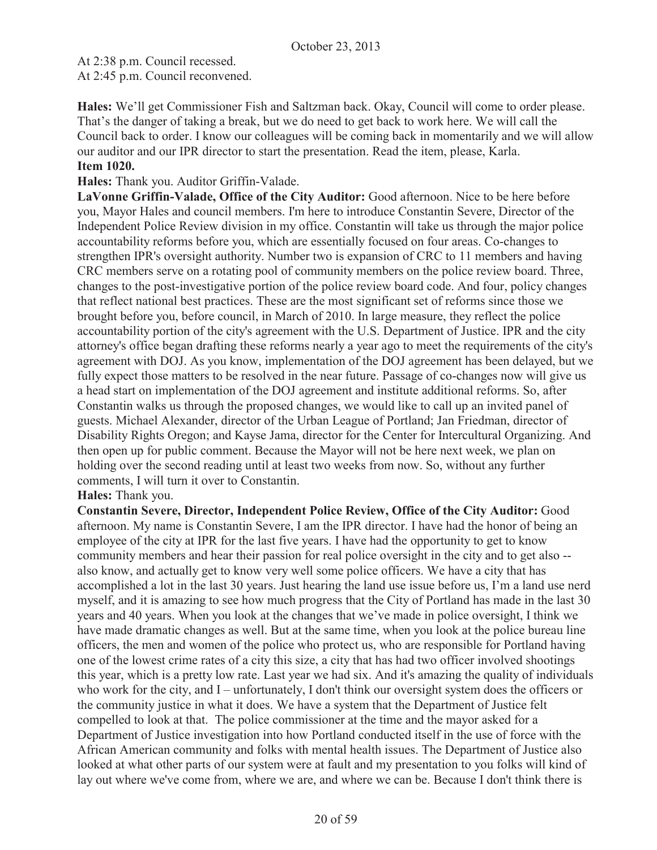At 2:38 p.m. Council recessed. At 2:45 p.m. Council reconvened.

**Hales:** We'll get Commissioner Fish and Saltzman back. Okay, Council will come to order please. That's the danger of taking a break, but we do need to get back to work here. We will call the Council back to order. I know our colleagues will be coming back in momentarily and we will allow our auditor and our IPR director to start the presentation. Read the item, please, Karla. **Item 1020.**

**Hales:** Thank you. Auditor Griffin-Valade.

LaVonne Griffin-Valade, Office of the City Auditor: Good afternoon. Nice to be here before you, Mayor Hales and council members. I'm here to introduce Constantin Severe, Director of the Independent Police Review division in my office. Constantin will take us through the major police accountability reforms before you, which are essentially focused on four areas. Co-changes to strengthen IPR's oversight authority. Number two is expansion of CRC to 11 members and having CRC members serve on a rotating pool of community members on the police review board. Three, changes to the post-investigative portion of the police review board code. And four, policy changes that reflect national best practices. These are the most significant set of reforms since those we brought before you, before council, in March of 2010. In large measure, they reflect the police accountability portion of the city's agreement with the U.S. Department of Justice. IPR and the city attorney's office began drafting these reforms nearly a year ago to meet the requirements of the city's agreement with DOJ. As you know, implementation of the DOJ agreement has been delayed, but we fully expect those matters to be resolved in the near future. Passage of co-changes now will give us a head start on implementation of the DOJ agreement and institute additional reforms. So, after Constantin walks us through the proposed changes, we would like to call up an invited panel of guests. Michael Alexander, director of the Urban League of Portland; Jan Friedman, director of Disability Rights Oregon; and Kayse Jama, director for the Center for Intercultural Organizing. And then open up for public comment. Because the Mayor will not be here next week, we plan on holding over the second reading until at least two weeks from now. So, without any further comments, I will turn it over to Constantin.

#### **Hales:** Thank you.

**Constantin Severe, Director, Independent Police Review, Office of the City Auditor:** Good afternoon. My name is Constantin Severe, I am the IPR director. I have had the honor of being an employee of the city at IPR for the last five years. I have had the opportunity to get to know community members and hear their passion for real police oversight in the city and to get also - also know, and actually get to know very well some police officers. We have a city that has accomplished a lot in the last 30 years. Just hearing the land use issue before us, I'm a land use nerd myself, and it is amazing to see how much progress that the City of Portland has made in the last 30 years and 40 years. When you look at the changes that we've made in police oversight, I think we have made dramatic changes as well. But at the same time, when you look at the police bureau line officers, the men and women of the police who protect us, who are responsible for Portland having one of the lowest crime rates of a city this size, a city that has had two officer involved shootings this year, which is a pretty low rate. Last year we had six. And it's amazing the quality of individuals who work for the city, and I – unfortunately, I don't think our oversight system does the officers or the community justice in what it does. We have a system that the Department of Justice felt compelled to look at that. The police commissioner at the time and the mayor asked for a Department of Justice investigation into how Portland conducted itself in the use of force with the African American community and folks with mental health issues. The Department of Justice also looked at what other parts of our system were at fault and my presentation to you folks will kind of lay out where we've come from, where we are, and where we can be. Because I don't think there is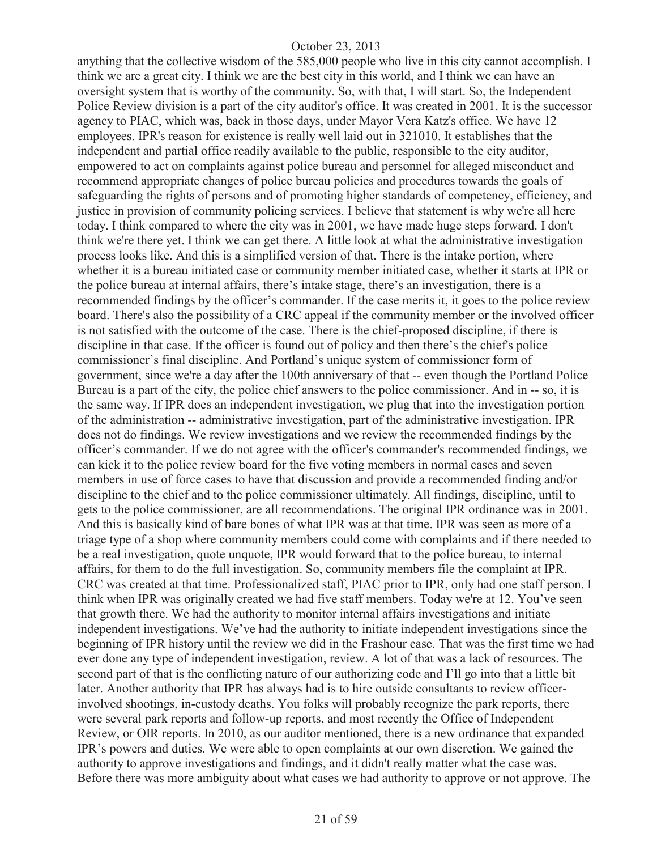anything that the collective wisdom of the 585,000 people who live in this city cannot accomplish. I think we are a great city. I think we are the best city in this world, and I think we can have an oversight system that is worthy of the community. So, with that, I will start. So, the Independent Police Review division is a part of the city auditor's office. It was created in 2001. It is the successor agency to PIAC, which was, back in those days, under Mayor Vera Katz's office. We have 12 employees. IPR's reason for existence is really well laid out in 321010. It establishes that the independent and partial office readily available to the public, responsible to the city auditor, empowered to act on complaints against police bureau and personnel for alleged misconduct and recommend appropriate changes of police bureau policies and procedures towards the goals of safeguarding the rights of persons and of promoting higher standards of competency, efficiency, and justice in provision of community policing services. I believe that statement is why we're all here today. I think compared to where the city was in 2001, we have made huge steps forward. I don't think we're there yet. I think we can get there. A little look at what the administrative investigation process looks like. And this is a simplified version of that. There is the intake portion, where whether it is a bureau initiated case or community member initiated case, whether it starts at IPR or the police bureau at internal affairs, there's intake stage, there's an investigation, there is a recommended findings by the officer's commander. If the case merits it, it goes to the police review board. There's also the possibility of a CRC appeal if the community member or the involved officer is not satisfied with the outcome of the case. There is the chief-proposed discipline, if there is discipline in that case. If the officer is found out of policy and then there's the chief's police commissioner's final discipline. And Portland's unique system of commissioner form of government, since we're a day after the 100th anniversary of that -- even though the Portland Police Bureau is a part of the city, the police chief answers to the police commissioner. And in -- so, it is the same way. If IPR does an independent investigation, we plug that into the investigation portion of the administration -- administrative investigation, part of the administrative investigation. IPR does not do findings. We review investigations and we review the recommended findings by the officer's commander. If we do not agree with the officer's commander's recommended findings, we can kick it to the police review board for the five voting members in normal cases and seven members in use of force cases to have that discussion and provide a recommended finding and/or discipline to the chief and to the police commissioner ultimately. All findings, discipline, until to gets to the police commissioner, are all recommendations. The original IPR ordinance was in 2001. And this is basically kind of bare bones of what IPR was at that time. IPR was seen as more of a triage type of a shop where community members could come with complaints and if there needed to be a real investigation, quote unquote, IPR would forward that to the police bureau, to internal affairs, for them to do the full investigation. So, community members file the complaint at IPR. CRC was created at that time. Professionalized staff, PIAC prior to IPR, only had one staff person. I think when IPR was originally created we had five staff members. Today we're at 12. You've seen that growth there. We had the authority to monitor internal affairs investigations and initiate independent investigations. We've had the authority to initiate independent investigations since the beginning of IPR history until the review we did in the Frashour case. That was the first time we had ever done any type of independent investigation, review. A lot of that was a lack of resources. The second part of that is the conflicting nature of our authorizing code and I'll go into that a little bit later. Another authority that IPR has always had is to hire outside consultants to review officerinvolved shootings, in-custody deaths. You folks will probably recognize the park reports, there were several park reports and follow-up reports, and most recently the Office of Independent Review, or OIR reports. In 2010, as our auditor mentioned, there is a new ordinance that expanded IPR's powers and duties. We were able to open complaints at our own discretion. We gained the authority to approve investigations and findings, and it didn't really matter what the case was. Before there was more ambiguity about what cases we had authority to approve or not approve. The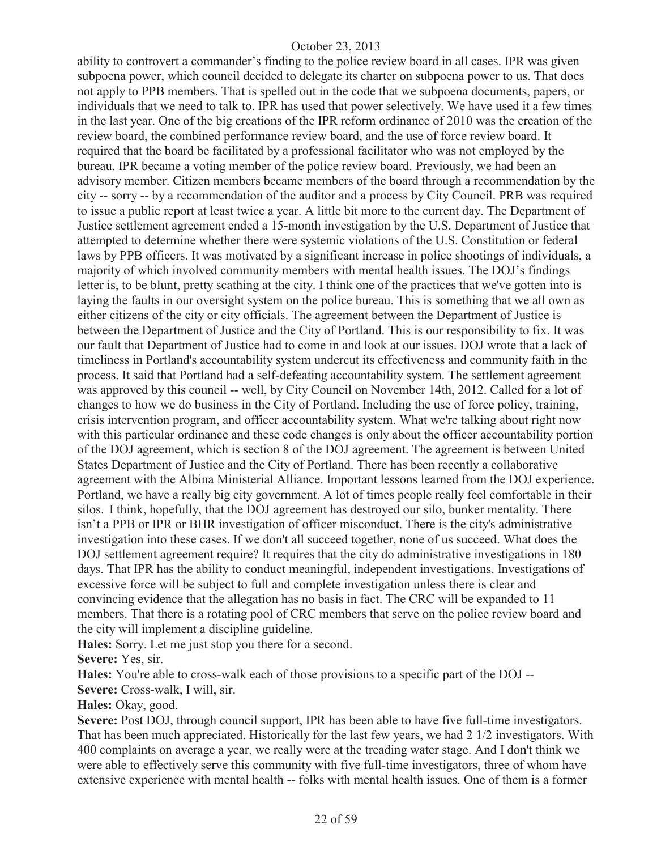ability to controvert a commander's finding to the police review board in all cases. IPR was given subpoena power, which council decided to delegate its charter on subpoena power to us. That does not apply to PPB members. That is spelled out in the code that we subpoena documents, papers, or individuals that we need to talk to. IPR has used that power selectively. We have used it a few times in the last year. One of the big creations of the IPR reform ordinance of 2010 was the creation of the review board, the combined performance review board, and the use of force review board. It required that the board be facilitated by a professional facilitator who was not employed by the bureau. IPR became a voting member of the police review board. Previously, we had been an advisory member. Citizen members became members of the board through a recommendation by the city -- sorry -- by a recommendation of the auditor and a process by City Council. PRB was required to issue a public report at least twice a year. A little bit more to the current day. The Department of Justice settlement agreement ended a 15-month investigation by the U.S. Department of Justice that attempted to determine whether there were systemic violations of the U.S. Constitution or federal laws by PPB officers. It was motivated by a significant increase in police shootings of individuals, a majority of which involved community members with mental health issues. The DOJ's findings letter is, to be blunt, pretty scathing at the city. I think one of the practices that we've gotten into is laying the faults in our oversight system on the police bureau. This is something that we all own as either citizens of the city or city officials. The agreement between the Department of Justice is between the Department of Justice and the City of Portland. This is our responsibility to fix. It was our fault that Department of Justice had to come in and look at our issues. DOJ wrote that a lack of timeliness in Portland's accountability system undercut its effectiveness and community faith in the process. It said that Portland had a self-defeating accountability system. The settlement agreement was approved by this council -- well, by City Council on November 14th, 2012. Called for a lot of changes to how we do business in the City of Portland. Including the use of force policy, training, crisis intervention program, and officer accountability system. What we're talking about right now with this particular ordinance and these code changes is only about the officer accountability portion of the DOJ agreement, which is section 8 of the DOJ agreement. The agreement is between United States Department of Justice and the City of Portland. There has been recently a collaborative agreement with the Albina Ministerial Alliance. Important lessons learned from the DOJ experience. Portland, we have a really big city government. A lot of times people really feel comfortable in their silos. I think, hopefully, that the DOJ agreement has destroyed our silo, bunker mentality. There isn't a PPB or IPR or BHR investigation of officer misconduct. There is the city's administrative investigation into these cases. If we don't all succeed together, none of us succeed. What does the DOJ settlement agreement require? It requires that the city do administrative investigations in 180 days. That IPR has the ability to conduct meaningful, independent investigations. Investigations of excessive force will be subject to full and complete investigation unless there is clear and convincing evidence that the allegation has no basis in fact. The CRC will be expanded to 11 members. That there is a rotating pool of CRC members that serve on the police review board and the city will implement a discipline guideline.

**Hales:** Sorry. Let me just stop you there for a second.

**Severe:** Yes, sir.

**Hales:** You're able to cross-walk each of those provisions to a specific part of the DOJ --

**Severe:** Cross-walk, I will, sir.

## **Hales:** Okay, good.

Severe: Post DOJ, through council support, IPR has been able to have five full-time investigators. That has been much appreciated. Historically for the last few years, we had 2 1/2 investigators. With 400 complaints on average a year, we really were at the treading water stage. And I don't think we were able to effectively serve this community with five full-time investigators, three of whom have extensive experience with mental health -- folks with mental health issues. One of them is a former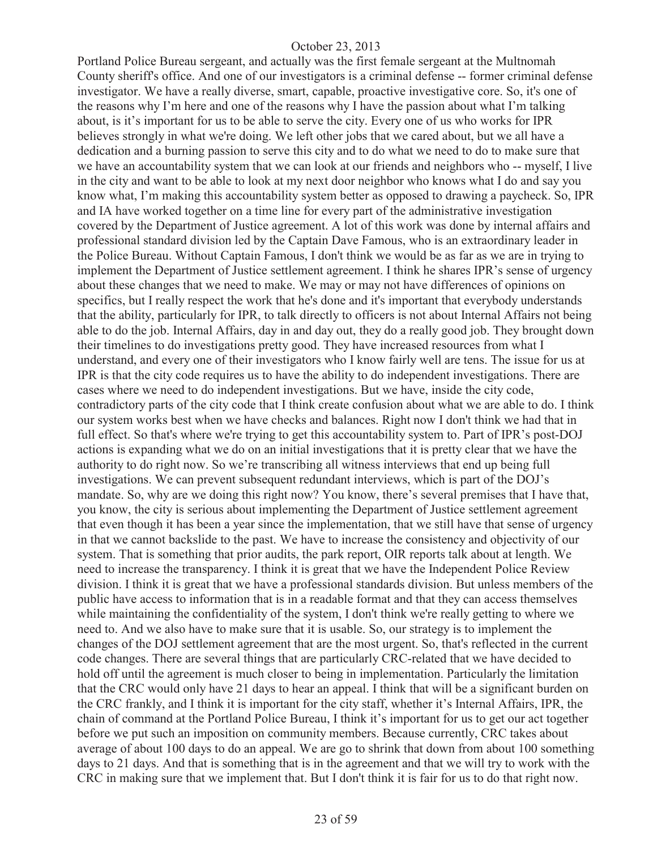Portland Police Bureau sergeant, and actually was the first female sergeant at the Multnomah County sheriff's office. And one of our investigators is a criminal defense -- former criminal defense investigator. We have a really diverse, smart, capable, proactive investigative core. So, it's one of the reasons why I'm here and one of the reasons why I have the passion about what I'm talking about, is it's important for us to be able to serve the city. Every one of us who works for IPR believes strongly in what we're doing. We left other jobs that we cared about, but we all have a dedication and a burning passion to serve this city and to do what we need to do to make sure that we have an accountability system that we can look at our friends and neighbors who -- myself, I live in the city and want to be able to look at my next door neighbor who knows what I do and say you know what, I'm making this accountability system better as opposed to drawing a paycheck. So, IPR and IA have worked together on a time line for every part of the administrative investigation covered by the Department of Justice agreement. A lot of this work was done by internal affairs and professional standard division led by the Captain Dave Famous, who is an extraordinary leader in the Police Bureau. Without Captain Famous, I don't think we would be as far as we are in trying to implement the Department of Justice settlement agreement. I think he shares IPR's sense of urgency about these changes that we need to make. We may or may not have differences of opinions on specifics, but I really respect the work that he's done and it's important that everybody understands that the ability, particularly for IPR, to talk directly to officers is not about Internal Affairs not being able to do the job. Internal Affairs, day in and day out, they do a really good job. They brought down their timelines to do investigations pretty good. They have increased resources from what I understand, and every one of their investigators who I know fairly well are tens. The issue for us at IPR is that the city code requires us to have the ability to do independent investigations. There are cases where we need to do independent investigations. But we have, inside the city code, contradictory parts of the city code that I think create confusion about what we are able to do. I think our system works best when we have checks and balances. Right now I don't think we had that in full effect. So that's where we're trying to get this accountability system to. Part of IPR's post-DOJ actions is expanding what we do on an initial investigations that it is pretty clear that we have the authority to do right now. So we're transcribing all witness interviews that end up being full investigations. We can prevent subsequent redundant interviews, which is part of the DOJ's mandate. So, why are we doing this right now? You know, there's several premises that I have that, you know, the city is serious about implementing the Department of Justice settlement agreement that even though it has been a year since the implementation, that we still have that sense of urgency in that we cannot backslide to the past. We have to increase the consistency and objectivity of our system. That is something that prior audits, the park report, OIR reports talk about at length. We need to increase the transparency. I think it is great that we have the Independent Police Review division. I think it is great that we have a professional standards division. But unless members of the public have access to information that is in a readable format and that they can access themselves while maintaining the confidentiality of the system, I don't think we're really getting to where we need to. And we also have to make sure that it is usable. So, our strategy is to implement the changes of the DOJ settlement agreement that are the most urgent. So, that's reflected in the current code changes. There are several things that are particularly CRC-related that we have decided to hold off until the agreement is much closer to being in implementation. Particularly the limitation that the CRC would only have 21 days to hear an appeal. I think that will be a significant burden on the CRC frankly, and I think it is important for the city staff, whether it's Internal Affairs, IPR, the chain of command at the Portland Police Bureau, I think it's important for us to get our act together before we put such an imposition on community members. Because currently, CRC takes about average of about 100 days to do an appeal. We are go to shrink that down from about 100 something days to 21 days. And that is something that is in the agreement and that we will try to work with the CRC in making sure that we implement that. But I don't think it is fair for us to do that right now.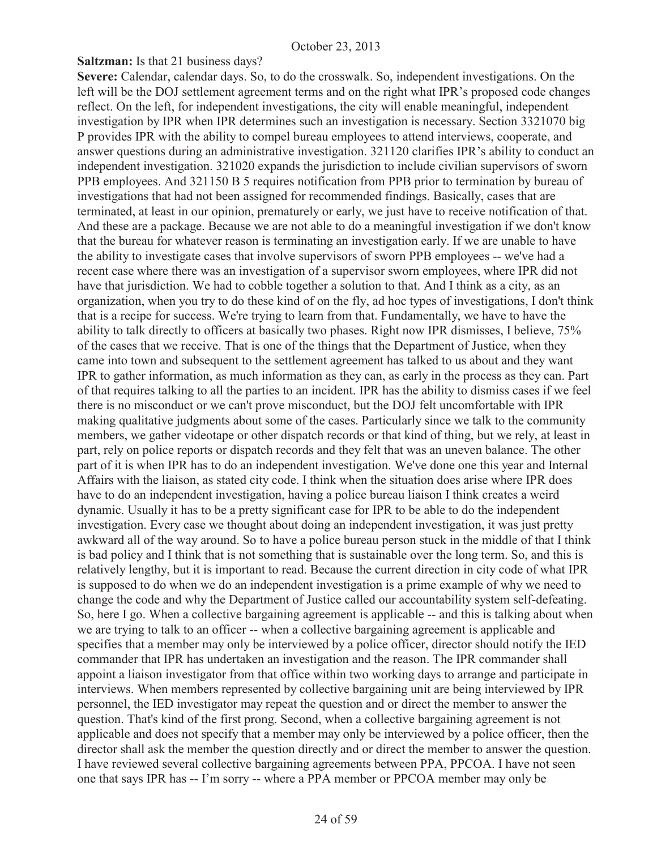**Saltzman:** Is that 21 business days?

**Severe:** Calendar, calendar days. So, to do the crosswalk. So, independent investigations. On the left will be the DOJ settlement agreement terms and on the right what IPR's proposed code changes reflect. On the left, for independent investigations, the city will enable meaningful, independent investigation by IPR when IPR determines such an investigation is necessary. Section 3321070 big P provides IPR with the ability to compel bureau employees to attend interviews, cooperate, and answer questions during an administrative investigation. 321120 clarifies IPR's ability to conduct an independent investigation. 321020 expands the jurisdiction to include civilian supervisors of sworn PPB employees. And 321150 B 5 requires notification from PPB prior to termination by bureau of investigations that had not been assigned for recommended findings. Basically, cases that are terminated, at least in our opinion, prematurely or early, we just have to receive notification of that. And these are a package. Because we are not able to do a meaningful investigation if we don't know that the bureau for whatever reason is terminating an investigation early. If we are unable to have the ability to investigate cases that involve supervisors of sworn PPB employees -- we've had a recent case where there was an investigation of a supervisor sworn employees, where IPR did not have that jurisdiction. We had to cobble together a solution to that. And I think as a city, as an organization, when you try to do these kind of on the fly, ad hoc types of investigations, I don't think that is a recipe for success. We're trying to learn from that. Fundamentally, we have to have the ability to talk directly to officers at basically two phases. Right now IPR dismisses, I believe, 75% of the cases that we receive. That is one of the things that the Department of Justice, when they came into town and subsequent to the settlement agreement has talked to us about and they want IPR to gather information, as much information as they can, as early in the process as they can. Part of that requires talking to all the parties to an incident. IPR has the ability to dismiss cases if we feel there is no misconduct or we can't prove misconduct, but the DOJ felt uncomfortable with IPR making qualitative judgments about some of the cases. Particularly since we talk to the community members, we gather videotape or other dispatch records or that kind of thing, but we rely, at least in part, rely on police reports or dispatch records and they felt that was an uneven balance. The other part of it is when IPR has to do an independent investigation. We've done one this year and Internal Affairs with the liaison, as stated city code. I think when the situation does arise where IPR does have to do an independent investigation, having a police bureau liaison I think creates a weird dynamic. Usually it has to be a pretty significant case for IPR to be able to do the independent investigation. Every case we thought about doing an independent investigation, it was just pretty awkward all of the way around. So to have a police bureau person stuck in the middle of that I think is bad policy and I think that is not something that is sustainable over the long term. So, and this is relatively lengthy, but it is important to read. Because the current direction in city code of what IPR is supposed to do when we do an independent investigation is a prime example of why we need to change the code and why the Department of Justice called our accountability system self-defeating. So, here I go. When a collective bargaining agreement is applicable -- and this is talking about when we are trying to talk to an officer -- when a collective bargaining agreement is applicable and specifies that a member may only be interviewed by a police officer, director should notify the IED commander that IPR has undertaken an investigation and the reason. The IPR commander shall appoint a liaison investigator from that office within two working days to arrange and participate in interviews. When members represented by collective bargaining unit are being interviewed by IPR personnel, the IED investigator may repeat the question and or direct the member to answer the question. That's kind of the first prong. Second, when a collective bargaining agreement is not applicable and does not specify that a member may only be interviewed by a police officer, then the director shall ask the member the question directly and or direct the member to answer the question. I have reviewed several collective bargaining agreements between PPA, PPCOA. I have not seen one that says IPR has -- I'm sorry -- where a PPA member or PPCOA member may only be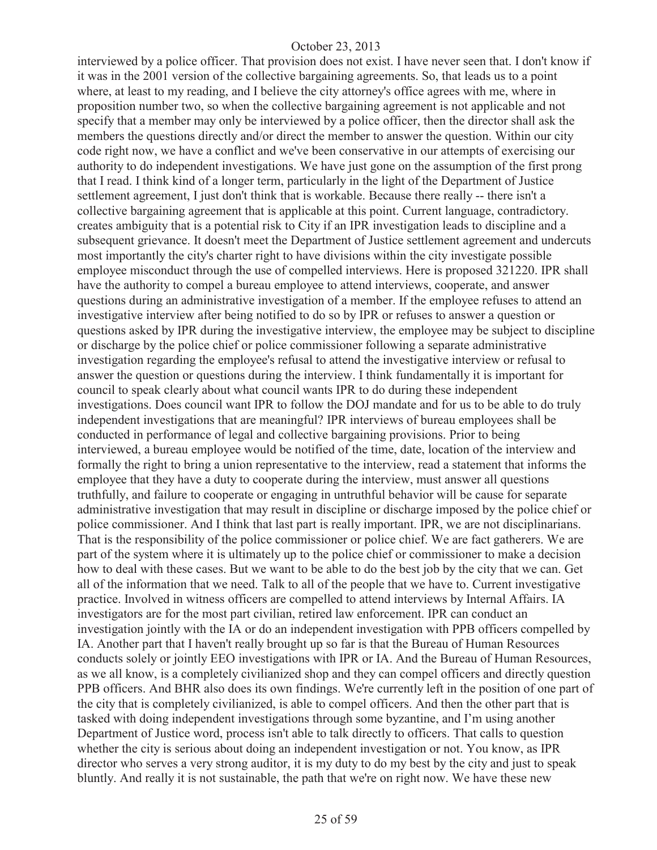interviewed by a police officer. That provision does not exist. I have never seen that. I don't know if it was in the 2001 version of the collective bargaining agreements. So, that leads us to a point where, at least to my reading, and I believe the city attorney's office agrees with me, where in proposition number two, so when the collective bargaining agreement is not applicable and not specify that a member may only be interviewed by a police officer, then the director shall ask the members the questions directly and/or direct the member to answer the question. Within our city code right now, we have a conflict and we've been conservative in our attempts of exercising our authority to do independent investigations. We have just gone on the assumption of the first prong that I read. I think kind of a longer term, particularly in the light of the Department of Justice settlement agreement, I just don't think that is workable. Because there really -- there isn't a collective bargaining agreement that is applicable at this point. Current language, contradictory. creates ambiguity that is a potential risk to City if an IPR investigation leads to discipline and a subsequent grievance. It doesn't meet the Department of Justice settlement agreement and undercuts most importantly the city's charter right to have divisions within the city investigate possible employee misconduct through the use of compelled interviews. Here is proposed 321220. IPR shall have the authority to compel a bureau employee to attend interviews, cooperate, and answer questions during an administrative investigation of a member. If the employee refuses to attend an investigative interview after being notified to do so by IPR or refuses to answer a question or questions asked by IPR during the investigative interview, the employee may be subject to discipline or discharge by the police chief or police commissioner following a separate administrative investigation regarding the employee's refusal to attend the investigative interview or refusal to answer the question or questions during the interview. I think fundamentally it is important for council to speak clearly about what council wants IPR to do during these independent investigations. Does council want IPR to follow the DOJ mandate and for us to be able to do truly independent investigations that are meaningful? IPR interviews of bureau employees shall be conducted in performance of legal and collective bargaining provisions. Prior to being interviewed, a bureau employee would be notified of the time, date, location of the interview and formally the right to bring a union representative to the interview, read a statement that informs the employee that they have a duty to cooperate during the interview, must answer all questions truthfully, and failure to cooperate or engaging in untruthful behavior will be cause for separate administrative investigation that may result in discipline or discharge imposed by the police chief or police commissioner. And I think that last part is really important. IPR, we are not disciplinarians. That is the responsibility of the police commissioner or police chief. We are fact gatherers. We are part of the system where it is ultimately up to the police chief or commissioner to make a decision how to deal with these cases. But we want to be able to do the best job by the city that we can. Get all of the information that we need. Talk to all of the people that we have to. Current investigative practice. Involved in witness officers are compelled to attend interviews by Internal Affairs. IA investigators are for the most part civilian, retired law enforcement. IPR can conduct an investigation jointly with the IA or do an independent investigation with PPB officers compelled by IA. Another part that I haven't really brought up so far is that the Bureau of Human Resources conducts solely or jointly EEO investigations with IPR or IA. And the Bureau of Human Resources, as we all know, is a completely civilianized shop and they can compel officers and directly question PPB officers. And BHR also does its own findings. We're currently left in the position of one part of the city that is completely civilianized, is able to compel officers. And then the other part that is tasked with doing independent investigations through some byzantine, and I'm using another Department of Justice word, process isn't able to talk directly to officers. That calls to question whether the city is serious about doing an independent investigation or not. You know, as IPR director who serves a very strong auditor, it is my duty to do my best by the city and just to speak bluntly. And really it is not sustainable, the path that we're on right now. We have these new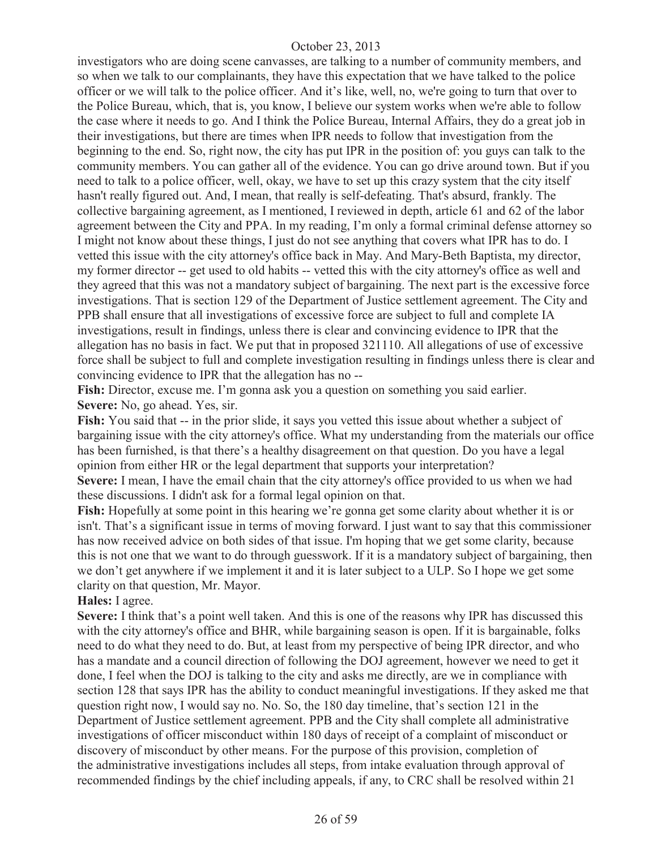investigators who are doing scene canvasses, are talking to a number of community members, and so when we talk to our complainants, they have this expectation that we have talked to the police officer or we will talk to the police officer. And it's like, well, no, we're going to turn that over to the Police Bureau, which, that is, you know, I believe our system works when we're able to follow the case where it needs to go. And I think the Police Bureau, Internal Affairs, they do a great job in their investigations, but there are times when IPR needs to follow that investigation from the beginning to the end. So, right now, the city has put IPR in the position of: you guys can talk to the community members. You can gather all of the evidence. You can go drive around town. But if you need to talk to a police officer, well, okay, we have to set up this crazy system that the city itself hasn't really figured out. And, I mean, that really is self-defeating. That's absurd, frankly. The collective bargaining agreement, as I mentioned, I reviewed in depth, article 61 and 62 of the labor agreement between the City and PPA. In my reading, I'm only a formal criminal defense attorney so I might not know about these things, I just do not see anything that covers what IPR has to do. I vetted this issue with the city attorney's office back in May. And Mary-Beth Baptista, my director, my former director -- get used to old habits -- vetted this with the city attorney's office as well and they agreed that this was not a mandatory subject of bargaining. The next part is the excessive force investigations. That is section 129 of the Department of Justice settlement agreement. The City and PPB shall ensure that all investigations of excessive force are subject to full and complete IA investigations, result in findings, unless there is clear and convincing evidence to IPR that the allegation has no basis in fact. We put that in proposed 321110. All allegations of use of excessive force shall be subject to full and complete investigation resulting in findings unless there is clear and convincing evidence to IPR that the allegation has no --

Fish: Director, excuse me. I'm gonna ask you a question on something you said earlier. **Severe:** No, go ahead. Yes, sir.

Fish: You said that -- in the prior slide, it says you vetted this issue about whether a subject of bargaining issue with the city attorney's office. What my understanding from the materials our office has been furnished, is that there's a healthy disagreement on that question. Do you have a legal opinion from either HR or the legal department that supports your interpretation?

**Severe:** I mean, I have the email chain that the city attorney's office provided to us when we had these discussions. I didn't ask for a formal legal opinion on that.

**Fish:** Hopefully at some point in this hearing we're gonna get some clarity about whether it is or isn't. That's a significant issue in terms of moving forward. I just want to say that this commissioner has now received advice on both sides of that issue. I'm hoping that we get some clarity, because this is not one that we want to do through guesswork. If it is a mandatory subject of bargaining, then we don't get anywhere if we implement it and it is later subject to a ULP. So I hope we get some clarity on that question, Mr. Mayor.

#### **Hales:** I agree.

**Severe:** I think that's a point well taken. And this is one of the reasons why IPR has discussed this with the city attorney's office and BHR, while bargaining season is open. If it is bargainable, folks need to do what they need to do. But, at least from my perspective of being IPR director, and who has a mandate and a council direction of following the DOJ agreement, however we need to get it done, I feel when the DOJ is talking to the city and asks me directly, are we in compliance with section 128 that says IPR has the ability to conduct meaningful investigations. If they asked me that question right now, I would say no. No. So, the 180 day timeline, that's section 121 in the Department of Justice settlement agreement. PPB and the City shall complete all administrative investigations of officer misconduct within 180 days of receipt of a complaint of misconduct or discovery of misconduct by other means. For the purpose of this provision, completion of the administrative investigations includes all steps, from intake evaluation through approval of recommended findings by the chief including appeals, if any, to CRC shall be resolved within 21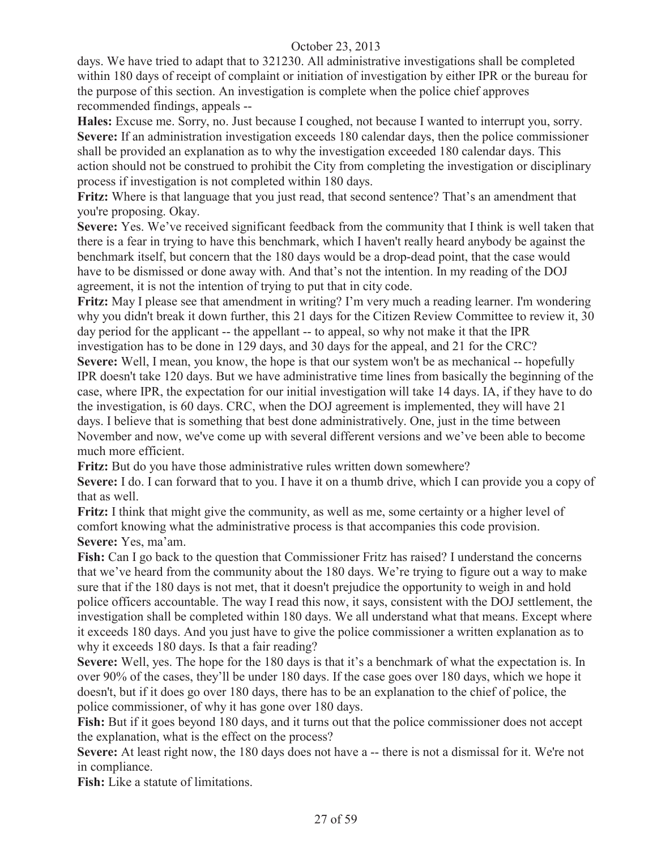days. We have tried to adapt that to 321230. All administrative investigations shall be completed within 180 days of receipt of complaint or initiation of investigation by either IPR or the bureau for the purpose of this section. An investigation is complete when the police chief approves recommended findings, appeals --

**Hales:** Excuse me. Sorry, no. Just because I coughed, not because I wanted to interrupt you, sorry. **Severe:** If an administration investigation exceeds 180 calendar days, then the police commissioner shall be provided an explanation as to why the investigation exceeded 180 calendar days. This action should not be construed to prohibit the City from completing the investigation or disciplinary process if investigation is not completed within 180 days.

**Fritz:** Where is that language that you just read, that second sentence? That's an amendment that you're proposing. Okay.

**Severe:** Yes. We've received significant feedback from the community that I think is well taken that there is a fear in trying to have this benchmark, which I haven't really heard anybody be against the benchmark itself, but concern that the 180 days would be a drop-dead point, that the case would have to be dismissed or done away with. And that's not the intention. In my reading of the DOJ agreement, it is not the intention of trying to put that in city code.

**Fritz:** May I please see that amendment in writing? I'm very much a reading learner. I'm wondering why you didn't break it down further, this 21 days for the Citizen Review Committee to review it, 30 day period for the applicant -- the appellant -- to appeal, so why not make it that the IPR investigation has to be done in 129 days, and 30 days for the appeal, and 21 for the CRC? **Severe:** Well, I mean, you know, the hope is that our system won't be as mechanical -- hopefully IPR doesn't take 120 days. But we have administrative time lines from basically the beginning of the case, where IPR, the expectation for our initial investigation will take 14 days. IA, if they have to do

the investigation, is 60 days. CRC, when the DOJ agreement is implemented, they will have 21 days. I believe that is something that best done administratively. One, just in the time between November and now, we've come up with several different versions and we've been able to become much more efficient.

**Fritz:** But do you have those administrative rules written down somewhere?

**Severe:** I do. I can forward that to you. I have it on a thumb drive, which I can provide you a copy of that as well.

**Fritz:** I think that might give the community, as well as me, some certainty or a higher level of comfort knowing what the administrative process is that accompanies this code provision. **Severe:** Yes, ma'am.

**Fish:** Can I go back to the question that Commissioner Fritz has raised? I understand the concerns that we've heard from the community about the 180 days. We're trying to figure out a way to make sure that if the 180 days is not met, that it doesn't prejudice the opportunity to weigh in and hold police officers accountable. The way I read this now, it says, consistent with the DOJ settlement, the investigation shall be completed within 180 days. We all understand what that means. Except where it exceeds 180 days. And you just have to give the police commissioner a written explanation as to why it exceeds 180 days. Is that a fair reading?

**Severe:** Well, yes. The hope for the 180 days is that it's a benchmark of what the expectation is. In over 90% of the cases, they'll be under 180 days. If the case goes over 180 days, which we hope it doesn't, but if it does go over 180 days, there has to be an explanation to the chief of police, the police commissioner, of why it has gone over 180 days.

Fish: But if it goes beyond 180 days, and it turns out that the police commissioner does not accept the explanation, what is the effect on the process?

**Severe:** At least right now, the 180 days does not have a -- there is not a dismissal for it. We're not in compliance.

**Fish:** Like a statute of limitations.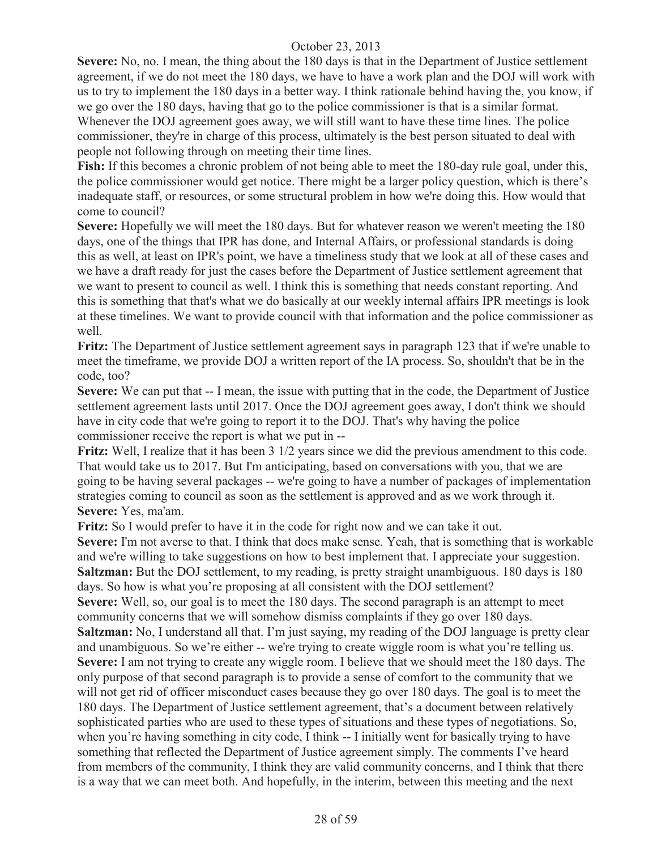**Severe:** No, no. I mean, the thing about the 180 days is that in the Department of Justice settlement agreement, if we do not meet the 180 days, we have to have a work plan and the DOJ will work with us to try to implement the 180 days in a better way. I think rationale behind having the, you know, if we go over the 180 days, having that go to the police commissioner is that is a similar format. Whenever the DOJ agreement goes away, we will still want to have these time lines. The police commissioner, they're in charge of this process, ultimately is the best person situated to deal with people not following through on meeting their time lines.

**Fish:** If this becomes a chronic problem of not being able to meet the 180-day rule goal, under this, the police commissioner would get notice. There might be a larger policy question, which is there's inadequate staff, or resources, or some structural problem in how we're doing this. How would that come to council?

**Severe:** Hopefully we will meet the 180 days. But for whatever reason we weren't meeting the 180 days, one of the things that IPR has done, and Internal Affairs, or professional standards is doing this as well, at least on IPR's point, we have a timeliness study that we look at all of these cases and we have a draft ready for just the cases before the Department of Justice settlement agreement that we want to present to council as well. I think this is something that needs constant reporting. And this is something that that's what we do basically at our weekly internal affairs IPR meetings is look at these timelines. We want to provide council with that information and the police commissioner as well.

**Fritz:** The Department of Justice settlement agreement says in paragraph 123 that if we're unable to meet the timeframe, we provide DOJ a written report of the IA process. So, shouldn't that be in the code, too?

**Severe:** We can put that -- I mean, the issue with putting that in the code, the Department of Justice settlement agreement lasts until 2017. Once the DOJ agreement goes away, I don't think we should have in city code that we're going to report it to the DOJ. That's why having the police commissioner receive the report is what we put in --

**Fritz:** Well, I realize that it has been 3 1/2 years since we did the previous amendment to this code. That would take us to 2017. But I'm anticipating, based on conversations with you, that we are going to be having several packages -- we're going to have a number of packages of implementation strategies coming to council as soon as the settlement is approved and as we work through it. **Severe:** Yes, ma'am.

**Fritz:** So I would prefer to have it in the code for right now and we can take it out.

**Severe:** I'm not averse to that. I think that does make sense. Yeah, that is something that is workable and we're willing to take suggestions on how to best implement that. I appreciate your suggestion. **Saltzman:** But the DOJ settlement, to my reading, is pretty straight unambiguous. 180 days is 180 days. So how is what you're proposing at all consistent with the DOJ settlement? **Severe:** Well, so, our goal is to meet the 180 days. The second paragraph is an attempt to meet community concerns that we will somehow dismiss complaints if they go over 180 days. **Saltzman:** No, I understand all that. I'm just saying, my reading of the DOJ language is pretty clear and unambiguous. So we're either -- we're trying to create wiggle room is what you're telling us. **Severe:** I am not trying to create any wiggle room. I believe that we should meet the 180 days. The only purpose of that second paragraph is to provide a sense of comfort to the community that we will not get rid of officer misconduct cases because they go over 180 days. The goal is to meet the 180 days. The Department of Justice settlement agreement, that's a document between relatively sophisticated parties who are used to these types of situations and these types of negotiations. So, when you're having something in city code, I think -- I initially went for basically trying to have something that reflected the Department of Justice agreement simply. The comments I've heard from members of the community, I think they are valid community concerns, and I think that there is a way that we can meet both. And hopefully, in the interim, between this meeting and the next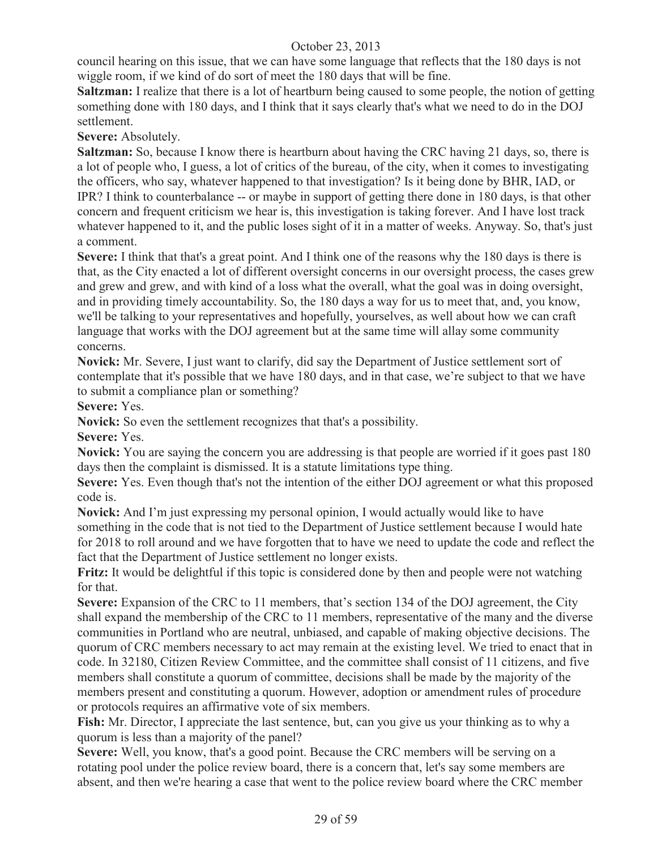council hearing on this issue, that we can have some language that reflects that the 180 days is not wiggle room, if we kind of do sort of meet the 180 days that will be fine.

**Saltzman:** I realize that there is a lot of heartburn being caused to some people, the notion of getting something done with 180 days, and I think that it says clearly that's what we need to do in the DOJ settlement.

**Severe:** Absolutely.

**Saltzman:** So, because I know there is heartburn about having the CRC having 21 days, so, there is a lot of people who, I guess, a lot of critics of the bureau, of the city, when it comes to investigating the officers, who say, whatever happened to that investigation? Is it being done by BHR, IAD, or IPR? I think to counterbalance -- or maybe in support of getting there done in 180 days, is that other concern and frequent criticism we hear is, this investigation is taking forever. And I have lost track whatever happened to it, and the public loses sight of it in a matter of weeks. Anyway. So, that's just a comment.

**Severe:** I think that that's a great point. And I think one of the reasons why the 180 days is there is that, as the City enacted a lot of different oversight concerns in our oversight process, the cases grew and grew and grew, and with kind of a loss what the overall, what the goal was in doing oversight, and in providing timely accountability. So, the 180 days a way for us to meet that, and, you know, we'll be talking to your representatives and hopefully, yourselves, as well about how we can craft language that works with the DOJ agreement but at the same time will allay some community concerns.

**Novick:** Mr. Severe, I just want to clarify, did say the Department of Justice settlement sort of contemplate that it's possible that we have 180 days, and in that case, we're subject to that we have to submit a compliance plan or something?

**Severe:** Yes.

**Novick:** So even the settlement recognizes that that's a possibility.

**Severe:** Yes.

Novick: You are saying the concern you are addressing is that people are worried if it goes past 180 days then the complaint is dismissed. It is a statute limitations type thing.

**Severe:** Yes. Even though that's not the intention of the either DOJ agreement or what this proposed code is.

**Novick:** And I'm just expressing my personal opinion, I would actually would like to have something in the code that is not tied to the Department of Justice settlement because I would hate for 2018 to roll around and we have forgotten that to have we need to update the code and reflect the fact that the Department of Justice settlement no longer exists.

**Fritz:** It would be delightful if this topic is considered done by then and people were not watching for that.

Severe: Expansion of the CRC to 11 members, that's section 134 of the DOJ agreement, the City shall expand the membership of the CRC to 11 members, representative of the many and the diverse communities in Portland who are neutral, unbiased, and capable of making objective decisions. The quorum of CRC members necessary to act may remain at the existing level. We tried to enact that in code. In 32180, Citizen Review Committee, and the committee shall consist of 11 citizens, and five members shall constitute a quorum of committee, decisions shall be made by the majority of the members present and constituting a quorum. However, adoption or amendment rules of procedure or protocols requires an affirmative vote of six members.

**Fish:** Mr. Director, I appreciate the last sentence, but, can you give us your thinking as to why a quorum is less than a majority of the panel?

**Severe:** Well, you know, that's a good point. Because the CRC members will be serving on a rotating pool under the police review board, there is a concern that, let's say some members are absent, and then we're hearing a case that went to the police review board where the CRC member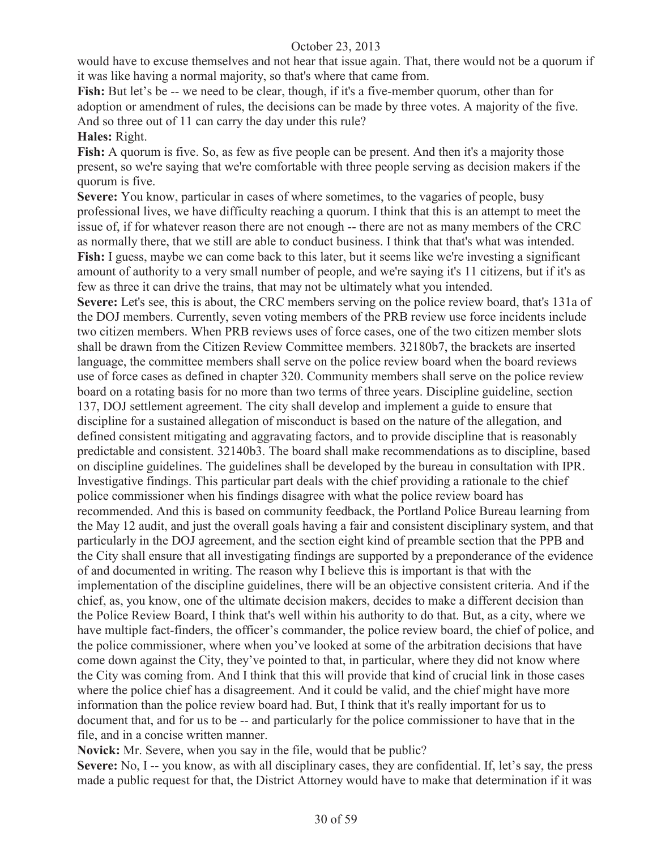would have to excuse themselves and not hear that issue again. That, there would not be a quorum if it was like having a normal majority, so that's where that came from.

**Fish:** But let's be -- we need to be clear, though, if it's a five-member quorum, other than for adoption or amendment of rules, the decisions can be made by three votes. A majority of the five. And so three out of 11 can carry the day under this rule?

#### **Hales:** Right.

Fish: A quorum is five. So, as few as five people can be present. And then it's a majority those present, so we're saying that we're comfortable with three people serving as decision makers if the quorum is five.

**Severe:** You know, particular in cases of where sometimes, to the vagaries of people, busy professional lives, we have difficulty reaching a quorum. I think that this is an attempt to meet the issue of, if for whatever reason there are not enough -- there are not as many members of the CRC as normally there, that we still are able to conduct business. I think that that's what was intended. Fish: I guess, maybe we can come back to this later, but it seems like we're investing a significant amount of authority to a very small number of people, and we're saying it's 11 citizens, but if it's as few as three it can drive the trains, that may not be ultimately what you intended.

**Severe:** Let's see, this is about, the CRC members serving on the police review board, that's 131a of the DOJ members. Currently, seven voting members of the PRB review use force incidents include two citizen members. When PRB reviews uses of force cases, one of the two citizen member slots shall be drawn from the Citizen Review Committee members. 32180b7, the brackets are inserted language, the committee members shall serve on the police review board when the board reviews use of force cases as defined in chapter 320. Community members shall serve on the police review board on a rotating basis for no more than two terms of three years. Discipline guideline, section 137, DOJ settlement agreement. The city shall develop and implement a guide to ensure that discipline for a sustained allegation of misconduct is based on the nature of the allegation, and defined consistent mitigating and aggravating factors, and to provide discipline that is reasonably predictable and consistent. 32140b3. The board shall make recommendations as to discipline, based on discipline guidelines. The guidelines shall be developed by the bureau in consultation with IPR. Investigative findings. This particular part deals with the chief providing a rationale to the chief police commissioner when his findings disagree with what the police review board has recommended. And this is based on community feedback, the Portland Police Bureau learning from the May 12 audit, and just the overall goals having a fair and consistent disciplinary system, and that particularly in the DOJ agreement, and the section eight kind of preamble section that the PPB and the City shall ensure that all investigating findings are supported by a preponderance of the evidence of and documented in writing. The reason why I believe this is important is that with the implementation of the discipline guidelines, there will be an objective consistent criteria. And if the chief, as, you know, one of the ultimate decision makers, decides to make a different decision than the Police Review Board, I think that's well within his authority to do that. But, as a city, where we have multiple fact-finders, the officer's commander, the police review board, the chief of police, and the police commissioner, where when you've looked at some of the arbitration decisions that have come down against the City, they've pointed to that, in particular, where they did not know where the City was coming from. And I think that this will provide that kind of crucial link in those cases where the police chief has a disagreement. And it could be valid, and the chief might have more information than the police review board had. But, I think that it's really important for us to document that, and for us to be -- and particularly for the police commissioner to have that in the file, and in a concise written manner.

**Novick:** Mr. Severe, when you say in the file, would that be public?

**Severe:** No, I -- you know, as with all disciplinary cases, they are confidential. If, let's say, the press made a public request for that, the District Attorney would have to make that determination if it was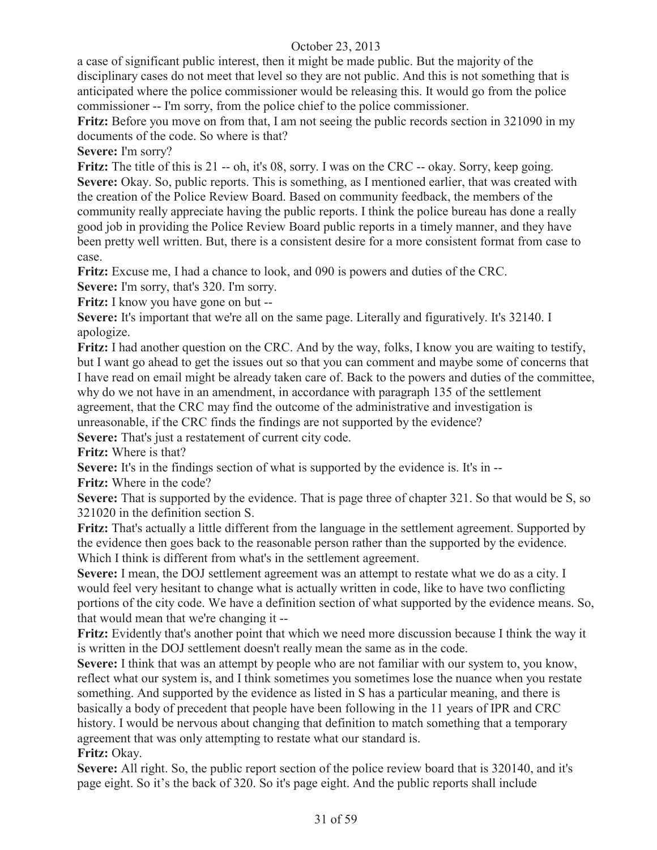a case of significant public interest, then it might be made public. But the majority of the disciplinary cases do not meet that level so they are not public. And this is not something that is anticipated where the police commissioner would be releasing this. It would go from the police commissioner -- I'm sorry, from the police chief to the police commissioner.

**Fritz:** Before you move on from that. I am not seeing the public records section in 321090 in my documents of the code. So where is that?

**Severe:** I'm sorry?

**Fritz:** The title of this is 21 -- oh, it's 08, sorry. I was on the CRC -- okay. Sorry, keep going. Severe: Okay. So, public reports. This is something, as I mentioned earlier, that was created with the creation of the Police Review Board. Based on community feedback, the members of the community really appreciate having the public reports. I think the police bureau has done a really good job in providing the Police Review Board public reports in a timely manner, and they have been pretty well written. But, there is a consistent desire for a more consistent format from case to case.

**Fritz:** Excuse me, I had a chance to look, and 090 is powers and duties of the CRC.

**Severe:** I'm sorry, that's 320. I'm sorry.

**Fritz:** I know you have gone on but --

**Severe:** It's important that we're all on the same page. Literally and figuratively. It's 32140. I apologize.

**Fritz:** I had another question on the CRC. And by the way, folks, I know you are waiting to testify, but I want go ahead to get the issues out so that you can comment and maybe some of concerns that I have read on email might be already taken care of. Back to the powers and duties of the committee, why do we not have in an amendment, in accordance with paragraph 135 of the settlement agreement, that the CRC may find the outcome of the administrative and investigation is

unreasonable, if the CRC finds the findings are not supported by the evidence?

Severe: That's just a restatement of current city code.

**Fritz:** Where is that?

**Severe:** It's in the findings section of what is supported by the evidence is. It's in --

**Fritz:** Where in the code?

**Severe:** That is supported by the evidence. That is page three of chapter 321. So that would be S, so 321020 in the definition section S.

**Fritz:** That's actually a little different from the language in the settlement agreement. Supported by the evidence then goes back to the reasonable person rather than the supported by the evidence. Which I think is different from what's in the settlement agreement.

**Severe:** I mean, the DOJ settlement agreement was an attempt to restate what we do as a city. I would feel very hesitant to change what is actually written in code, like to have two conflicting portions of the city code. We have a definition section of what supported by the evidence means. So, that would mean that we're changing it --

**Fritz:** Evidently that's another point that which we need more discussion because I think the way it is written in the DOJ settlement doesn't really mean the same as in the code.

**Severe:** I think that was an attempt by people who are not familiar with our system to, you know, reflect what our system is, and I think sometimes you sometimes lose the nuance when you restate something. And supported by the evidence as listed in S has a particular meaning, and there is basically a body of precedent that people have been following in the 11 years of IPR and CRC history. I would be nervous about changing that definition to match something that a temporary agreement that was only attempting to restate what our standard is.

**Fritz:** Okay.

**Severe:** All right. So, the public report section of the police review board that is 320140, and it's page eight. So it's the back of 320. So it's page eight. And the public reports shall include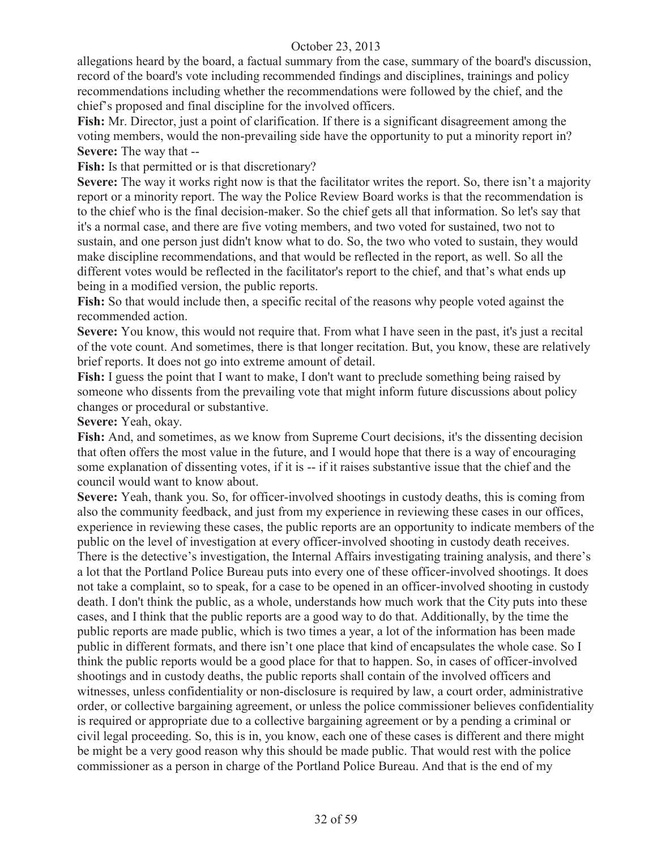allegations heard by the board, a factual summary from the case, summary of the board's discussion, record of the board's vote including recommended findings and disciplines, trainings and policy recommendations including whether the recommendations were followed by the chief, and the chief's proposed and final discipline for the involved officers.

**Fish:** Mr. Director, just a point of clarification. If there is a significant disagreement among the voting members, would the non-prevailing side have the opportunity to put a minority report in? **Severe:** The way that --

Fish: Is that permitted or is that discretionary?

**Severe:** The way it works right now is that the facilitator writes the report. So, there isn't a majority report or a minority report. The way the Police Review Board works is that the recommendation is to the chief who is the final decision-maker. So the chief gets all that information. So let's say that it's a normal case, and there are five voting members, and two voted for sustained, two not to sustain, and one person just didn't know what to do. So, the two who voted to sustain, they would make discipline recommendations, and that would be reflected in the report, as well. So all the different votes would be reflected in the facilitator's report to the chief, and that's what ends up being in a modified version, the public reports.

**Fish:** So that would include then, a specific recital of the reasons why people voted against the recommended action.

**Severe:** You know, this would not require that. From what I have seen in the past, it's just a recital of the vote count. And sometimes, there is that longer recitation. But, you know, these are relatively brief reports. It does not go into extreme amount of detail.

**Fish:** I guess the point that I want to make, I don't want to preclude something being raised by someone who dissents from the prevailing vote that might inform future discussions about policy changes or procedural or substantive.

**Severe:** Yeah, okay.

**Fish:** And, and sometimes, as we know from Supreme Court decisions, it's the dissenting decision that often offers the most value in the future, and I would hope that there is a way of encouraging some explanation of dissenting votes, if it is -- if it raises substantive issue that the chief and the council would want to know about.

**Severe:** Yeah, thank you. So, for officer-involved shootings in custody deaths, this is coming from also the community feedback, and just from my experience in reviewing these cases in our offices, experience in reviewing these cases, the public reports are an opportunity to indicate members of the public on the level of investigation at every officer-involved shooting in custody death receives. There is the detective's investigation, the Internal Affairs investigating training analysis, and there's a lot that the Portland Police Bureau puts into every one of these officer-involved shootings. It does not take a complaint, so to speak, for a case to be opened in an officer-involved shooting in custody death. I don't think the public, as a whole, understands how much work that the City puts into these cases, and I think that the public reports are a good way to do that. Additionally, by the time the public reports are made public, which is two times a year, a lot of the information has been made public in different formats, and there isn't one place that kind of encapsulates the whole case. So I think the public reports would be a good place for that to happen. So, in cases of officer-involved shootings and in custody deaths, the public reports shall contain of the involved officers and witnesses, unless confidentiality or non-disclosure is required by law, a court order, administrative order, or collective bargaining agreement, or unless the police commissioner believes confidentiality is required or appropriate due to a collective bargaining agreement or by a pending a criminal or civil legal proceeding. So, this is in, you know, each one of these cases is different and there might be might be a very good reason why this should be made public. That would rest with the police commissioner as a person in charge of the Portland Police Bureau. And that is the end of my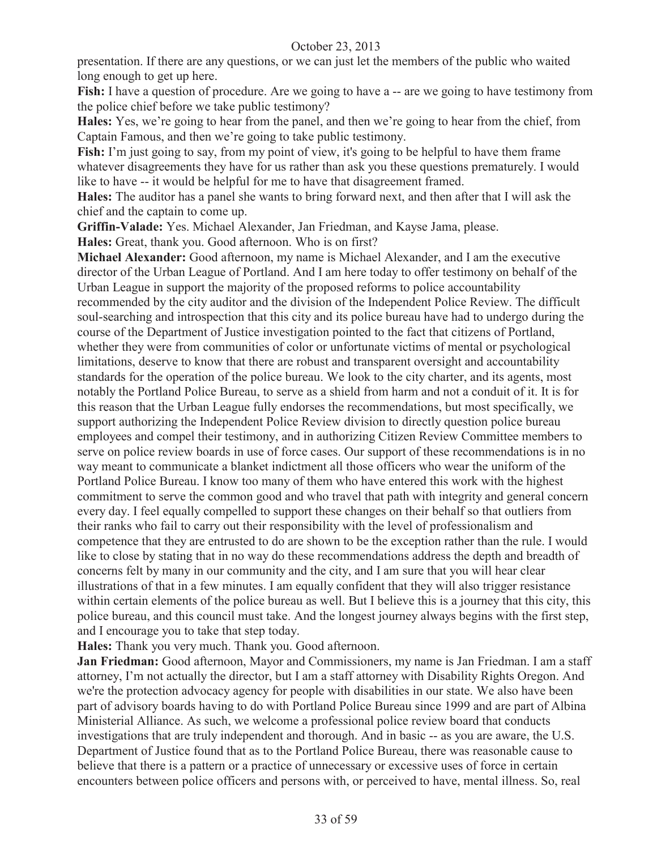presentation. If there are any questions, or we can just let the members of the public who waited long enough to get up here.

**Fish:** I have a question of procedure. Are we going to have a -- are we going to have testimony from the police chief before we take public testimony?

**Hales:** Yes, we're going to hear from the panel, and then we're going to hear from the chief, from Captain Famous, and then we're going to take public testimony.

**Fish:** I'm just going to say, from my point of view, it's going to be helpful to have them frame whatever disagreements they have for us rather than ask you these questions prematurely. I would like to have -- it would be helpful for me to have that disagreement framed.

**Hales:** The auditor has a panel she wants to bring forward next, and then after that I will ask the chief and the captain to come up.

**Griffin-Valade:** Yes. Michael Alexander, Jan Friedman, and Kayse Jama, please.

**Hales:** Great, thank you. Good afternoon. Who is on first?

**Michael Alexander:** Good afternoon, my name is Michael Alexander, and I am the executive director of the Urban League of Portland. And I am here today to offer testimony on behalf of the Urban League in support the majority of the proposed reforms to police accountability recommended by the city auditor and the division of the Independent Police Review. The difficult soul-searching and introspection that this city and its police bureau have had to undergo during the course of the Department of Justice investigation pointed to the fact that citizens of Portland, whether they were from communities of color or unfortunate victims of mental or psychological limitations, deserve to know that there are robust and transparent oversight and accountability standards for the operation of the police bureau. We look to the city charter, and its agents, most notably the Portland Police Bureau, to serve as a shield from harm and not a conduit of it. It is for this reason that the Urban League fully endorses the recommendations, but most specifically, we support authorizing the Independent Police Review division to directly question police bureau employees and compel their testimony, and in authorizing Citizen Review Committee members to serve on police review boards in use of force cases. Our support of these recommendations is in no way meant to communicate a blanket indictment all those officers who wear the uniform of the Portland Police Bureau. I know too many of them who have entered this work with the highest commitment to serve the common good and who travel that path with integrity and general concern every day. I feel equally compelled to support these changes on their behalf so that outliers from their ranks who fail to carry out their responsibility with the level of professionalism and competence that they are entrusted to do are shown to be the exception rather than the rule. I would like to close by stating that in no way do these recommendations address the depth and breadth of concerns felt by many in our community and the city, and I am sure that you will hear clear illustrations of that in a few minutes. I am equally confident that they will also trigger resistance within certain elements of the police bureau as well. But I believe this is a journey that this city, this police bureau, and this council must take. And the longest journey always begins with the first step, and I encourage you to take that step today.

**Hales:** Thank you very much. Thank you. Good afternoon.

**Jan Friedman:** Good afternoon, Mayor and Commissioners, my name is Jan Friedman. I am a staff attorney, I'm not actually the director, but I am a staff attorney with Disability Rights Oregon. And we're the protection advocacy agency for people with disabilities in our state. We also have been part of advisory boards having to do with Portland Police Bureau since 1999 and are part of Albina Ministerial Alliance. As such, we welcome a professional police review board that conducts investigations that are truly independent and thorough. And in basic -- as you are aware, the U.S. Department of Justice found that as to the Portland Police Bureau, there was reasonable cause to believe that there is a pattern or a practice of unnecessary or excessive uses of force in certain encounters between police officers and persons with, or perceived to have, mental illness. So, real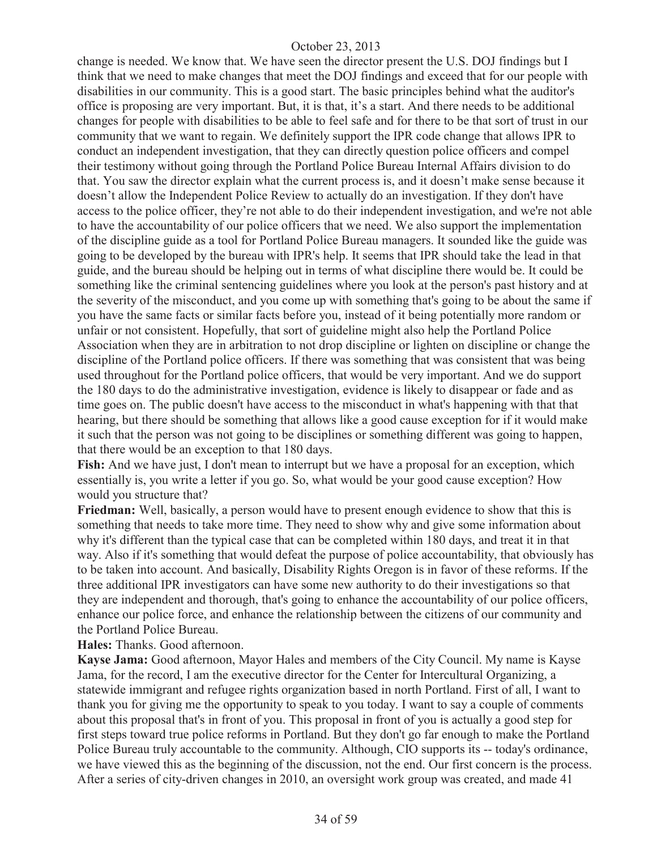change is needed. We know that. We have seen the director present the U.S. DOJ findings but I think that we need to make changes that meet the DOJ findings and exceed that for our people with disabilities in our community. This is a good start. The basic principles behind what the auditor's office is proposing are very important. But, it is that, it's a start. And there needs to be additional changes for people with disabilities to be able to feel safe and for there to be that sort of trust in our community that we want to regain. We definitely support the IPR code change that allows IPR to conduct an independent investigation, that they can directly question police officers and compel their testimony without going through the Portland Police Bureau Internal Affairs division to do that. You saw the director explain what the current process is, and it doesn't make sense because it doesn't allow the Independent Police Review to actually do an investigation. If they don't have access to the police officer, they're not able to do their independent investigation, and we're not able to have the accountability of our police officers that we need. We also support the implementation of the discipline guide as a tool for Portland Police Bureau managers. It sounded like the guide was going to be developed by the bureau with IPR's help. It seems that IPR should take the lead in that guide, and the bureau should be helping out in terms of what discipline there would be. It could be something like the criminal sentencing guidelines where you look at the person's past history and at the severity of the misconduct, and you come up with something that's going to be about the same if you have the same facts or similar facts before you, instead of it being potentially more random or unfair or not consistent. Hopefully, that sort of guideline might also help the Portland Police Association when they are in arbitration to not drop discipline or lighten on discipline or change the discipline of the Portland police officers. If there was something that was consistent that was being used throughout for the Portland police officers, that would be very important. And we do support the 180 days to do the administrative investigation, evidence is likely to disappear or fade and as time goes on. The public doesn't have access to the misconduct in what's happening with that that hearing, but there should be something that allows like a good cause exception for if it would make it such that the person was not going to be disciplines or something different was going to happen, that there would be an exception to that 180 days.

**Fish:** And we have just, I don't mean to interrupt but we have a proposal for an exception, which essentially is, you write a letter if you go. So, what would be your good cause exception? How would you structure that?

**Friedman:** Well, basically, a person would have to present enough evidence to show that this is something that needs to take more time. They need to show why and give some information about why it's different than the typical case that can be completed within 180 days, and treat it in that way. Also if it's something that would defeat the purpose of police accountability, that obviously has to be taken into account. And basically, Disability Rights Oregon is in favor of these reforms. If the three additional IPR investigators can have some new authority to do their investigations so that they are independent and thorough, that's going to enhance the accountability of our police officers, enhance our police force, and enhance the relationship between the citizens of our community and the Portland Police Bureau.

**Hales:** Thanks. Good afternoon.

**Kayse Jama:** Good afternoon, Mayor Hales and members of the City Council. My name is Kayse Jama, for the record, I am the executive director for the Center for Intercultural Organizing, a statewide immigrant and refugee rights organization based in north Portland. First of all, I want to thank you for giving me the opportunity to speak to you today. I want to say a couple of comments about this proposal that's in front of you. This proposal in front of you is actually a good step for first steps toward true police reforms in Portland. But they don't go far enough to make the Portland Police Bureau truly accountable to the community. Although, CIO supports its -- today's ordinance, we have viewed this as the beginning of the discussion, not the end. Our first concern is the process. After a series of city-driven changes in 2010, an oversight work group was created, and made 41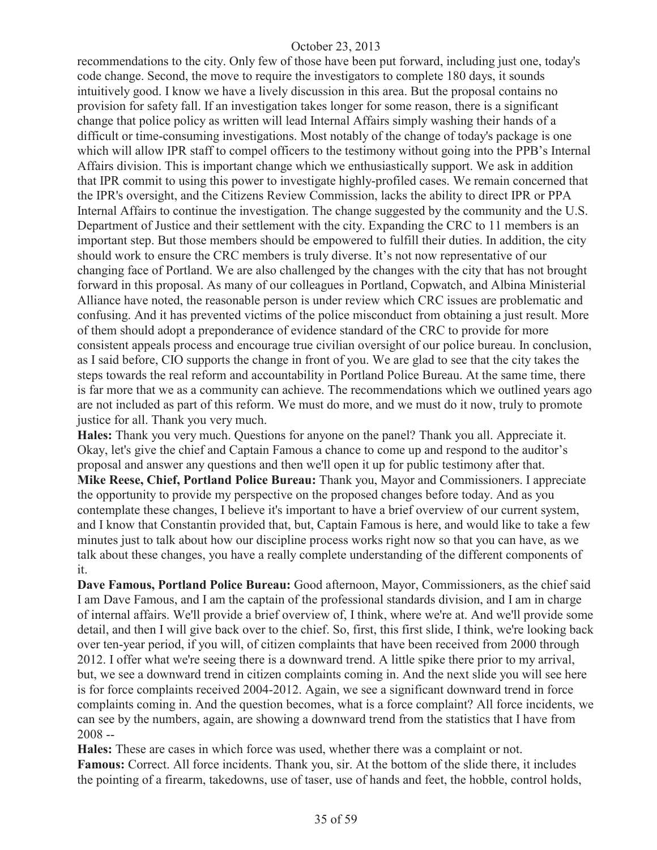recommendations to the city. Only few of those have been put forward, including just one, today's code change. Second, the move to require the investigators to complete 180 days, it sounds intuitively good. I know we have a lively discussion in this area. But the proposal contains no provision for safety fall. If an investigation takes longer for some reason, there is a significant change that police policy as written will lead Internal Affairs simply washing their hands of a difficult or time-consuming investigations. Most notably of the change of today's package is one which will allow IPR staff to compel officers to the testimony without going into the PPB's Internal Affairs division. This is important change which we enthusiastically support. We ask in addition that IPR commit to using this power to investigate highly-profiled cases. We remain concerned that the IPR's oversight, and the Citizens Review Commission, lacks the ability to direct IPR or PPA Internal Affairs to continue the investigation. The change suggested by the community and the U.S. Department of Justice and their settlement with the city. Expanding the CRC to 11 members is an important step. But those members should be empowered to fulfill their duties. In addition, the city should work to ensure the CRC members is truly diverse. It's not now representative of our changing face of Portland. We are also challenged by the changes with the city that has not brought forward in this proposal. As many of our colleagues in Portland, Copwatch, and Albina Ministerial Alliance have noted, the reasonable person is under review which CRC issues are problematic and confusing. And it has prevented victims of the police misconduct from obtaining a just result. More of them should adopt a preponderance of evidence standard of the CRC to provide for more consistent appeals process and encourage true civilian oversight of our police bureau. In conclusion, as I said before, CIO supports the change in front of you. We are glad to see that the city takes the steps towards the real reform and accountability in Portland Police Bureau. At the same time, there is far more that we as a community can achieve. The recommendations which we outlined years ago are not included as part of this reform. We must do more, and we must do it now, truly to promote justice for all. Thank you very much.

**Hales:** Thank you very much. Questions for anyone on the panel? Thank you all. Appreciate it. Okay, let's give the chief and Captain Famous a chance to come up and respond to the auditor's proposal and answer any questions and then we'll open it up for public testimony after that. **Mike Reese, Chief, Portland Police Bureau:** Thank you, Mayor and Commissioners. I appreciate the opportunity to provide my perspective on the proposed changes before today. And as you contemplate these changes, I believe it's important to have a brief overview of our current system, and I know that Constantin provided that, but, Captain Famous is here, and would like to take a few minutes just to talk about how our discipline process works right now so that you can have, as we talk about these changes, you have a really complete understanding of the different components of it.

**Dave Famous, Portland Police Bureau:** Good afternoon, Mayor, Commissioners, as the chief said I am Dave Famous, and I am the captain of the professional standards division, and I am in charge of internal affairs. We'll provide a brief overview of, I think, where we're at. And we'll provide some detail, and then I will give back over to the chief. So, first, this first slide, I think, we're looking back over ten-year period, if you will, of citizen complaints that have been received from 2000 through 2012. I offer what we're seeing there is a downward trend. A little spike there prior to my arrival, but, we see a downward trend in citizen complaints coming in. And the next slide you will see here is for force complaints received 2004-2012. Again, we see a significant downward trend in force complaints coming in. And the question becomes, what is a force complaint? All force incidents, we can see by the numbers, again, are showing a downward trend from the statistics that I have from  $2008 -$ 

**Hales:** These are cases in which force was used, whether there was a complaint or not. Famous: Correct. All force incidents. Thank you, sir. At the bottom of the slide there, it includes the pointing of a firearm, takedowns, use of taser, use of hands and feet, the hobble, control holds,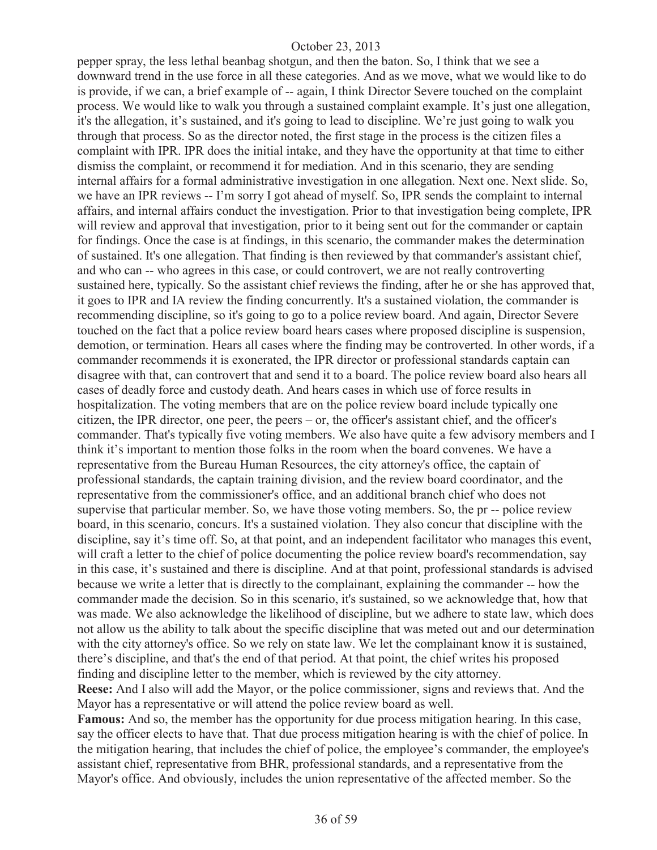pepper spray, the less lethal beanbag shotgun, and then the baton. So, I think that we see a downward trend in the use force in all these categories. And as we move, what we would like to do is provide, if we can, a brief example of -- again, I think Director Severe touched on the complaint process. We would like to walk you through a sustained complaint example. It's just one allegation, it's the allegation, it's sustained, and it's going to lead to discipline. We're just going to walk you through that process. So as the director noted, the first stage in the process is the citizen files a complaint with IPR. IPR does the initial intake, and they have the opportunity at that time to either dismiss the complaint, or recommend it for mediation. And in this scenario, they are sending internal affairs for a formal administrative investigation in one allegation. Next one. Next slide. So, we have an IPR reviews -- I'm sorry I got ahead of myself. So, IPR sends the complaint to internal affairs, and internal affairs conduct the investigation. Prior to that investigation being complete, IPR will review and approval that investigation, prior to it being sent out for the commander or captain for findings. Once the case is at findings, in this scenario, the commander makes the determination of sustained. It's one allegation. That finding is then reviewed by that commander's assistant chief, and who can -- who agrees in this case, or could controvert, we are not really controverting sustained here, typically. So the assistant chief reviews the finding, after he or she has approved that, it goes to IPR and IA review the finding concurrently. It's a sustained violation, the commander is recommending discipline, so it's going to go to a police review board. And again, Director Severe touched on the fact that a police review board hears cases where proposed discipline is suspension, demotion, or termination. Hears all cases where the finding may be controverted. In other words, if a commander recommends it is exonerated, the IPR director or professional standards captain can disagree with that, can controvert that and send it to a board. The police review board also hears all cases of deadly force and custody death. And hears cases in which use of force results in hospitalization. The voting members that are on the police review board include typically one citizen, the IPR director, one peer, the peers – or, the officer's assistant chief, and the officer's commander. That's typically five voting members. We also have quite a few advisory members and I think it's important to mention those folks in the room when the board convenes. We have a representative from the Bureau Human Resources, the city attorney's office, the captain of professional standards, the captain training division, and the review board coordinator, and the representative from the commissioner's office, and an additional branch chief who does not supervise that particular member. So, we have those voting members. So, the pr -- police review board, in this scenario, concurs. It's a sustained violation. They also concur that discipline with the discipline, say it's time off. So, at that point, and an independent facilitator who manages this event, will craft a letter to the chief of police documenting the police review board's recommendation, say in this case, it's sustained and there is discipline. And at that point, professional standards is advised because we write a letter that is directly to the complainant, explaining the commander -- how the commander made the decision. So in this scenario, it's sustained, so we acknowledge that, how that was made. We also acknowledge the likelihood of discipline, but we adhere to state law, which does not allow us the ability to talk about the specific discipline that was meted out and our determination with the city attorney's office. So we rely on state law. We let the complainant know it is sustained, there's discipline, and that's the end of that period. At that point, the chief writes his proposed finding and discipline letter to the member, which is reviewed by the city attorney. **Reese:** And I also will add the Mayor, or the police commissioner, signs and reviews that. And the

**Famous:** And so, the member has the opportunity for due process mitigation hearing. In this case, say the officer elects to have that. That due process mitigation hearing is with the chief of police. In the mitigation hearing, that includes the chief of police, the employee's commander, the employee's assistant chief, representative from BHR, professional standards, and a representative from the Mayor's office. And obviously, includes the union representative of the affected member. So the

Mayor has a representative or will attend the police review board as well.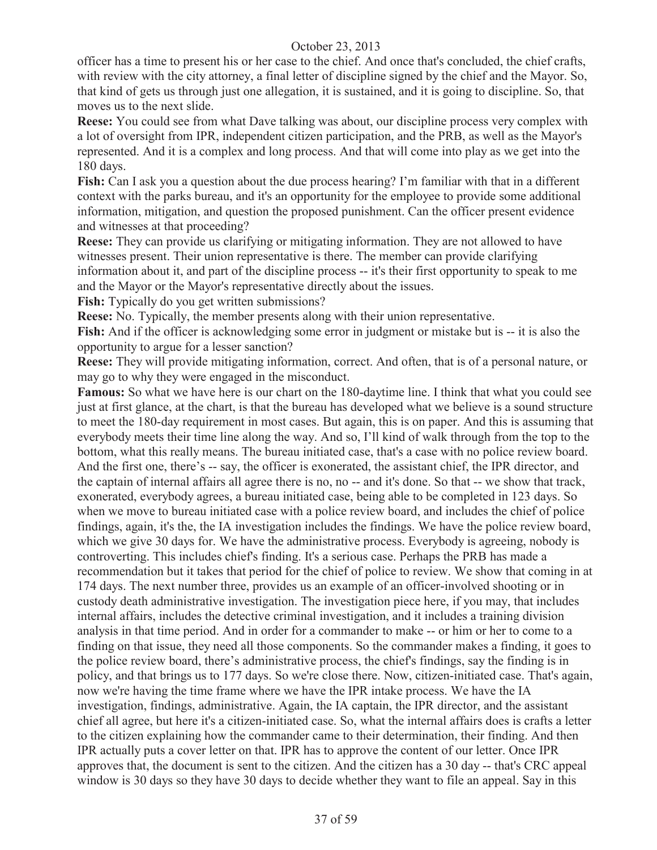officer has a time to present his or her case to the chief. And once that's concluded, the chief crafts, with review with the city attorney, a final letter of discipline signed by the chief and the Mayor. So, that kind of gets us through just one allegation, it is sustained, and it is going to discipline. So, that moves us to the next slide.

**Reese:** You could see from what Dave talking was about, our discipline process very complex with a lot of oversight from IPR, independent citizen participation, and the PRB, as well as the Mayor's represented. And it is a complex and long process. And that will come into play as we get into the 180 days.

**Fish:** Can I ask you a question about the due process hearing? I'm familiar with that in a different context with the parks bureau, and it's an opportunity for the employee to provide some additional information, mitigation, and question the proposed punishment. Can the officer present evidence and witnesses at that proceeding?

**Reese:** They can provide us clarifying or mitigating information. They are not allowed to have witnesses present. Their union representative is there. The member can provide clarifying information about it, and part of the discipline process -- it's their first opportunity to speak to me and the Mayor or the Mayor's representative directly about the issues.

Fish: Typically do you get written submissions?

**Reese:** No. Typically, the member presents along with their union representative.

**Fish:** And if the officer is acknowledging some error in judgment or mistake but is -- it is also the opportunity to argue for a lesser sanction?

**Reese:** They will provide mitigating information, correct. And often, that is of a personal nature, or may go to why they were engaged in the misconduct.

**Famous:** So what we have here is our chart on the 180-daytime line. I think that what you could see just at first glance, at the chart, is that the bureau has developed what we believe is a sound structure to meet the 180-day requirement in most cases. But again, this is on paper. And this is assuming that everybody meets their time line along the way. And so, I'll kind of walk through from the top to the bottom, what this really means. The bureau initiated case, that's a case with no police review board. And the first one, there's -- say, the officer is exonerated, the assistant chief, the IPR director, and the captain of internal affairs all agree there is no, no -- and it's done. So that -- we show that track, exonerated, everybody agrees, a bureau initiated case, being able to be completed in 123 days. So when we move to bureau initiated case with a police review board, and includes the chief of police findings, again, it's the, the IA investigation includes the findings. We have the police review board, which we give 30 days for. We have the administrative process. Everybody is agreeing, nobody is controverting. This includes chief's finding. It's a serious case. Perhaps the PRB has made a recommendation but it takes that period for the chief of police to review. We show that coming in at 174 days. The next number three, provides us an example of an officer-involved shooting or in custody death administrative investigation. The investigation piece here, if you may, that includes internal affairs, includes the detective criminal investigation, and it includes a training division analysis in that time period. And in order for a commander to make -- or him or her to come to a finding on that issue, they need all those components. So the commander makes a finding, it goes to the police review board, there's administrative process, the chief's findings, say the finding is in policy, and that brings us to 177 days. So we're close there. Now, citizen-initiated case. That's again, now we're having the time frame where we have the IPR intake process. We have the IA investigation, findings, administrative. Again, the IA captain, the IPR director, and the assistant chief all agree, but here it's a citizen-initiated case. So, what the internal affairs does is crafts a letter to the citizen explaining how the commander came to their determination, their finding. And then IPR actually puts a cover letter on that. IPR has to approve the content of our letter. Once IPR approves that, the document is sent to the citizen. And the citizen has a 30 day -- that's CRC appeal window is 30 days so they have 30 days to decide whether they want to file an appeal. Say in this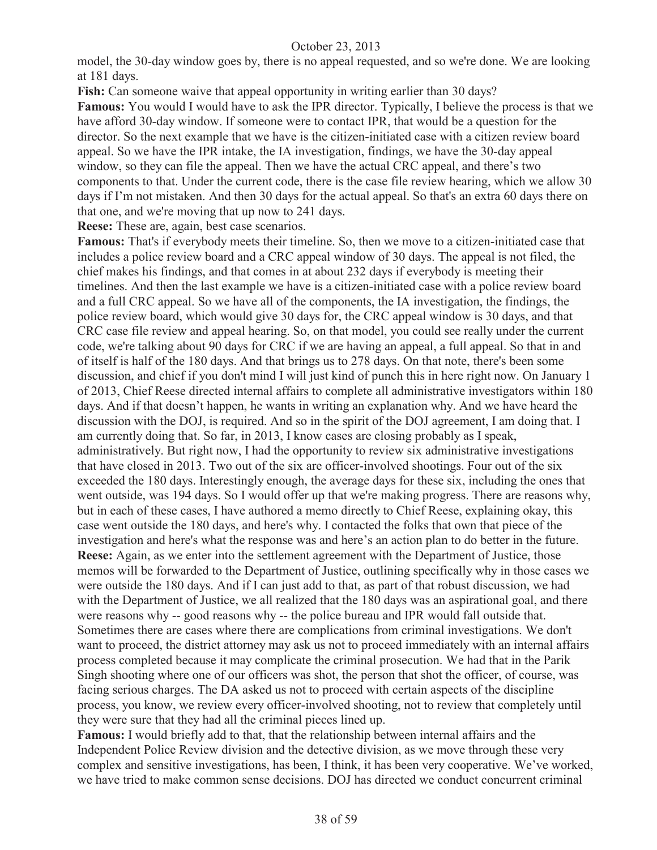model, the 30-day window goes by, there is no appeal requested, and so we're done. We are looking at 181 days.

**Fish:** Can someone waive that appeal opportunity in writing earlier than 30 days? **Famous:** You would I would have to ask the IPR director. Typically, I believe the process is that we have afford 30-day window. If someone were to contact IPR, that would be a question for the director. So the next example that we have is the citizen-initiated case with a citizen review board appeal. So we have the IPR intake, the IA investigation, findings, we have the 30-day appeal window, so they can file the appeal. Then we have the actual CRC appeal, and there's two components to that. Under the current code, there is the case file review hearing, which we allow 30 days if I'm not mistaken. And then 30 days for the actual appeal. So that's an extra 60 days there on that one, and we're moving that up now to 241 days.

**Reese:** These are, again, best case scenarios.

**Famous:** That's if everybody meets their timeline. So, then we move to a citizen-initiated case that includes a police review board and a CRC appeal window of 30 days. The appeal is not filed, the chief makes his findings, and that comes in at about 232 days if everybody is meeting their timelines. And then the last example we have is a citizen-initiated case with a police review board and a full CRC appeal. So we have all of the components, the IA investigation, the findings, the police review board, which would give 30 days for, the CRC appeal window is 30 days, and that CRC case file review and appeal hearing. So, on that model, you could see really under the current code, we're talking about 90 days for CRC if we are having an appeal, a full appeal. So that in and of itself is half of the 180 days. And that brings us to 278 days. On that note, there's been some discussion, and chief if you don't mind I will just kind of punch this in here right now. On January 1 of 2013, Chief Reese directed internal affairs to complete all administrative investigators within 180 days. And if that doesn't happen, he wants in writing an explanation why. And we have heard the discussion with the DOJ, is required. And so in the spirit of the DOJ agreement, I am doing that. I am currently doing that. So far, in 2013, I know cases are closing probably as I speak, administratively. But right now, I had the opportunity to review six administrative investigations that have closed in 2013. Two out of the six are officer-involved shootings. Four out of the six exceeded the 180 days. Interestingly enough, the average days for these six, including the ones that went outside, was 194 days. So I would offer up that we're making progress. There are reasons why, but in each of these cases, I have authored a memo directly to Chief Reese, explaining okay, this case went outside the 180 days, and here's why. I contacted the folks that own that piece of the investigation and here's what the response was and here's an action plan to do better in the future. **Reese:** Again, as we enter into the settlement agreement with the Department of Justice, those memos will be forwarded to the Department of Justice, outlining specifically why in those cases we were outside the 180 days. And if I can just add to that, as part of that robust discussion, we had with the Department of Justice, we all realized that the 180 days was an aspirational goal, and there were reasons why -- good reasons why -- the police bureau and IPR would fall outside that. Sometimes there are cases where there are complications from criminal investigations. We don't want to proceed, the district attorney may ask us not to proceed immediately with an internal affairs process completed because it may complicate the criminal prosecution. We had that in the Parik Singh shooting where one of our officers was shot, the person that shot the officer, of course, was facing serious charges. The DA asked us not to proceed with certain aspects of the discipline process, you know, we review every officer-involved shooting, not to review that completely until they were sure that they had all the criminal pieces lined up.

**Famous:** I would briefly add to that, that the relationship between internal affairs and the Independent Police Review division and the detective division, as we move through these very complex and sensitive investigations, has been, I think, it has been very cooperative. We've worked, we have tried to make common sense decisions. DOJ has directed we conduct concurrent criminal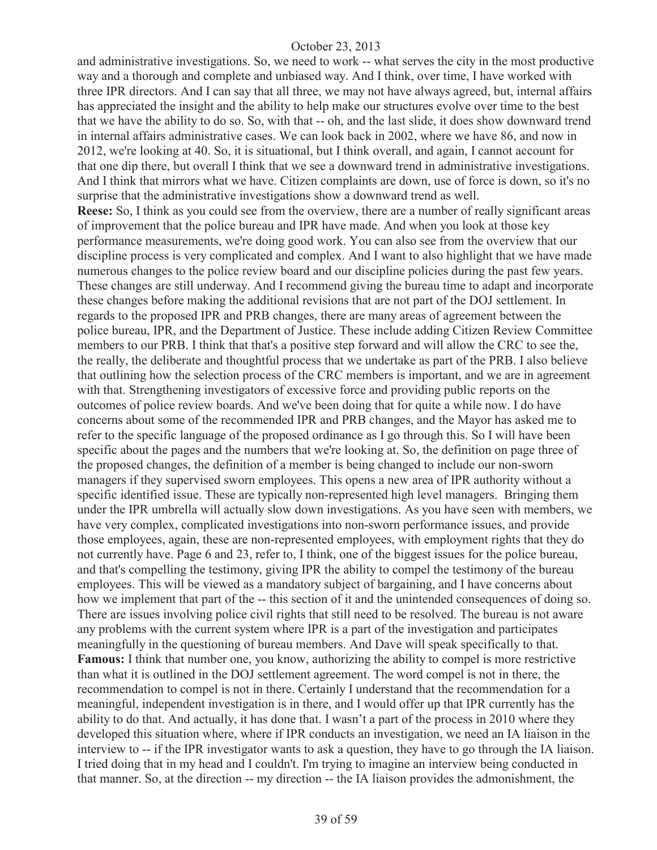and administrative investigations. So, we need to work -- what serves the city in the most productive way and a thorough and complete and unbiased way. And I think, over time, I have worked with three IPR directors. And I can say that all three, we may not have always agreed, but, internal affairs has appreciated the insight and the ability to help make our structures evolve over time to the best that we have the ability to do so. So, with that -- oh, and the last slide, it does show downward trend in internal affairs administrative cases. We can look back in 2002, where we have 86, and now in 2012, we're looking at 40. So, it is situational, but I think overall, and again, I cannot account for that one dip there, but overall I think that we see a downward trend in administrative investigations. And I think that mirrors what we have. Citizen complaints are down, use of force is down, so it's no surprise that the administrative investigations show a downward trend as well. **Reese:** So, I think as you could see from the overview, there are a number of really significant areas of improvement that the police bureau and IPR have made. And when you look at those key performance measurements, we're doing good work. You can also see from the overview that our discipline process is very complicated and complex. And I want to also highlight that we have made numerous changes to the police review board and our discipline policies during the past few years. These changes are still underway. And I recommend giving the bureau time to adapt and incorporate these changes before making the additional revisions that are not part of the DOJ settlement. In regards to the proposed IPR and PRB changes, there are many areas of agreement between the police bureau, IPR, and the Department of Justice. These include adding Citizen Review Committee members to our PRB. I think that that's a positive step forward and will allow the CRC to see the, the really, the deliberate and thoughtful process that we undertake as part of the PRB. I also believe that outlining how the selection process of the CRC members is important, and we are in agreement with that. Strengthening investigators of excessive force and providing public reports on the outcomes of police review boards. And we've been doing that for quite a while now. I do have concerns about some of the recommended IPR and PRB changes, and the Mayor has asked me to refer to the specific language of the proposed ordinance as I go through this. So I will have been specific about the pages and the numbers that we're looking at. So, the definition on page three of the proposed changes, the definition of a member is being changed to include our non-sworn managers if they supervised sworn employees. This opens a new area of IPR authority without a specific identified issue. These are typically non-represented high level managers. Bringing them under the IPR umbrella will actually slow down investigations. As you have seen with members, we have very complex, complicated investigations into non-sworn performance issues, and provide those employees, again, these are non-represented employees, with employment rights that they do not currently have. Page 6 and 23, refer to, I think, one of the biggest issues for the police bureau, and that's compelling the testimony, giving IPR the ability to compel the testimony of the bureau employees. This will be viewed as a mandatory subject of bargaining, and I have concerns about how we implement that part of the -- this section of it and the unintended consequences of doing so. There are issues involving police civil rights that still need to be resolved. The bureau is not aware any problems with the current system where IPR is a part of the investigation and participates meaningfully in the questioning of bureau members. And Dave will speak specifically to that. **Famous:** I think that number one, you know, authorizing the ability to compel is more restrictive than what it is outlined in the DOJ settlement agreement. The word compel is not in there, the recommendation to compel is not in there. Certainly I understand that the recommendation for a meaningful, independent investigation is in there, and I would offer up that IPR currently has the ability to do that. And actually, it has done that. I wasn't a part of the process in 2010 where they developed this situation where, where if IPR conducts an investigation, we need an IA liaison in the interview to -- if the IPR investigator wants to ask a question, they have to go through the IA liaison. I tried doing that in my head and I couldn't. I'm trying to imagine an interview being conducted in that manner. So, at the direction -- my direction -- the IA liaison provides the admonishment, the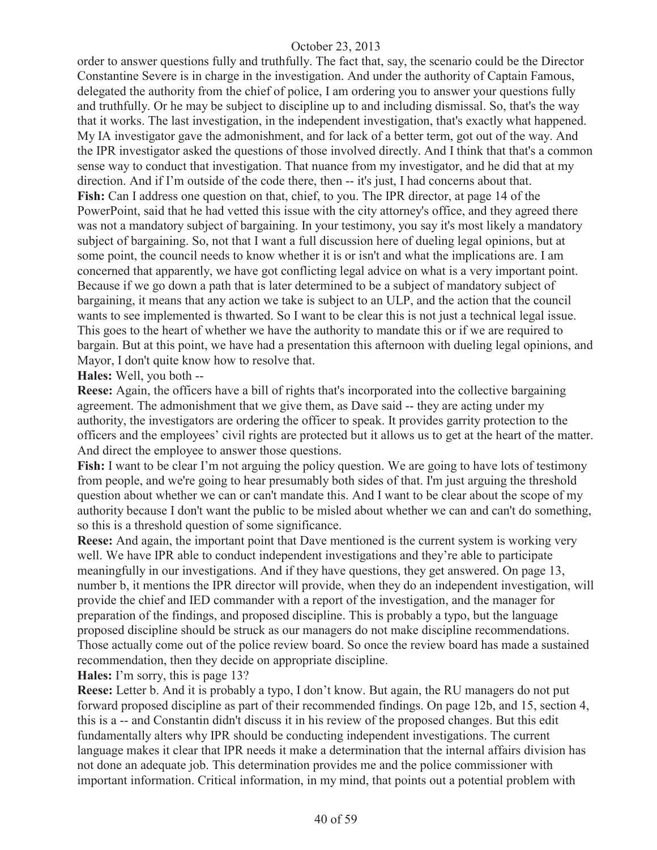order to answer questions fully and truthfully. The fact that, say, the scenario could be the Director Constantine Severe is in charge in the investigation. And under the authority of Captain Famous, delegated the authority from the chief of police, I am ordering you to answer your questions fully and truthfully. Or he may be subject to discipline up to and including dismissal. So, that's the way that it works. The last investigation, in the independent investigation, that's exactly what happened. My IA investigator gave the admonishment, and for lack of a better term, got out of the way. And the IPR investigator asked the questions of those involved directly. And I think that that's a common sense way to conduct that investigation. That nuance from my investigator, and he did that at my direction. And if I'm outside of the code there, then -- it's just, I had concerns about that. **Fish:** Can I address one question on that, chief, to you. The IPR director, at page 14 of the PowerPoint, said that he had vetted this issue with the city attorney's office, and they agreed there was not a mandatory subject of bargaining. In your testimony, you say it's most likely a mandatory subject of bargaining. So, not that I want a full discussion here of dueling legal opinions, but at some point, the council needs to know whether it is or isn't and what the implications are. I am concerned that apparently, we have got conflicting legal advice on what is a very important point. Because if we go down a path that is later determined to be a subject of mandatory subject of bargaining, it means that any action we take is subject to an ULP, and the action that the council wants to see implemented is thwarted. So I want to be clear this is not just a technical legal issue. This goes to the heart of whether we have the authority to mandate this or if we are required to bargain. But at this point, we have had a presentation this afternoon with dueling legal opinions, and Mayor, I don't quite know how to resolve that.

**Hales:** Well, you both --

**Reese:** Again, the officers have a bill of rights that's incorporated into the collective bargaining agreement. The admonishment that we give them, as Dave said -- they are acting under my authority, the investigators are ordering the officer to speak. It provides garrity protection to the officers and the employees' civil rights are protected but it allows us to get at the heart of the matter. And direct the employee to answer those questions.

**Fish:** I want to be clear I'm not arguing the policy question. We are going to have lots of testimony from people, and we're going to hear presumably both sides of that. I'm just arguing the threshold question about whether we can or can't mandate this. And I want to be clear about the scope of my authority because I don't want the public to be misled about whether we can and can't do something, so this is a threshold question of some significance.

**Reese:** And again, the important point that Dave mentioned is the current system is working very well. We have IPR able to conduct independent investigations and they're able to participate meaningfully in our investigations. And if they have questions, they get answered. On page 13, number b, it mentions the IPR director will provide, when they do an independent investigation, will provide the chief and IED commander with a report of the investigation, and the manager for preparation of the findings, and proposed discipline. This is probably a typo, but the language proposed discipline should be struck as our managers do not make discipline recommendations. Those actually come out of the police review board. So once the review board has made a sustained recommendation, then they decide on appropriate discipline.

**Hales:** I'm sorry, this is page 13?

**Reese:** Letter b. And it is probably a typo, I don't know. But again, the RU managers do not put forward proposed discipline as part of their recommended findings. On page 12b, and 15, section 4, this is a -- and Constantin didn't discuss it in his review of the proposed changes. But this edit fundamentally alters why IPR should be conducting independent investigations. The current language makes it clear that IPR needs it make a determination that the internal affairs division has not done an adequate job. This determination provides me and the police commissioner with important information. Critical information, in my mind, that points out a potential problem with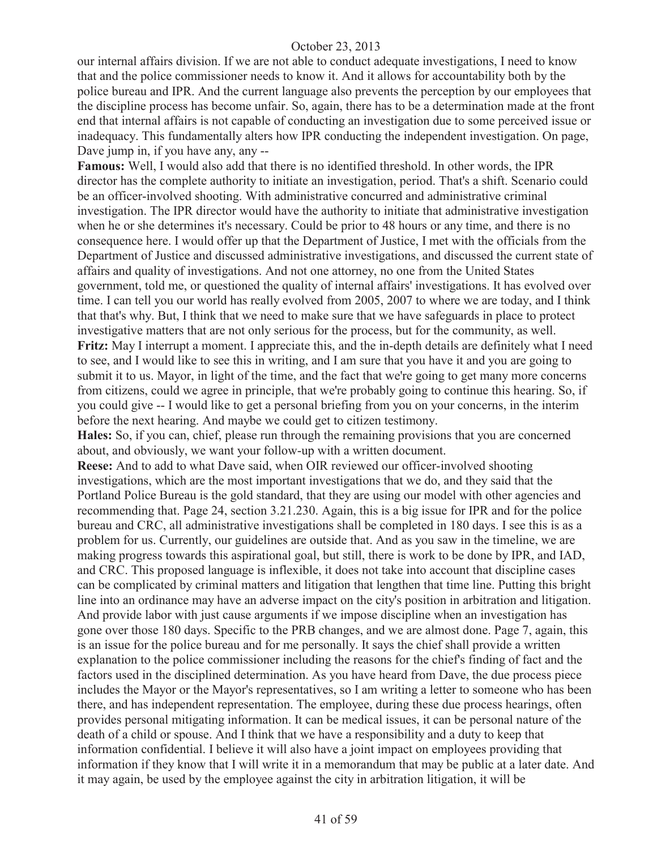our internal affairs division. If we are not able to conduct adequate investigations, I need to know that and the police commissioner needs to know it. And it allows for accountability both by the police bureau and IPR. And the current language also prevents the perception by our employees that the discipline process has become unfair. So, again, there has to be a determination made at the front end that internal affairs is not capable of conducting an investigation due to some perceived issue or inadequacy. This fundamentally alters how IPR conducting the independent investigation. On page, Dave jump in, if you have any, any --

**Famous:** Well, I would also add that there is no identified threshold. In other words, the IPR director has the complete authority to initiate an investigation, period. That's a shift. Scenario could be an officer-involved shooting. With administrative concurred and administrative criminal investigation. The IPR director would have the authority to initiate that administrative investigation when he or she determines it's necessary. Could be prior to 48 hours or any time, and there is no consequence here. I would offer up that the Department of Justice, I met with the officials from the Department of Justice and discussed administrative investigations, and discussed the current state of affairs and quality of investigations. And not one attorney, no one from the United States government, told me, or questioned the quality of internal affairs' investigations. It has evolved over time. I can tell you our world has really evolved from 2005, 2007 to where we are today, and I think that that's why. But, I think that we need to make sure that we have safeguards in place to protect investigative matters that are not only serious for the process, but for the community, as well. **Fritz:** May I interrupt a moment. I appreciate this, and the in-depth details are definitely what I need to see, and I would like to see this in writing, and I am sure that you have it and you are going to submit it to us. Mayor, in light of the time, and the fact that we're going to get many more concerns from citizens, could we agree in principle, that we're probably going to continue this hearing. So, if you could give -- I would like to get a personal briefing from you on your concerns, in the interim before the next hearing. And maybe we could get to citizen testimony.

**Hales:** So, if you can, chief, please run through the remaining provisions that you are concerned about, and obviously, we want your follow-up with a written document.

**Reese:** And to add to what Dave said, when OIR reviewed our officer-involved shooting investigations, which are the most important investigations that we do, and they said that the Portland Police Bureau is the gold standard, that they are using our model with other agencies and recommending that. Page 24, section 3.21.230. Again, this is a big issue for IPR and for the police bureau and CRC, all administrative investigations shall be completed in 180 days. I see this is as a problem for us. Currently, our guidelines are outside that. And as you saw in the timeline, we are making progress towards this aspirational goal, but still, there is work to be done by IPR, and IAD, and CRC. This proposed language is inflexible, it does not take into account that discipline cases can be complicated by criminal matters and litigation that lengthen that time line. Putting this bright line into an ordinance may have an adverse impact on the city's position in arbitration and litigation. And provide labor with just cause arguments if we impose discipline when an investigation has gone over those 180 days. Specific to the PRB changes, and we are almost done. Page 7, again, this is an issue for the police bureau and for me personally. It says the chief shall provide a written explanation to the police commissioner including the reasons for the chief's finding of fact and the factors used in the disciplined determination. As you have heard from Dave, the due process piece includes the Mayor or the Mayor's representatives, so I am writing a letter to someone who has been there, and has independent representation. The employee, during these due process hearings, often provides personal mitigating information. It can be medical issues, it can be personal nature of the death of a child or spouse. And I think that we have a responsibility and a duty to keep that information confidential. I believe it will also have a joint impact on employees providing that information if they know that I will write it in a memorandum that may be public at a later date. And it may again, be used by the employee against the city in arbitration litigation, it will be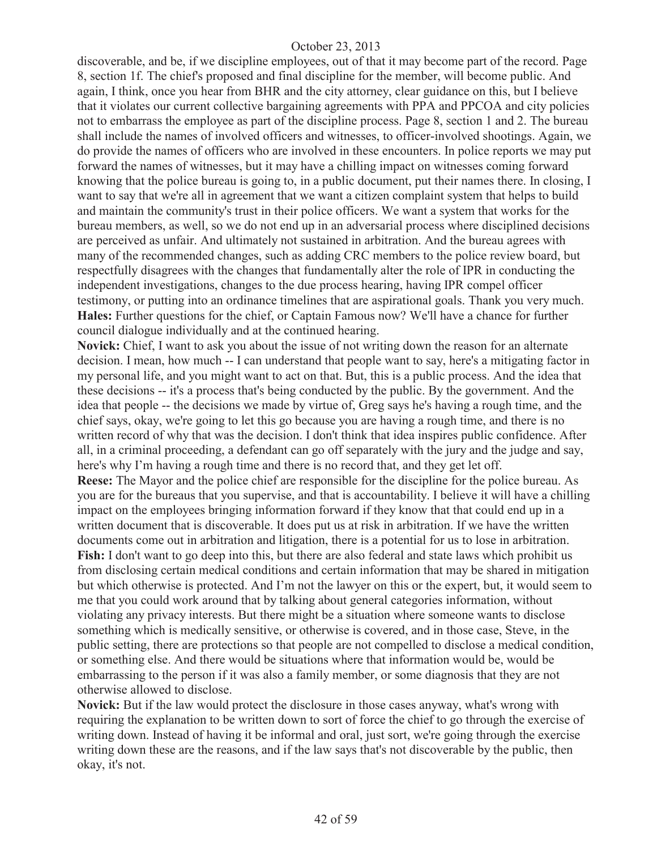discoverable, and be, if we discipline employees, out of that it may become part of the record. Page 8, section 1f. The chief's proposed and final discipline for the member, will become public. And again, I think, once you hear from BHR and the city attorney, clear guidance on this, but I believe that it violates our current collective bargaining agreements with PPA and PPCOA and city policies not to embarrass the employee as part of the discipline process. Page 8, section 1 and 2. The bureau shall include the names of involved officers and witnesses, to officer-involved shootings. Again, we do provide the names of officers who are involved in these encounters. In police reports we may put forward the names of witnesses, but it may have a chilling impact on witnesses coming forward knowing that the police bureau is going to, in a public document, put their names there. In closing, I want to say that we're all in agreement that we want a citizen complaint system that helps to build and maintain the community's trust in their police officers. We want a system that works for the bureau members, as well, so we do not end up in an adversarial process where disciplined decisions are perceived as unfair. And ultimately not sustained in arbitration. And the bureau agrees with many of the recommended changes, such as adding CRC members to the police review board, but respectfully disagrees with the changes that fundamentally alter the role of IPR in conducting the independent investigations, changes to the due process hearing, having IPR compel officer testimony, or putting into an ordinance timelines that are aspirational goals. Thank you very much. **Hales:** Further questions for the chief, or Captain Famous now? We'll have a chance for further council dialogue individually and at the continued hearing.

**Novick:** Chief, I want to ask you about the issue of not writing down the reason for an alternate decision. I mean, how much -- I can understand that people want to say, here's a mitigating factor in my personal life, and you might want to act on that. But, this is a public process. And the idea that these decisions -- it's a process that's being conducted by the public. By the government. And the idea that people -- the decisions we made by virtue of, Greg says he's having a rough time, and the chief says, okay, we're going to let this go because you are having a rough time, and there is no written record of why that was the decision. I don't think that idea inspires public confidence. After all, in a criminal proceeding, a defendant can go off separately with the jury and the judge and say, here's why I'm having a rough time and there is no record that, and they get let off.

**Reese:** The Mayor and the police chief are responsible for the discipline for the police bureau. As you are for the bureaus that you supervise, and that is accountability. I believe it will have a chilling impact on the employees bringing information forward if they know that that could end up in a written document that is discoverable. It does put us at risk in arbitration. If we have the written documents come out in arbitration and litigation, there is a potential for us to lose in arbitration. **Fish:** I don't want to go deep into this, but there are also federal and state laws which prohibit us from disclosing certain medical conditions and certain information that may be shared in mitigation but which otherwise is protected. And I'm not the lawyer on this or the expert, but, it would seem to me that you could work around that by talking about general categories information, without violating any privacy interests. But there might be a situation where someone wants to disclose something which is medically sensitive, or otherwise is covered, and in those case, Steve, in the public setting, there are protections so that people are not compelled to disclose a medical condition, or something else. And there would be situations where that information would be, would be embarrassing to the person if it was also a family member, or some diagnosis that they are not otherwise allowed to disclose.

**Novick:** But if the law would protect the disclosure in those cases anyway, what's wrong with requiring the explanation to be written down to sort of force the chief to go through the exercise of writing down. Instead of having it be informal and oral, just sort, we're going through the exercise writing down these are the reasons, and if the law says that's not discoverable by the public, then okay, it's not.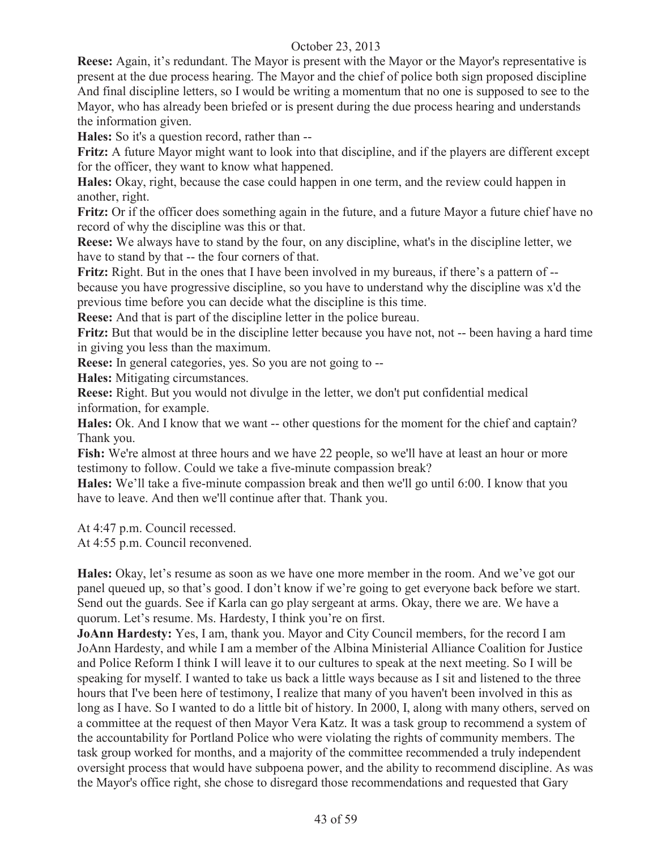**Reese:** Again, it's redundant. The Mayor is present with the Mayor or the Mayor's representative is present at the due process hearing. The Mayor and the chief of police both sign proposed discipline And final discipline letters, so I would be writing a momentum that no one is supposed to see to the Mayor, who has already been briefed or is present during the due process hearing and understands the information given.

**Hales:** So it's a question record, rather than --

**Fritz:** A future Mayor might want to look into that discipline, and if the players are different except for the officer, they want to know what happened.

**Hales:** Okay, right, because the case could happen in one term, and the review could happen in another, right.

**Fritz:** Or if the officer does something again in the future, and a future Mayor a future chief have no record of why the discipline was this or that.

**Reese:** We always have to stand by the four, on any discipline, what's in the discipline letter, we have to stand by that -- the four corners of that.

**Fritz:** Right. But in the ones that I have been involved in my bureaus, if there's a pattern of -because you have progressive discipline, so you have to understand why the discipline was x'd the previous time before you can decide what the discipline is this time.

**Reese:** And that is part of the discipline letter in the police bureau.

**Fritz:** But that would be in the discipline letter because you have not, not -- been having a hard time in giving you less than the maximum.

**Reese:** In general categories, yes. So you are not going to --

**Hales:** Mitigating circumstances.

**Reese:** Right. But you would not divulge in the letter, we don't put confidential medical information, for example.

**Hales:** Ok. And I know that we want -- other questions for the moment for the chief and captain? Thank you.

Fish: We're almost at three hours and we have 22 people, so we'll have at least an hour or more testimony to follow. Could we take a five-minute compassion break?

**Hales:** We'll take a five-minute compassion break and then we'll go until 6:00. I know that you have to leave. And then we'll continue after that. Thank you.

At 4:47 p.m. Council recessed.

At 4:55 p.m. Council reconvened.

**Hales:** Okay, let's resume as soon as we have one more member in the room. And we've got our panel queued up, so that's good. I don't know if we're going to get everyone back before we start. Send out the guards. See if Karla can go play sergeant at arms. Okay, there we are. We have a quorum. Let's resume. Ms. Hardesty, I think you're on first.

**JoAnn Hardesty:** Yes, I am, thank you. Mayor and City Council members, for the record I am JoAnn Hardesty, and while I am a member of the Albina Ministerial Alliance Coalition for Justice and Police Reform I think I will leave it to our cultures to speak at the next meeting. So I will be speaking for myself. I wanted to take us back a little ways because as I sit and listened to the three hours that I've been here of testimony, I realize that many of you haven't been involved in this as long as I have. So I wanted to do a little bit of history. In 2000, I, along with many others, served on a committee at the request of then Mayor Vera Katz. It was a task group to recommend a system of the accountability for Portland Police who were violating the rights of community members. The task group worked for months, and a majority of the committee recommended a truly independent oversight process that would have subpoena power, and the ability to recommend discipline. As was the Mayor's office right, she chose to disregard those recommendations and requested that Gary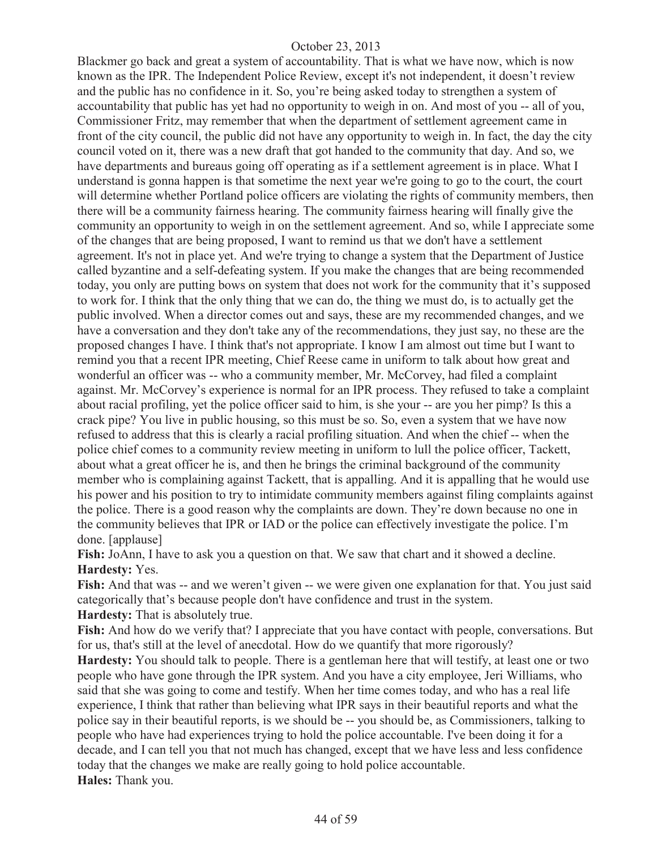Blackmer go back and great a system of accountability. That is what we have now, which is now known as the IPR. The Independent Police Review, except it's not independent, it doesn't review and the public has no confidence in it. So, you're being asked today to strengthen a system of accountability that public has yet had no opportunity to weigh in on. And most of you -- all of you, Commissioner Fritz, may remember that when the department of settlement agreement came in front of the city council, the public did not have any opportunity to weigh in. In fact, the day the city council voted on it, there was a new draft that got handed to the community that day. And so, we have departments and bureaus going off operating as if a settlement agreement is in place. What I understand is gonna happen is that sometime the next year we're going to go to the court, the court will determine whether Portland police officers are violating the rights of community members, then there will be a community fairness hearing. The community fairness hearing will finally give the community an opportunity to weigh in on the settlement agreement. And so, while I appreciate some of the changes that are being proposed, I want to remind us that we don't have a settlement agreement. It's not in place yet. And we're trying to change a system that the Department of Justice called byzantine and a self-defeating system. If you make the changes that are being recommended today, you only are putting bows on system that does not work for the community that it's supposed to work for. I think that the only thing that we can do, the thing we must do, is to actually get the public involved. When a director comes out and says, these are my recommended changes, and we have a conversation and they don't take any of the recommendations, they just say, no these are the proposed changes I have. I think that's not appropriate. I know I am almost out time but I want to remind you that a recent IPR meeting, Chief Reese came in uniform to talk about how great and wonderful an officer was -- who a community member, Mr. McCorvey, had filed a complaint against. Mr. McCorvey's experience is normal for an IPR process. They refused to take a complaint about racial profiling, yet the police officer said to him, is she your -- are you her pimp? Is this a crack pipe? You live in public housing, so this must be so. So, even a system that we have now refused to address that this is clearly a racial profiling situation. And when the chief -- when the police chief comes to a community review meeting in uniform to lull the police officer, Tackett, about what a great officer he is, and then he brings the criminal background of the community member who is complaining against Tackett, that is appalling. And it is appalling that he would use his power and his position to try to intimidate community members against filing complaints against the police. There is a good reason why the complaints are down. They're down because no one in the community believes that IPR or IAD or the police can effectively investigate the police. I'm done. [applause]

**Fish:** JoAnn, I have to ask you a question on that. We saw that chart and it showed a decline. **Hardesty:** Yes.

Fish: And that was -- and we weren't given -- we were given one explanation for that. You just said categorically that's because people don't have confidence and trust in the system. **Hardesty:** That is absolutely true.

Fish: And how do we verify that? I appreciate that you have contact with people, conversations. But for us, that's still at the level of anecdotal. How do we quantify that more rigorously?

**Hardesty:** You should talk to people. There is a gentleman here that will testify, at least one or two people who have gone through the IPR system. And you have a city employee, Jeri Williams, who said that she was going to come and testify. When her time comes today, and who has a real life experience, I think that rather than believing what IPR says in their beautiful reports and what the police say in their beautiful reports, is we should be -- you should be, as Commissioners, talking to people who have had experiences trying to hold the police accountable. I've been doing it for a decade, and I can tell you that not much has changed, except that we have less and less confidence today that the changes we make are really going to hold police accountable. **Hales:** Thank you.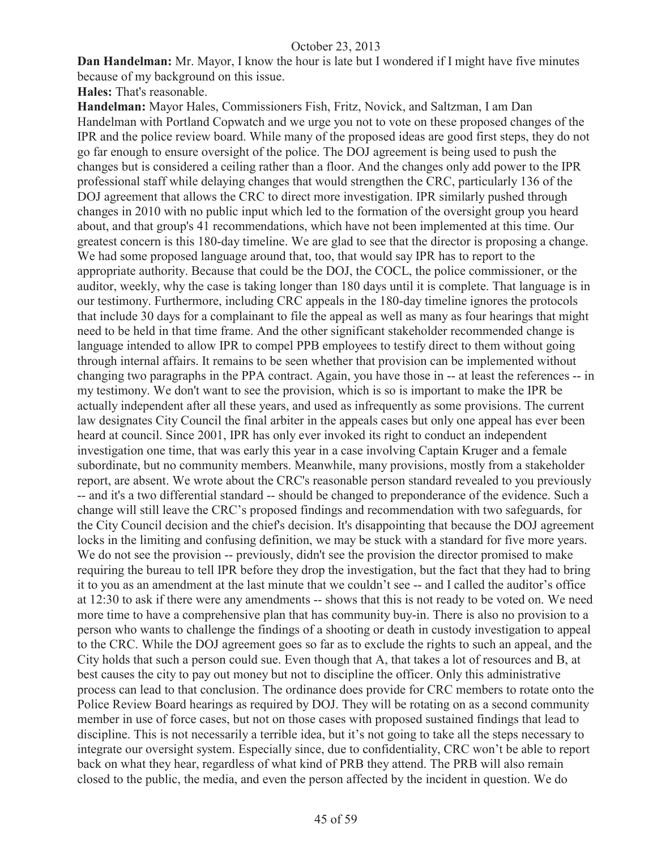**Dan Handelman:** Mr. Mayor, I know the hour is late but I wondered if I might have five minutes because of my background on this issue.

**Hales:** That's reasonable.

**Handelman:** Mayor Hales, Commissioners Fish, Fritz, Novick, and Saltzman, I am Dan Handelman with Portland Copwatch and we urge you not to vote on these proposed changes of the IPR and the police review board. While many of the proposed ideas are good first steps, they do not go far enough to ensure oversight of the police. The DOJ agreement is being used to push the changes but is considered a ceiling rather than a floor. And the changes only add power to the IPR professional staff while delaying changes that would strengthen the CRC, particularly 136 of the DOJ agreement that allows the CRC to direct more investigation. IPR similarly pushed through changes in 2010 with no public input which led to the formation of the oversight group you heard about, and that group's 41 recommendations, which have not been implemented at this time. Our greatest concern is this 180-day timeline. We are glad to see that the director is proposing a change. We had some proposed language around that, too, that would say IPR has to report to the appropriate authority. Because that could be the DOJ, the COCL, the police commissioner, or the auditor, weekly, why the case is taking longer than 180 days until it is complete. That language is in our testimony. Furthermore, including CRC appeals in the 180-day timeline ignores the protocols that include 30 days for a complainant to file the appeal as well as many as four hearings that might need to be held in that time frame. And the other significant stakeholder recommended change is language intended to allow IPR to compel PPB employees to testify direct to them without going through internal affairs. It remains to be seen whether that provision can be implemented without changing two paragraphs in the PPA contract. Again, you have those in -- at least the references -- in my testimony. We don't want to see the provision, which is so is important to make the IPR be actually independent after all these years, and used as infrequently as some provisions. The current law designates City Council the final arbiter in the appeals cases but only one appeal has ever been heard at council. Since 2001, IPR has only ever invoked its right to conduct an independent investigation one time, that was early this year in a case involving Captain Kruger and a female subordinate, but no community members. Meanwhile, many provisions, mostly from a stakeholder report, are absent. We wrote about the CRC's reasonable person standard revealed to you previously -- and it's a two differential standard -- should be changed to preponderance of the evidence. Such a change will still leave the CRC's proposed findings and recommendation with two safeguards, for the City Council decision and the chief's decision. It's disappointing that because the DOJ agreement locks in the limiting and confusing definition, we may be stuck with a standard for five more years. We do not see the provision -- previously, didn't see the provision the director promised to make requiring the bureau to tell IPR before they drop the investigation, but the fact that they had to bring it to you as an amendment at the last minute that we couldn't see -- and I called the auditor's office at 12:30 to ask if there were any amendments -- shows that this is not ready to be voted on. We need more time to have a comprehensive plan that has community buy-in. There is also no provision to a person who wants to challenge the findings of a shooting or death in custody investigation to appeal to the CRC. While the DOJ agreement goes so far as to exclude the rights to such an appeal, and the City holds that such a person could sue. Even though that A, that takes a lot of resources and B, at best causes the city to pay out money but not to discipline the officer. Only this administrative process can lead to that conclusion. The ordinance does provide for CRC members to rotate onto the Police Review Board hearings as required by DOJ. They will be rotating on as a second community member in use of force cases, but not on those cases with proposed sustained findings that lead to discipline. This is not necessarily a terrible idea, but it's not going to take all the steps necessary to integrate our oversight system. Especially since, due to confidentiality, CRC won't be able to report back on what they hear, regardless of what kind of PRB they attend. The PRB will also remain closed to the public, the media, and even the person affected by the incident in question. We do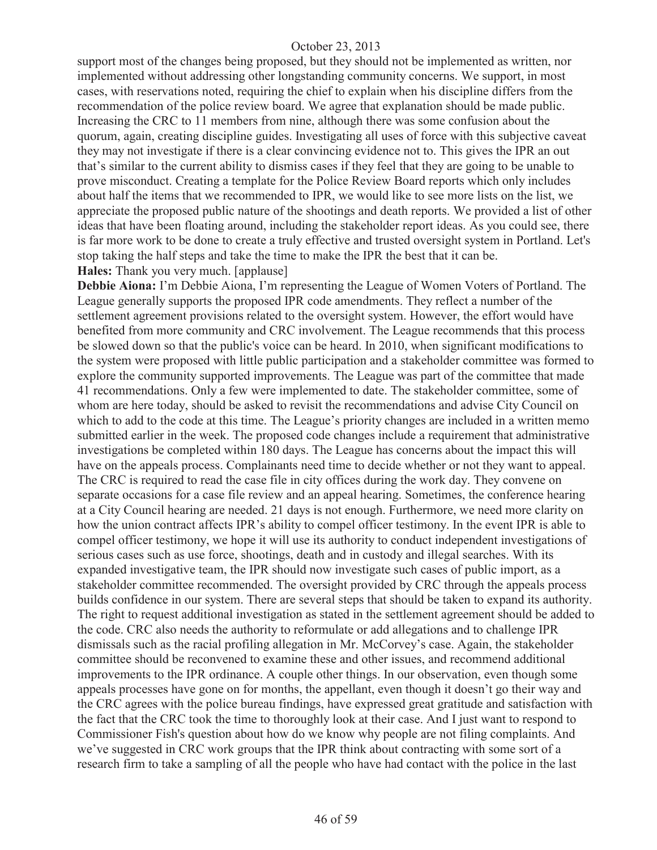support most of the changes being proposed, but they should not be implemented as written, nor implemented without addressing other longstanding community concerns. We support, in most cases, with reservations noted, requiring the chief to explain when his discipline differs from the recommendation of the police review board. We agree that explanation should be made public. Increasing the CRC to 11 members from nine, although there was some confusion about the quorum, again, creating discipline guides. Investigating all uses of force with this subjective caveat they may not investigate if there is a clear convincing evidence not to. This gives the IPR an out that's similar to the current ability to dismiss cases if they feel that they are going to be unable to prove misconduct. Creating a template for the Police Review Board reports which only includes about half the items that we recommended to IPR, we would like to see more lists on the list, we appreciate the proposed public nature of the shootings and death reports. We provided a list of other ideas that have been floating around, including the stakeholder report ideas. As you could see, there is far more work to be done to create a truly effective and trusted oversight system in Portland. Let's stop taking the half steps and take the time to make the IPR the best that it can be. **Hales:** Thank you very much. [applause]

**Debbie Aiona:** I'm Debbie Aiona, I'm representing the League of Women Voters of Portland. The League generally supports the proposed IPR code amendments. They reflect a number of the settlement agreement provisions related to the oversight system. However, the effort would have benefited from more community and CRC involvement. The League recommends that this process be slowed down so that the public's voice can be heard. In 2010, when significant modifications to the system were proposed with little public participation and a stakeholder committee was formed to explore the community supported improvements. The League was part of the committee that made 41 recommendations. Only a few were implemented to date. The stakeholder committee, some of whom are here today, should be asked to revisit the recommendations and advise City Council on which to add to the code at this time. The League's priority changes are included in a written memo submitted earlier in the week. The proposed code changes include a requirement that administrative investigations be completed within 180 days. The League has concerns about the impact this will have on the appeals process. Complainants need time to decide whether or not they want to appeal. The CRC is required to read the case file in city offices during the work day. They convene on separate occasions for a case file review and an appeal hearing. Sometimes, the conference hearing at a City Council hearing are needed. 21 days is not enough. Furthermore, we need more clarity on how the union contract affects IPR's ability to compel officer testimony. In the event IPR is able to compel officer testimony, we hope it will use its authority to conduct independent investigations of serious cases such as use force, shootings, death and in custody and illegal searches. With its expanded investigative team, the IPR should now investigate such cases of public import, as a stakeholder committee recommended. The oversight provided by CRC through the appeals process builds confidence in our system. There are several steps that should be taken to expand its authority. The right to request additional investigation as stated in the settlement agreement should be added to the code. CRC also needs the authority to reformulate or add allegations and to challenge IPR dismissals such as the racial profiling allegation in Mr. McCorvey's case. Again, the stakeholder committee should be reconvened to examine these and other issues, and recommend additional improvements to the IPR ordinance. A couple other things. In our observation, even though some appeals processes have gone on for months, the appellant, even though it doesn't go their way and the CRC agrees with the police bureau findings, have expressed great gratitude and satisfaction with the fact that the CRC took the time to thoroughly look at their case. And I just want to respond to Commissioner Fish's question about how do we know why people are not filing complaints. And we've suggested in CRC work groups that the IPR think about contracting with some sort of a research firm to take a sampling of all the people who have had contact with the police in the last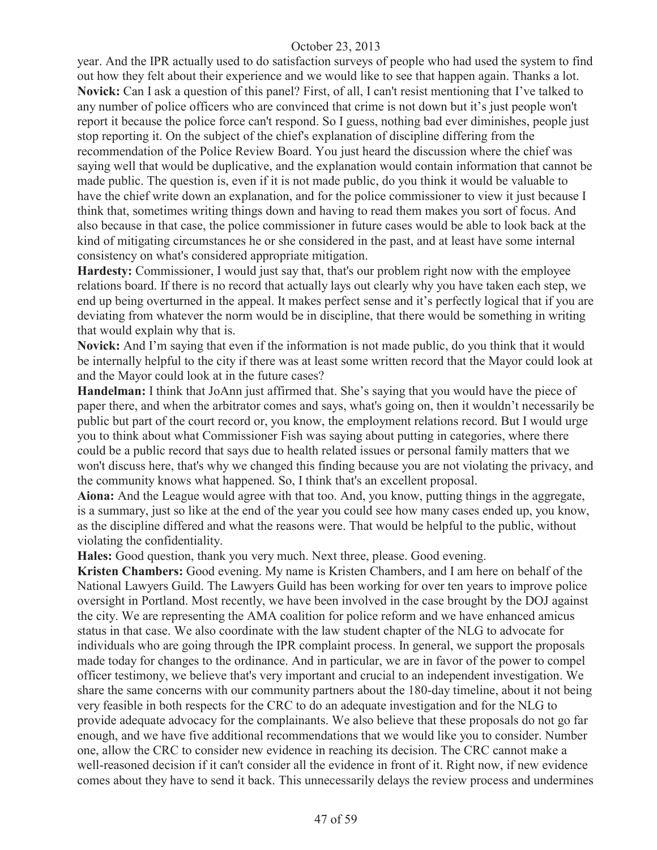year. And the IPR actually used to do satisfaction surveys of people who had used the system to find out how they felt about their experience and we would like to see that happen again. Thanks a lot. **Novick:** Can I ask a question of this panel? First, of all, I can't resist mentioning that I've talked to any number of police officers who are convinced that crime is not down but it's just people won't report it because the police force can't respond. So I guess, nothing bad ever diminishes, people just stop reporting it. On the subject of the chief's explanation of discipline differing from the recommendation of the Police Review Board. You just heard the discussion where the chief was saying well that would be duplicative, and the explanation would contain information that cannot be made public. The question is, even if it is not made public, do you think it would be valuable to have the chief write down an explanation, and for the police commissioner to view it just because I think that, sometimes writing things down and having to read them makes you sort of focus. And also because in that case, the police commissioner in future cases would be able to look back at the kind of mitigating circumstances he or she considered in the past, and at least have some internal consistency on what's considered appropriate mitigation.

**Hardesty:** Commissioner, I would just say that, that's our problem right now with the employee relations board. If there is no record that actually lays out clearly why you have taken each step, we end up being overturned in the appeal. It makes perfect sense and it's perfectly logical that if you are deviating from whatever the norm would be in discipline, that there would be something in writing that would explain why that is.

**Novick:** And I'm saying that even if the information is not made public, do you think that it would be internally helpful to the city if there was at least some written record that the Mayor could look at and the Mayor could look at in the future cases?

**Handelman:** I think that JoAnn just affirmed that. She's saying that you would have the piece of paper there, and when the arbitrator comes and says, what's going on, then it wouldn't necessarily be public but part of the court record or, you know, the employment relations record. But I would urge you to think about what Commissioner Fish was saying about putting in categories, where there could be a public record that says due to health related issues or personal family matters that we won't discuss here, that's why we changed this finding because you are not violating the privacy, and the community knows what happened. So, I think that's an excellent proposal.

**Aiona:** And the League would agree with that too. And, you know, putting things in the aggregate, is a summary, just so like at the end of the year you could see how many cases ended up, you know, as the discipline differed and what the reasons were. That would be helpful to the public, without violating the confidentiality.

**Hales:** Good question, thank you very much. Next three, please. Good evening.

**Kristen Chambers:** Good evening. My name is Kristen Chambers, and I am here on behalf of the National Lawyers Guild. The Lawyers Guild has been working for over ten years to improve police oversight in Portland. Most recently, we have been involved in the case brought by the DOJ against the city. We are representing the AMA coalition for police reform and we have enhanced amicus status in that case. We also coordinate with the law student chapter of the NLG to advocate for individuals who are going through the IPR complaint process. In general, we support the proposals made today for changes to the ordinance. And in particular, we are in favor of the power to compel officer testimony, we believe that's very important and crucial to an independent investigation. We share the same concerns with our community partners about the 180-day timeline, about it not being very feasible in both respects for the CRC to do an adequate investigation and for the NLG to provide adequate advocacy for the complainants. We also believe that these proposals do not go far enough, and we have five additional recommendations that we would like you to consider. Number one, allow the CRC to consider new evidence in reaching its decision. The CRC cannot make a well-reasoned decision if it can't consider all the evidence in front of it. Right now, if new evidence comes about they have to send it back. This unnecessarily delays the review process and undermines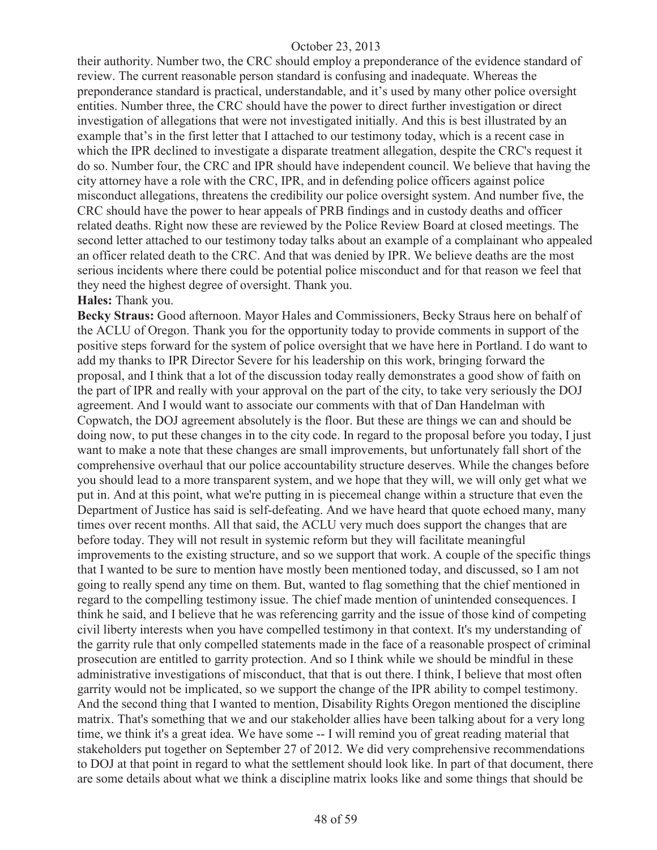their authority. Number two, the CRC should employ a preponderance of the evidence standard of review. The current reasonable person standard is confusing and inadequate. Whereas the preponderance standard is practical, understandable, and it's used by many other police oversight entities. Number three, the CRC should have the power to direct further investigation or direct investigation of allegations that were not investigated initially. And this is best illustrated by an example that's in the first letter that I attached to our testimony today, which is a recent case in which the IPR declined to investigate a disparate treatment allegation, despite the CRC's request it do so. Number four, the CRC and IPR should have independent council. We believe that having the city attorney have a role with the CRC, IPR, and in defending police officers against police misconduct allegations, threatens the credibility our police oversight system. And number five, the CRC should have the power to hear appeals of PRB findings and in custody deaths and officer related deaths. Right now these are reviewed by the Police Review Board at closed meetings. The second letter attached to our testimony today talks about an example of a complainant who appealed an officer related death to the CRC. And that was denied by IPR. We believe deaths are the most serious incidents where there could be potential police misconduct and for that reason we feel that they need the highest degree of oversight. Thank you.

#### **Hales:** Thank you.

**Becky Straus:** Good afternoon. Mayor Hales and Commissioners, Becky Straus here on behalf of the ACLU of Oregon. Thank you for the opportunity today to provide comments in support of the positive steps forward for the system of police oversight that we have here in Portland. I do want to add my thanks to IPR Director Severe for his leadership on this work, bringing forward the proposal, and I think that a lot of the discussion today really demonstrates a good show of faith on the part of IPR and really with your approval on the part of the city, to take very seriously the DOJ agreement. And I would want to associate our comments with that of Dan Handelman with Copwatch, the DOJ agreement absolutely is the floor. But these are things we can and should be doing now, to put these changes in to the city code. In regard to the proposal before you today, I just want to make a note that these changes are small improvements, but unfortunately fall short of the comprehensive overhaul that our police accountability structure deserves. While the changes before you should lead to a more transparent system, and we hope that they will, we will only get what we put in. And at this point, what we're putting in is piecemeal change within a structure that even the Department of Justice has said is self-defeating. And we have heard that quote echoed many, many times over recent months. All that said, the ACLU very much does support the changes that are before today. They will not result in systemic reform but they will facilitate meaningful improvements to the existing structure, and so we support that work. A couple of the specific things that I wanted to be sure to mention have mostly been mentioned today, and discussed, so I am not going to really spend any time on them. But, wanted to flag something that the chief mentioned in regard to the compelling testimony issue. The chief made mention of unintended consequences. I think he said, and I believe that he was referencing garrity and the issue of those kind of competing civil liberty interests when you have compelled testimony in that context. It's my understanding of the garrity rule that only compelled statements made in the face of a reasonable prospect of criminal prosecution are entitled to garrity protection. And so I think while we should be mindful in these administrative investigations of misconduct, that that is out there. I think, I believe that most often garrity would not be implicated, so we support the change of the IPR ability to compel testimony. And the second thing that I wanted to mention, Disability Rights Oregon mentioned the discipline matrix. That's something that we and our stakeholder allies have been talking about for a very long time, we think it's a great idea. We have some -- I will remind you of great reading material that stakeholders put together on September 27 of 2012. We did very comprehensive recommendations to DOJ at that point in regard to what the settlement should look like. In part of that document, there are some details about what we think a discipline matrix looks like and some things that should be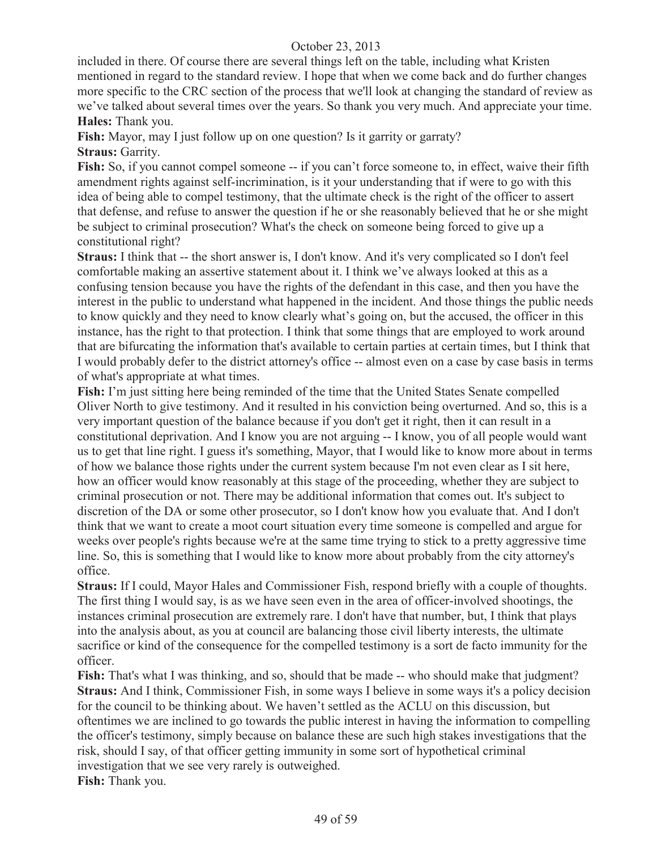included in there. Of course there are several things left on the table, including what Kristen mentioned in regard to the standard review. I hope that when we come back and do further changes more specific to the CRC section of the process that we'll look at changing the standard of review as we've talked about several times over the years. So thank you very much. And appreciate your time. **Hales:** Thank you.

**Fish:** Mayor, may I just follow up on one question? Is it garrity or garraty? **Straus: Garrity.** 

**Fish:** So, if you cannot compel someone -- if you can't force someone to, in effect, waive their fifth amendment rights against self-incrimination, is it your understanding that if were to go with this idea of being able to compel testimony, that the ultimate check is the right of the officer to assert that defense, and refuse to answer the question if he or she reasonably believed that he or she might be subject to criminal prosecution? What's the check on someone being forced to give up a constitutional right?

**Straus:** I think that -- the short answer is, I don't know. And it's very complicated so I don't feel comfortable making an assertive statement about it. I think we've always looked at this as a confusing tension because you have the rights of the defendant in this case, and then you have the interest in the public to understand what happened in the incident. And those things the public needs to know quickly and they need to know clearly what's going on, but the accused, the officer in this instance, has the right to that protection. I think that some things that are employed to work around that are bifurcating the information that's available to certain parties at certain times, but I think that I would probably defer to the district attorney's office -- almost even on a case by case basis in terms of what's appropriate at what times.

**Fish:** I'm just sitting here being reminded of the time that the United States Senate compelled Oliver North to give testimony. And it resulted in his conviction being overturned. And so, this is a very important question of the balance because if you don't get it right, then it can result in a constitutional deprivation. And I know you are not arguing -- I know, you of all people would want us to get that line right. I guess it's something, Mayor, that I would like to know more about in terms of how we balance those rights under the current system because I'm not even clear as I sit here, how an officer would know reasonably at this stage of the proceeding, whether they are subject to criminal prosecution or not. There may be additional information that comes out. It's subject to discretion of the DA or some other prosecutor, so I don't know how you evaluate that. And I don't think that we want to create a moot court situation every time someone is compelled and argue for weeks over people's rights because we're at the same time trying to stick to a pretty aggressive time line. So, this is something that I would like to know more about probably from the city attorney's office.

**Straus:** If I could, Mayor Hales and Commissioner Fish, respond briefly with a couple of thoughts. The first thing I would say, is as we have seen even in the area of officer-involved shootings, the instances criminal prosecution are extremely rare. I don't have that number, but, I think that plays into the analysis about, as you at council are balancing those civil liberty interests, the ultimate sacrifice or kind of the consequence for the compelled testimony is a sort de facto immunity for the officer.

**Fish:** That's what I was thinking, and so, should that be made -- who should make that judgment? **Straus:** And I think, Commissioner Fish, in some ways I believe in some ways it's a policy decision for the council to be thinking about. We haven't settled as the ACLU on this discussion, but oftentimes we are inclined to go towards the public interest in having the information to compelling the officer's testimony, simply because on balance these are such high stakes investigations that the risk, should I say, of that officer getting immunity in some sort of hypothetical criminal investigation that we see very rarely is outweighed. **Fish:** Thank you.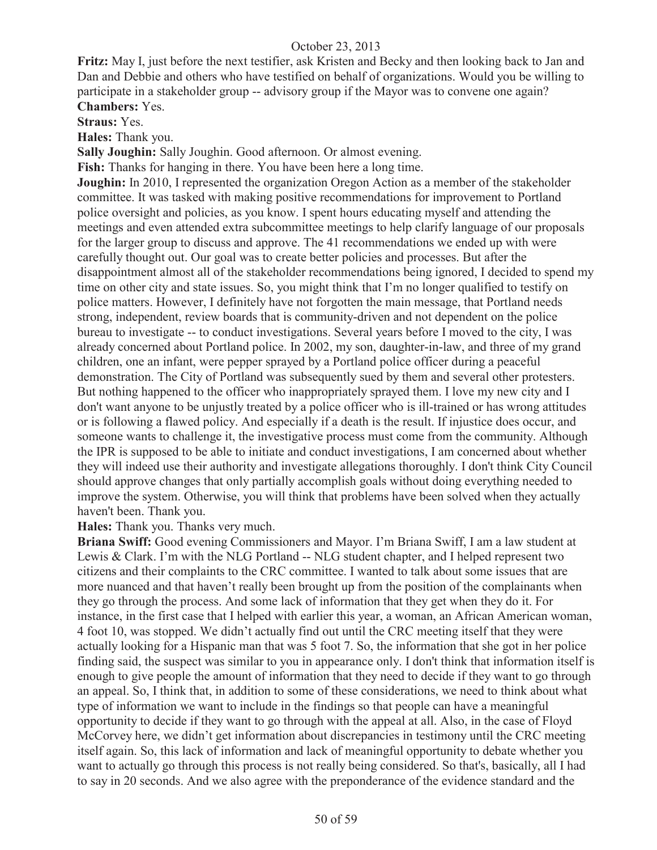**Fritz:** May I, just before the next testifier, ask Kristen and Becky and then looking back to Jan and Dan and Debbie and others who have testified on behalf of organizations. Would you be willing to participate in a stakeholder group -- advisory group if the Mayor was to convene one again? **Chambers:** Yes.

**Straus:** Yes.

**Hales:** Thank you.

**Sally Joughin:** Sally Joughin. Good afternoon. Or almost evening.

**Fish:** Thanks for hanging in there. You have been here a long time.

**Joughin:** In 2010, I represented the organization Oregon Action as a member of the stakeholder committee. It was tasked with making positive recommendations for improvement to Portland police oversight and policies, as you know. I spent hours educating myself and attending the meetings and even attended extra subcommittee meetings to help clarify language of our proposals for the larger group to discuss and approve. The 41 recommendations we ended up with were carefully thought out. Our goal was to create better policies and processes. But after the disappointment almost all of the stakeholder recommendations being ignored, I decided to spend my time on other city and state issues. So, you might think that I'm no longer qualified to testify on police matters. However, I definitely have not forgotten the main message, that Portland needs strong, independent, review boards that is community-driven and not dependent on the police bureau to investigate -- to conduct investigations. Several years before I moved to the city, I was already concerned about Portland police. In 2002, my son, daughter-in-law, and three of my grand children, one an infant, were pepper sprayed by a Portland police officer during a peaceful demonstration. The City of Portland was subsequently sued by them and several other protesters. But nothing happened to the officer who inappropriately sprayed them. I love my new city and I don't want anyone to be unjustly treated by a police officer who is ill-trained or has wrong attitudes or is following a flawed policy. And especially if a death is the result. If injustice does occur, and someone wants to challenge it, the investigative process must come from the community. Although the IPR is supposed to be able to initiate and conduct investigations, I am concerned about whether they will indeed use their authority and investigate allegations thoroughly. I don't think City Council should approve changes that only partially accomplish goals without doing everything needed to improve the system. Otherwise, you will think that problems have been solved when they actually haven't been. Thank you.

**Hales:** Thank you. Thanks very much.

**Briana Swiff:** Good evening Commissioners and Mayor. I'm Briana Swiff, I am a law student at Lewis & Clark. I'm with the NLG Portland -- NLG student chapter, and I helped represent two citizens and their complaints to the CRC committee. I wanted to talk about some issues that are more nuanced and that haven't really been brought up from the position of the complainants when they go through the process. And some lack of information that they get when they do it. For instance, in the first case that I helped with earlier this year, a woman, an African American woman, 4 foot 10, was stopped. We didn't actually find out until the CRC meeting itself that they were actually looking for a Hispanic man that was 5 foot 7. So, the information that she got in her police finding said, the suspect was similar to you in appearance only. I don't think that information itself is enough to give people the amount of information that they need to decide if they want to go through an appeal. So, I think that, in addition to some of these considerations, we need to think about what type of information we want to include in the findings so that people can have a meaningful opportunity to decide if they want to go through with the appeal at all. Also, in the case of Floyd McCorvey here, we didn't get information about discrepancies in testimony until the CRC meeting itself again. So, this lack of information and lack of meaningful opportunity to debate whether you want to actually go through this process is not really being considered. So that's, basically, all I had to say in 20 seconds. And we also agree with the preponderance of the evidence standard and the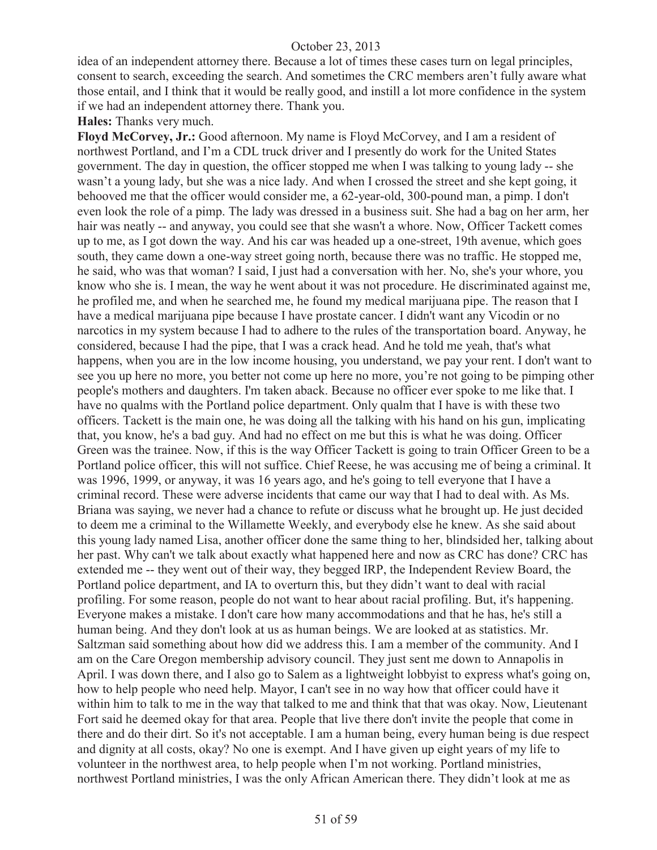idea of an independent attorney there. Because a lot of times these cases turn on legal principles, consent to search, exceeding the search. And sometimes the CRC members aren't fully aware what those entail, and I think that it would be really good, and instill a lot more confidence in the system if we had an independent attorney there. Thank you.

**Hales:** Thanks very much.

**Floyd McCorvey, Jr.:** Good afternoon. My name is Floyd McCorvey, and I am a resident of northwest Portland, and I'm a CDL truck driver and I presently do work for the United States government. The day in question, the officer stopped me when I was talking to young lady -- she wasn't a young lady, but she was a nice lady. And when I crossed the street and she kept going, it behooved me that the officer would consider me, a 62-year-old, 300-pound man, a pimp. I don't even look the role of a pimp. The lady was dressed in a business suit. She had a bag on her arm, her hair was neatly -- and anyway, you could see that she wasn't a whore. Now, Officer Tackett comes up to me, as I got down the way. And his car was headed up a one-street, 19th avenue, which goes south, they came down a one-way street going north, because there was no traffic. He stopped me, he said, who was that woman? I said, I just had a conversation with her. No, she's your whore, you know who she is. I mean, the way he went about it was not procedure. He discriminated against me, he profiled me, and when he searched me, he found my medical marijuana pipe. The reason that I have a medical marijuana pipe because I have prostate cancer. I didn't want any Vicodin or no narcotics in my system because I had to adhere to the rules of the transportation board. Anyway, he considered, because I had the pipe, that I was a crack head. And he told me yeah, that's what happens, when you are in the low income housing, you understand, we pay your rent. I don't want to see you up here no more, you better not come up here no more, you're not going to be pimping other people's mothers and daughters. I'm taken aback. Because no officer ever spoke to me like that. I have no qualms with the Portland police department. Only qualm that I have is with these two officers. Tackett is the main one, he was doing all the talking with his hand on his gun, implicating that, you know, he's a bad guy. And had no effect on me but this is what he was doing. Officer Green was the trainee. Now, if this is the way Officer Tackett is going to train Officer Green to be a Portland police officer, this will not suffice. Chief Reese, he was accusing me of being a criminal. It was 1996, 1999, or anyway, it was 16 years ago, and he's going to tell everyone that I have a criminal record. These were adverse incidents that came our way that I had to deal with. As Ms. Briana was saying, we never had a chance to refute or discuss what he brought up. He just decided to deem me a criminal to the Willamette Weekly, and everybody else he knew. As she said about this young lady named Lisa, another officer done the same thing to her, blindsided her, talking about her past. Why can't we talk about exactly what happened here and now as CRC has done? CRC has extended me -- they went out of their way, they begged IRP, the Independent Review Board, the Portland police department, and IA to overturn this, but they didn't want to deal with racial profiling. For some reason, people do not want to hear about racial profiling. But, it's happening. Everyone makes a mistake. I don't care how many accommodations and that he has, he's still a human being. And they don't look at us as human beings. We are looked at as statistics. Mr. Saltzman said something about how did we address this. I am a member of the community. And I am on the Care Oregon membership advisory council. They just sent me down to Annapolis in April. I was down there, and I also go to Salem as a lightweight lobbyist to express what's going on, how to help people who need help. Mayor, I can't see in no way how that officer could have it within him to talk to me in the way that talked to me and think that that was okay. Now, Lieutenant Fort said he deemed okay for that area. People that live there don't invite the people that come in there and do their dirt. So it's not acceptable. I am a human being, every human being is due respect and dignity at all costs, okay? No one is exempt. And I have given up eight years of my life to volunteer in the northwest area, to help people when I'm not working. Portland ministries, northwest Portland ministries, I was the only African American there. They didn't look at me as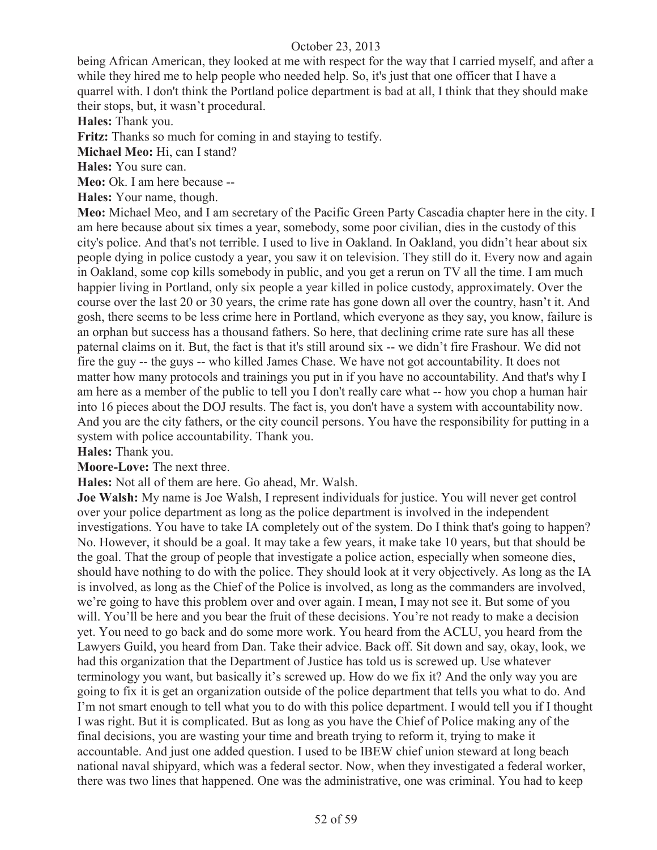being African American, they looked at me with respect for the way that I carried myself, and after a while they hired me to help people who needed help. So, it's just that one officer that I have a quarrel with. I don't think the Portland police department is bad at all, I think that they should make their stops, but, it wasn't procedural.

**Hales:** Thank you.

**Fritz:** Thanks so much for coming in and staying to testify.

**Michael Meo:** Hi, can I stand?

**Hales:** You sure can.

**Meo:** Ok. I am here because --

**Hales:** Your name, though.

**Meo:** Michael Meo, and I am secretary of the Pacific Green Party Cascadia chapter here in the city. I am here because about six times a year, somebody, some poor civilian, dies in the custody of this city's police. And that's not terrible. I used to live in Oakland. In Oakland, you didn't hear about six people dying in police custody a year, you saw it on television. They still do it. Every now and again in Oakland, some cop kills somebody in public, and you get a rerun on TV all the time. I am much happier living in Portland, only six people a year killed in police custody, approximately. Over the course over the last 20 or 30 years, the crime rate has gone down all over the country, hasn't it. And gosh, there seems to be less crime here in Portland, which everyone as they say, you know, failure is an orphan but success has a thousand fathers. So here, that declining crime rate sure has all these paternal claims on it. But, the fact is that it's still around six -- we didn't fire Frashour. We did not fire the guy -- the guys -- who killed James Chase. We have not got accountability. It does not matter how many protocols and trainings you put in if you have no accountability. And that's why I am here as a member of the public to tell you I don't really care what -- how you chop a human hair into 16 pieces about the DOJ results. The fact is, you don't have a system with accountability now. And you are the city fathers, or the city council persons. You have the responsibility for putting in a system with police accountability. Thank you.

**Hales:** Thank you.

**Moore-Love:** The next three.

**Hales:** Not all of them are here. Go ahead, Mr. Walsh.

**Joe Walsh:** My name is Joe Walsh, I represent individuals for justice. You will never get control over your police department as long as the police department is involved in the independent investigations. You have to take IA completely out of the system. Do I think that's going to happen? No. However, it should be a goal. It may take a few years, it make take 10 years, but that should be the goal. That the group of people that investigate a police action, especially when someone dies, should have nothing to do with the police. They should look at it very objectively. As long as the IA is involved, as long as the Chief of the Police is involved, as long as the commanders are involved, we're going to have this problem over and over again. I mean, I may not see it. But some of you will. You'll be here and you bear the fruit of these decisions. You're not ready to make a decision yet. You need to go back and do some more work. You heard from the ACLU, you heard from the Lawyers Guild, you heard from Dan. Take their advice. Back off. Sit down and say, okay, look, we had this organization that the Department of Justice has told us is screwed up. Use whatever terminology you want, but basically it's screwed up. How do we fix it? And the only way you are going to fix it is get an organization outside of the police department that tells you what to do. And I'm not smart enough to tell what you to do with this police department. I would tell you if I thought I was right. But it is complicated. But as long as you have the Chief of Police making any of the final decisions, you are wasting your time and breath trying to reform it, trying to make it accountable. And just one added question. I used to be IBEW chief union steward at long beach national naval shipyard, which was a federal sector. Now, when they investigated a federal worker, there was two lines that happened. One was the administrative, one was criminal. You had to keep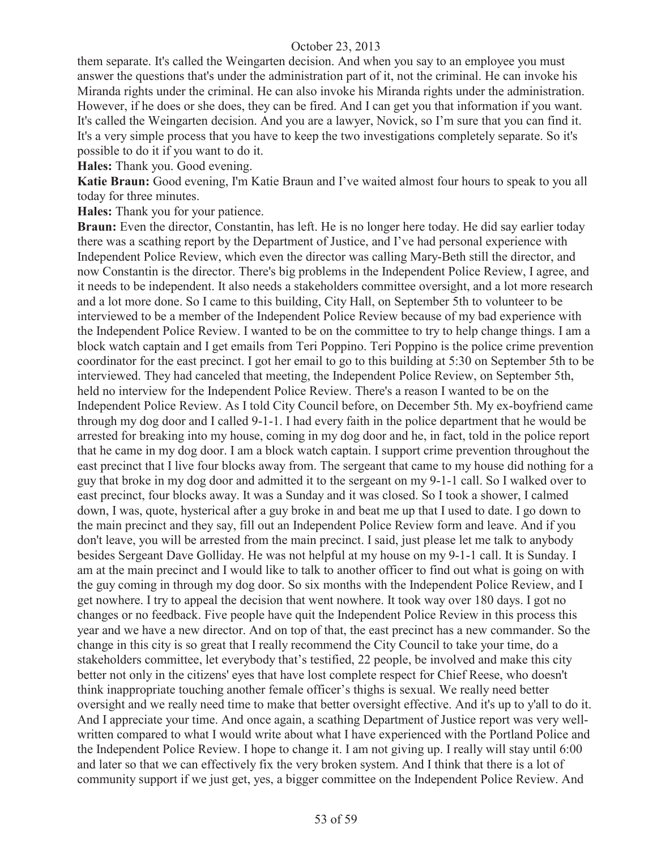them separate. It's called the Weingarten decision. And when you say to an employee you must answer the questions that's under the administration part of it, not the criminal. He can invoke his Miranda rights under the criminal. He can also invoke his Miranda rights under the administration. However, if he does or she does, they can be fired. And I can get you that information if you want. It's called the Weingarten decision. And you are a lawyer, Novick, so I'm sure that you can find it. It's a very simple process that you have to keep the two investigations completely separate. So it's possible to do it if you want to do it.

**Hales:** Thank you. Good evening.

**Katie Braun:** Good evening, I'm Katie Braun and I've waited almost four hours to speak to you all today for three minutes.

**Hales:** Thank you for your patience.

**Braun:** Even the director, Constantin, has left. He is no longer here today. He did say earlier today there was a scathing report by the Department of Justice, and I've had personal experience with Independent Police Review, which even the director was calling Mary-Beth still the director, and now Constantin is the director. There's big problems in the Independent Police Review, I agree, and it needs to be independent. It also needs a stakeholders committee oversight, and a lot more research and a lot more done. So I came to this building, City Hall, on September 5th to volunteer to be interviewed to be a member of the Independent Police Review because of my bad experience with the Independent Police Review. I wanted to be on the committee to try to help change things. I am a block watch captain and I get emails from Teri Poppino. Teri Poppino is the police crime prevention coordinator for the east precinct. I got her email to go to this building at 5:30 on September 5th to be interviewed. They had canceled that meeting, the Independent Police Review, on September 5th, held no interview for the Independent Police Review. There's a reason I wanted to be on the Independent Police Review. As I told City Council before, on December 5th. My ex-boyfriend came through my dog door and I called 9-1-1. I had every faith in the police department that he would be arrested for breaking into my house, coming in my dog door and he, in fact, told in the police report that he came in my dog door. I am a block watch captain. I support crime prevention throughout the east precinct that I live four blocks away from. The sergeant that came to my house did nothing for a guy that broke in my dog door and admitted it to the sergeant on my 9-1-1 call. So I walked over to east precinct, four blocks away. It was a Sunday and it was closed. So I took a shower, I calmed down, I was, quote, hysterical after a guy broke in and beat me up that I used to date. I go down to the main precinct and they say, fill out an Independent Police Review form and leave. And if you don't leave, you will be arrested from the main precinct. I said, just please let me talk to anybody besides Sergeant Dave Golliday. He was not helpful at my house on my 9-1-1 call. It is Sunday. I am at the main precinct and I would like to talk to another officer to find out what is going on with the guy coming in through my dog door. So six months with the Independent Police Review, and I get nowhere. I try to appeal the decision that went nowhere. It took way over 180 days. I got no changes or no feedback. Five people have quit the Independent Police Review in this process this year and we have a new director. And on top of that, the east precinct has a new commander. So the change in this city is so great that I really recommend the City Council to take your time, do a stakeholders committee, let everybody that's testified, 22 people, be involved and make this city better not only in the citizens' eyes that have lost complete respect for Chief Reese, who doesn't think inappropriate touching another female officer's thighs is sexual. We really need better oversight and we really need time to make that better oversight effective. And it's up to y'all to do it. And I appreciate your time. And once again, a scathing Department of Justice report was very wellwritten compared to what I would write about what I have experienced with the Portland Police and the Independent Police Review. I hope to change it. I am not giving up. I really will stay until 6:00 and later so that we can effectively fix the very broken system. And I think that there is a lot of community support if we just get, yes, a bigger committee on the Independent Police Review. And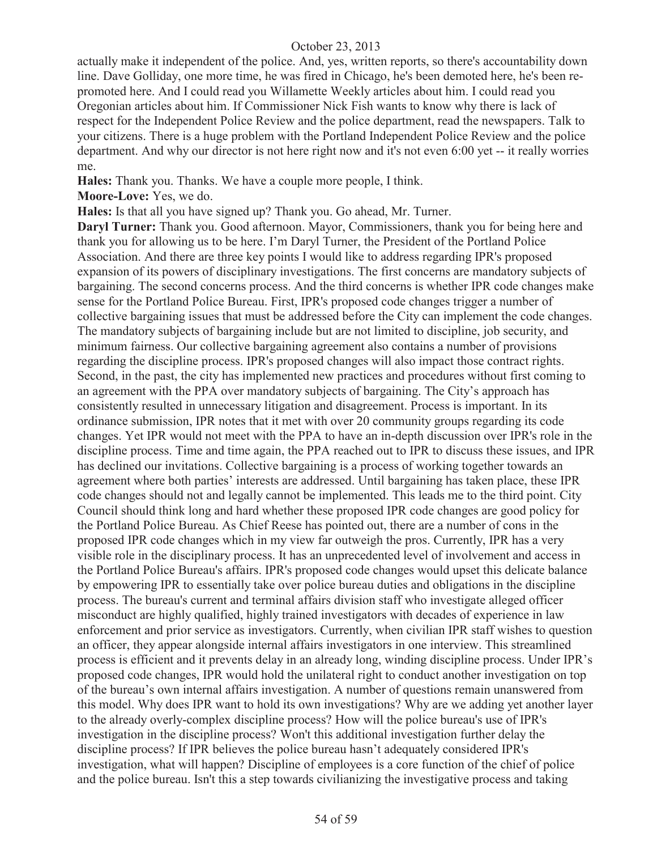actually make it independent of the police. And, yes, written reports, so there's accountability down line. Dave Golliday, one more time, he was fired in Chicago, he's been demoted here, he's been repromoted here. And I could read you Willamette Weekly articles about him. I could read you Oregonian articles about him. If Commissioner Nick Fish wants to know why there is lack of respect for the Independent Police Review and the police department, read the newspapers. Talk to your citizens. There is a huge problem with the Portland Independent Police Review and the police department. And why our director is not here right now and it's not even 6:00 yet -- it really worries me.

**Hales:** Thank you. Thanks. We have a couple more people, I think.

**Moore-Love:** Yes, we do.

**Hales:** Is that all you have signed up? Thank you. Go ahead, Mr. Turner.

**Daryl Turner:** Thank you. Good afternoon. Mayor, Commissioners, thank you for being here and thank you for allowing us to be here. I'm Daryl Turner, the President of the Portland Police Association. And there are three key points I would like to address regarding IPR's proposed expansion of its powers of disciplinary investigations. The first concerns are mandatory subjects of bargaining. The second concerns process. And the third concerns is whether IPR code changes make sense for the Portland Police Bureau. First, IPR's proposed code changes trigger a number of collective bargaining issues that must be addressed before the City can implement the code changes. The mandatory subjects of bargaining include but are not limited to discipline, job security, and minimum fairness. Our collective bargaining agreement also contains a number of provisions regarding the discipline process. IPR's proposed changes will also impact those contract rights. Second, in the past, the city has implemented new practices and procedures without first coming to an agreement with the PPA over mandatory subjects of bargaining. The City's approach has consistently resulted in unnecessary litigation and disagreement. Process is important. In its ordinance submission, IPR notes that it met with over 20 community groups regarding its code changes. Yet IPR would not meet with the PPA to have an in-depth discussion over IPR's role in the discipline process. Time and time again, the PPA reached out to IPR to discuss these issues, and IPR has declined our invitations. Collective bargaining is a process of working together towards an agreement where both parties' interests are addressed. Until bargaining has taken place, these IPR code changes should not and legally cannot be implemented. This leads me to the third point. City Council should think long and hard whether these proposed IPR code changes are good policy for the Portland Police Bureau. As Chief Reese has pointed out, there are a number of cons in the proposed IPR code changes which in my view far outweigh the pros. Currently, IPR has a very visible role in the disciplinary process. It has an unprecedented level of involvement and access in the Portland Police Bureau's affairs. IPR's proposed code changes would upset this delicate balance by empowering IPR to essentially take over police bureau duties and obligations in the discipline process. The bureau's current and terminal affairs division staff who investigate alleged officer misconduct are highly qualified, highly trained investigators with decades of experience in law enforcement and prior service as investigators. Currently, when civilian IPR staff wishes to question an officer, they appear alongside internal affairs investigators in one interview. This streamlined process is efficient and it prevents delay in an already long, winding discipline process. Under IPR's proposed code changes, IPR would hold the unilateral right to conduct another investigation on top of the bureau's own internal affairs investigation. A number of questions remain unanswered from this model. Why does IPR want to hold its own investigations? Why are we adding yet another layer to the already overly-complex discipline process? How will the police bureau's use of IPR's investigation in the discipline process? Won't this additional investigation further delay the discipline process? If IPR believes the police bureau hasn't adequately considered IPR's investigation, what will happen? Discipline of employees is a core function of the chief of police and the police bureau. Isn't this a step towards civilianizing the investigative process and taking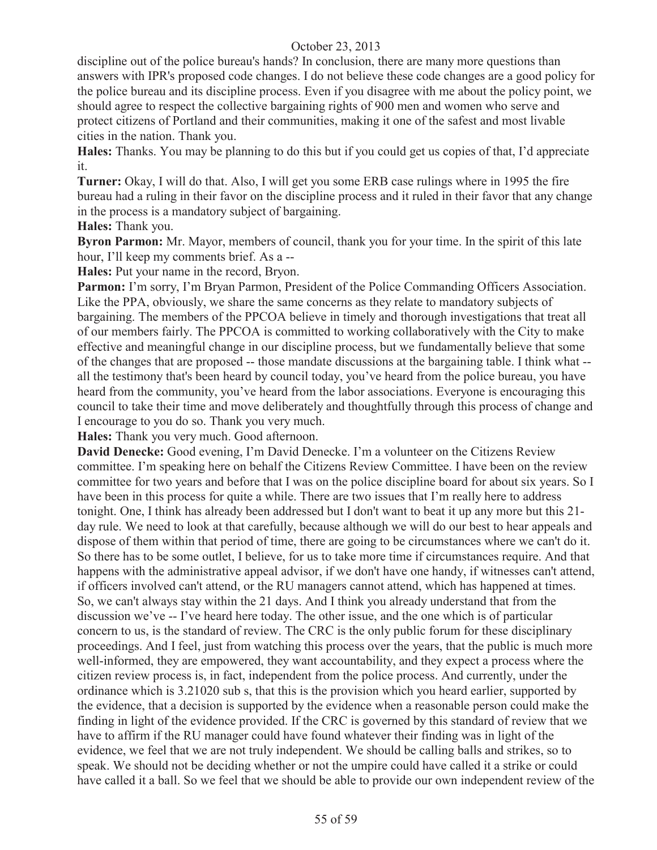discipline out of the police bureau's hands? In conclusion, there are many more questions than answers with IPR's proposed code changes. I do not believe these code changes are a good policy for the police bureau and its discipline process. Even if you disagree with me about the policy point, we should agree to respect the collective bargaining rights of 900 men and women who serve and protect citizens of Portland and their communities, making it one of the safest and most livable cities in the nation. Thank you.

**Hales:** Thanks. You may be planning to do this but if you could get us copies of that, I'd appreciate it.

**Turner:** Okay, I will do that. Also, I will get you some ERB case rulings where in 1995 the fire bureau had a ruling in their favor on the discipline process and it ruled in their favor that any change in the process is a mandatory subject of bargaining.

**Hales:** Thank you.

**Byron Parmon:** Mr. Mayor, members of council, thank you for your time. In the spirit of this late hour, I'll keep my comments brief. As a --

**Hales:** Put your name in the record, Bryon.

Parmon: I'm sorry, I'm Bryan Parmon, President of the Police Commanding Officers Association. Like the PPA, obviously, we share the same concerns as they relate to mandatory subjects of bargaining. The members of the PPCOA believe in timely and thorough investigations that treat all of our members fairly. The PPCOA is committed to working collaboratively with the City to make effective and meaningful change in our discipline process, but we fundamentally believe that some of the changes that are proposed -- those mandate discussions at the bargaining table. I think what - all the testimony that's been heard by council today, you've heard from the police bureau, you have heard from the community, you've heard from the labor associations. Everyone is encouraging this council to take their time and move deliberately and thoughtfully through this process of change and I encourage to you do so. Thank you very much.

**Hales:** Thank you very much. Good afternoon.

**David Denecke:** Good evening, I'm David Denecke. I'm a volunteer on the Citizens Review committee. I'm speaking here on behalf the Citizens Review Committee. I have been on the review committee for two years and before that I was on the police discipline board for about six years. So I have been in this process for quite a while. There are two issues that I'm really here to address tonight. One, I think has already been addressed but I don't want to beat it up any more but this 21 day rule. We need to look at that carefully, because although we will do our best to hear appeals and dispose of them within that period of time, there are going to be circumstances where we can't do it. So there has to be some outlet, I believe, for us to take more time if circumstances require. And that happens with the administrative appeal advisor, if we don't have one handy, if witnesses can't attend, if officers involved can't attend, or the RU managers cannot attend, which has happened at times. So, we can't always stay within the 21 days. And I think you already understand that from the discussion we've -- I've heard here today. The other issue, and the one which is of particular concern to us, is the standard of review. The CRC is the only public forum for these disciplinary proceedings. And I feel, just from watching this process over the years, that the public is much more well-informed, they are empowered, they want accountability, and they expect a process where the citizen review process is, in fact, independent from the police process. And currently, under the ordinance which is 3.21020 sub s, that this is the provision which you heard earlier, supported by the evidence, that a decision is supported by the evidence when a reasonable person could make the finding in light of the evidence provided. If the CRC is governed by this standard of review that we have to affirm if the RU manager could have found whatever their finding was in light of the evidence, we feel that we are not truly independent. We should be calling balls and strikes, so to speak. We should not be deciding whether or not the umpire could have called it a strike or could have called it a ball. So we feel that we should be able to provide our own independent review of the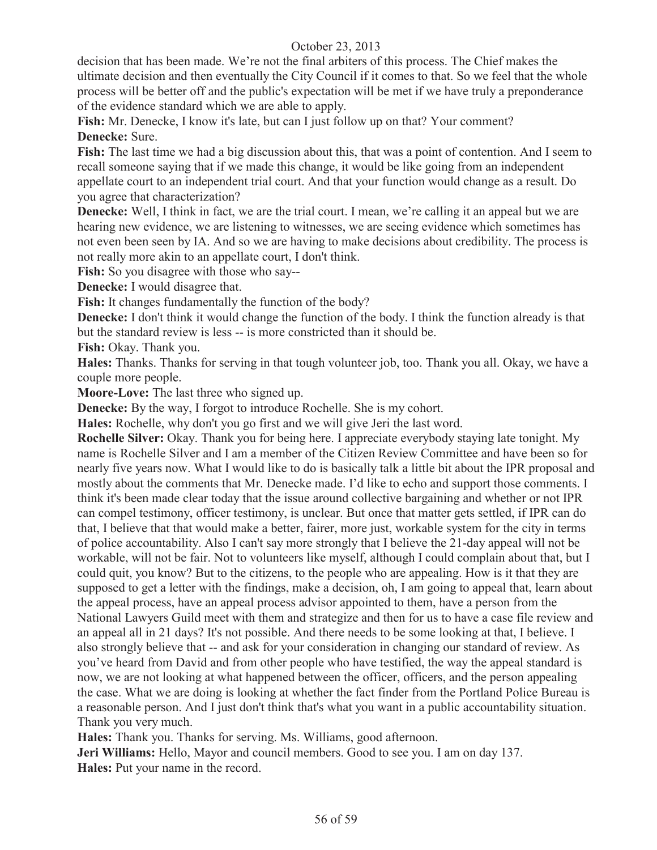decision that has been made. We're not the final arbiters of this process. The Chief makes the ultimate decision and then eventually the City Council if it comes to that. So we feel that the whole process will be better off and the public's expectation will be met if we have truly a preponderance of the evidence standard which we are able to apply.

Fish: Mr. Denecke, I know it's late, but can I just follow up on that? Your comment? **Denecke:** Sure.

**Fish:** The last time we had a big discussion about this, that was a point of contention. And I seem to recall someone saying that if we made this change, it would be like going from an independent appellate court to an independent trial court. And that your function would change as a result. Do you agree that characterization?

**Denecke:** Well, I think in fact, we are the trial court. I mean, we're calling it an appeal but we are hearing new evidence, we are listening to witnesses, we are seeing evidence which sometimes has not even been seen by IA. And so we are having to make decisions about credibility. The process is not really more akin to an appellate court, I don't think.

**Fish:** So you disagree with those who say--

**Denecke:** I would disagree that.

**Fish:** It changes fundamentally the function of the body?

**Denecke:** I don't think it would change the function of the body. I think the function already is that but the standard review is less -- is more constricted than it should be.

**Fish:** Okay. Thank you.

**Hales:** Thanks. Thanks for serving in that tough volunteer job, too. Thank you all. Okay, we have a couple more people.

**Moore-Love:** The last three who signed up.

**Denecke:** By the way, I forgot to introduce Rochelle. She is my cohort.

**Hales:** Rochelle, why don't you go first and we will give Jeri the last word.

**Rochelle Silver:** Okay. Thank you for being here. I appreciate everybody staying late tonight. My name is Rochelle Silver and I am a member of the Citizen Review Committee and have been so for nearly five years now. What I would like to do is basically talk a little bit about the IPR proposal and mostly about the comments that Mr. Denecke made. I'd like to echo and support those comments. I think it's been made clear today that the issue around collective bargaining and whether or not IPR can compel testimony, officer testimony, is unclear. But once that matter gets settled, if IPR can do that, I believe that that would make a better, fairer, more just, workable system for the city in terms of police accountability. Also I can't say more strongly that I believe the 21-day appeal will not be workable, will not be fair. Not to volunteers like myself, although I could complain about that, but I could quit, you know? But to the citizens, to the people who are appealing. How is it that they are supposed to get a letter with the findings, make a decision, oh, I am going to appeal that, learn about the appeal process, have an appeal process advisor appointed to them, have a person from the National Lawyers Guild meet with them and strategize and then for us to have a case file review and an appeal all in 21 days? It's not possible. And there needs to be some looking at that, I believe. I also strongly believe that -- and ask for your consideration in changing our standard of review. As you've heard from David and from other people who have testified, the way the appeal standard is now, we are not looking at what happened between the officer, officers, and the person appealing the case. What we are doing is looking at whether the fact finder from the Portland Police Bureau is a reasonable person. And I just don't think that's what you want in a public accountability situation. Thank you very much.

**Hales:** Thank you. Thanks for serving. Ms. Williams, good afternoon.

**Jeri Williams:** Hello, Mayor and council members. Good to see you. I am on day 137. **Hales:** Put your name in the record.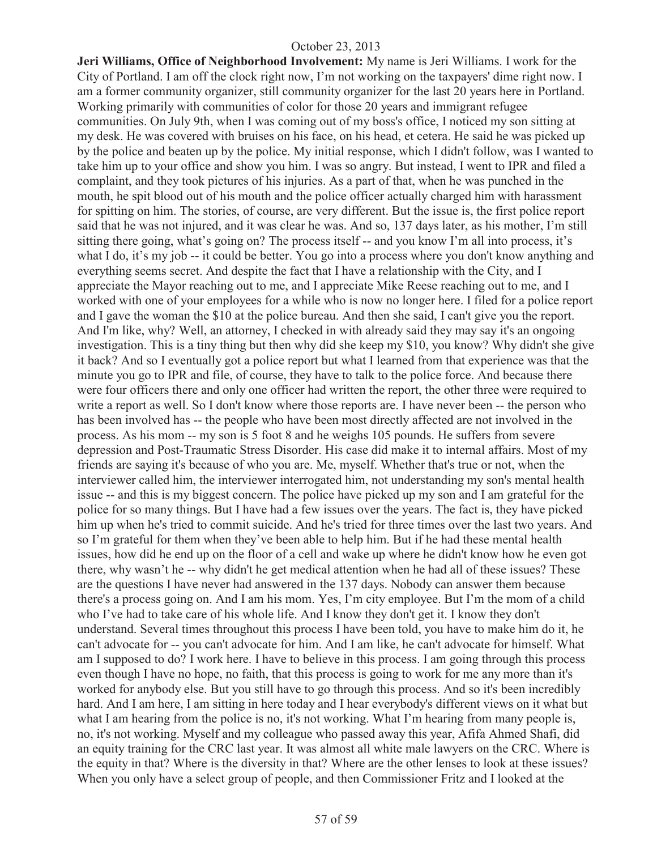**Jeri Williams, Office of Neighborhood Involvement:** My name is Jeri Williams. I work for the City of Portland. I am off the clock right now, I'm not working on the taxpayers' dime right now. I am a former community organizer, still community organizer for the last 20 years here in Portland. Working primarily with communities of color for those 20 years and immigrant refugee communities. On July 9th, when I was coming out of my boss's office, I noticed my son sitting at my desk. He was covered with bruises on his face, on his head, et cetera. He said he was picked up by the police and beaten up by the police. My initial response, which I didn't follow, was I wanted to take him up to your office and show you him. I was so angry. But instead, I went to IPR and filed a complaint, and they took pictures of his injuries. As a part of that, when he was punched in the mouth, he spit blood out of his mouth and the police officer actually charged him with harassment for spitting on him. The stories, of course, are very different. But the issue is, the first police report said that he was not injured, and it was clear he was. And so, 137 days later, as his mother, I'm still sitting there going, what's going on? The process itself -- and you know I'm all into process, it's what I do, it's my job -- it could be better. You go into a process where you don't know anything and everything seems secret. And despite the fact that I have a relationship with the City, and I appreciate the Mayor reaching out to me, and I appreciate Mike Reese reaching out to me, and I worked with one of your employees for a while who is now no longer here. I filed for a police report and I gave the woman the \$10 at the police bureau. And then she said, I can't give you the report. And I'm like, why? Well, an attorney, I checked in with already said they may say it's an ongoing investigation. This is a tiny thing but then why did she keep my \$10, you know? Why didn't she give it back? And so I eventually got a police report but what I learned from that experience was that the minute you go to IPR and file, of course, they have to talk to the police force. And because there were four officers there and only one officer had written the report, the other three were required to write a report as well. So I don't know where those reports are. I have never been -- the person who has been involved has -- the people who have been most directly affected are not involved in the process. As his mom -- my son is 5 foot 8 and he weighs 105 pounds. He suffers from severe depression and Post-Traumatic Stress Disorder. His case did make it to internal affairs. Most of my friends are saying it's because of who you are. Me, myself. Whether that's true or not, when the interviewer called him, the interviewer interrogated him, not understanding my son's mental health issue -- and this is my biggest concern. The police have picked up my son and I am grateful for the police for so many things. But I have had a few issues over the years. The fact is, they have picked him up when he's tried to commit suicide. And he's tried for three times over the last two years. And so I'm grateful for them when they've been able to help him. But if he had these mental health issues, how did he end up on the floor of a cell and wake up where he didn't know how he even got there, why wasn't he -- why didn't he get medical attention when he had all of these issues? These are the questions I have never had answered in the 137 days. Nobody can answer them because there's a process going on. And I am his mom. Yes, I'm city employee. But I'm the mom of a child who I've had to take care of his whole life. And I know they don't get it. I know they don't understand. Several times throughout this process I have been told, you have to make him do it, he can't advocate for -- you can't advocate for him. And I am like, he can't advocate for himself. What am I supposed to do? I work here. I have to believe in this process. I am going through this process even though I have no hope, no faith, that this process is going to work for me any more than it's worked for anybody else. But you still have to go through this process. And so it's been incredibly hard. And I am here, I am sitting in here today and I hear everybody's different views on it what but what I am hearing from the police is no, it's not working. What I'm hearing from many people is, no, it's not working. Myself and my colleague who passed away this year, Afifa Ahmed Shafi, did an equity training for the CRC last year. It was almost all white male lawyers on the CRC. Where is the equity in that? Where is the diversity in that? Where are the other lenses to look at these issues? When you only have a select group of people, and then Commissioner Fritz and I looked at the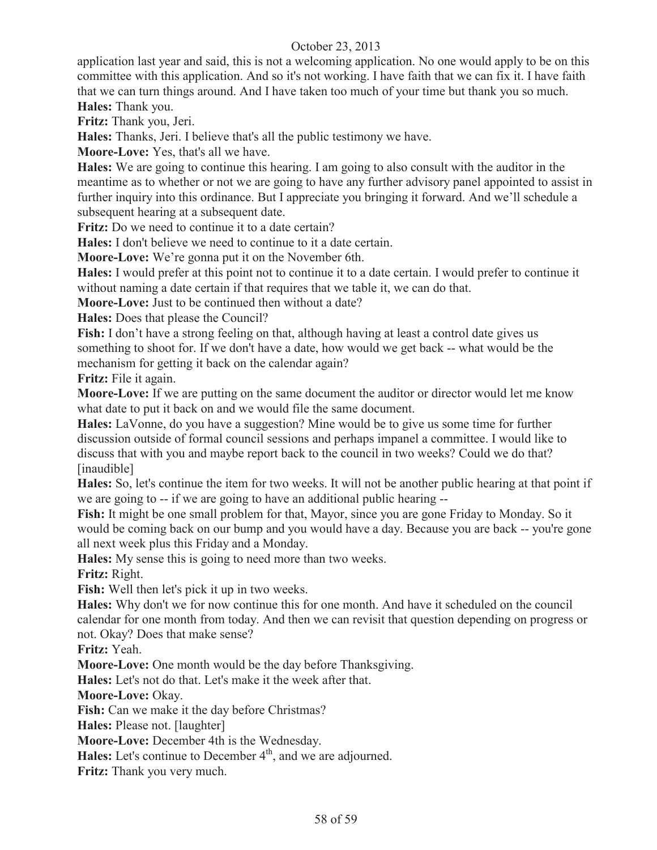application last year and said, this is not a welcoming application. No one would apply to be on this committee with this application. And so it's not working. I have faith that we can fix it. I have faith that we can turn things around. And I have taken too much of your time but thank you so much. **Hales:** Thank you.

**Fritz:** Thank you, Jeri.

**Hales:** Thanks, Jeri. I believe that's all the public testimony we have.

**Moore-Love:** Yes, that's all we have.

**Hales:** We are going to continue this hearing. I am going to also consult with the auditor in the meantime as to whether or not we are going to have any further advisory panel appointed to assist in further inquiry into this ordinance. But I appreciate you bringing it forward. And we'll schedule a subsequent hearing at a subsequent date.

**Fritz:** Do we need to continue it to a date certain?

**Hales:** I don't believe we need to continue to it a date certain.

**Moore-Love:** We're gonna put it on the November 6th.

**Hales:** I would prefer at this point not to continue it to a date certain. I would prefer to continue it without naming a date certain if that requires that we table it, we can do that.

**Moore-Love:** Just to be continued then without a date?

**Hales:** Does that please the Council?

**Fish:** I don't have a strong feeling on that, although having at least a control date gives us something to shoot for. If we don't have a date, how would we get back -- what would be the mechanism for getting it back on the calendar again?

**Fritz:** File it again.

**Moore-Love:** If we are putting on the same document the auditor or director would let me know what date to put it back on and we would file the same document.

**Hales:** LaVonne, do you have a suggestion? Mine would be to give us some time for further discussion outside of formal council sessions and perhaps impanel a committee. I would like to discuss that with you and maybe report back to the council in two weeks? Could we do that? [inaudible]

**Hales:** So, let's continue the item for two weeks. It will not be another public hearing at that point if we are going to -- if we are going to have an additional public hearing --

**Fish:** It might be one small problem for that, Mayor, since you are gone Friday to Monday. So it would be coming back on our bump and you would have a day. Because you are back -- you're gone all next week plus this Friday and a Monday.

**Hales:** My sense this is going to need more than two weeks.

**Fritz:** Right.

**Fish:** Well then let's pick it up in two weeks.

**Hales:** Why don't we for now continue this for one month. And have it scheduled on the council calendar for one month from today. And then we can revisit that question depending on progress or not. Okay? Does that make sense?

**Fritz:** Yeah.

**Moore-Love:** One month would be the day before Thanksgiving.

**Hales:** Let's not do that. Let's make it the week after that.

**Moore-Love:** Okay.

**Fish:** Can we make it the day before Christmas?

**Hales:** Please not. [laughter]

**Moore-Love:** December 4th is the Wednesday.

**Hales:** Let's continue to December 4<sup>th</sup>, and we are adjourned.

**Fritz:** Thank you very much.